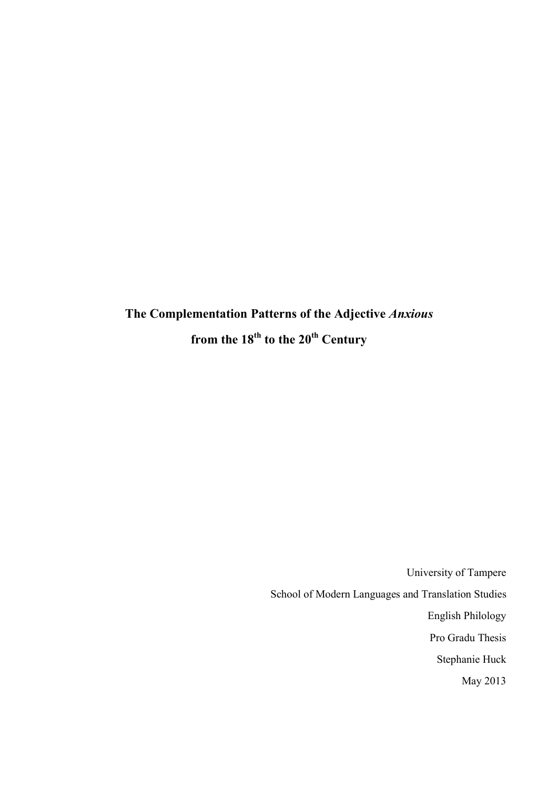# **The Complementation Patterns of the Adjective** *Anxious* **from the 18th to the 20th Century**

University of Tampere School of Modern Languages and Translation Studies English Philology Pro Gradu Thesis Stephanie Huck May 2013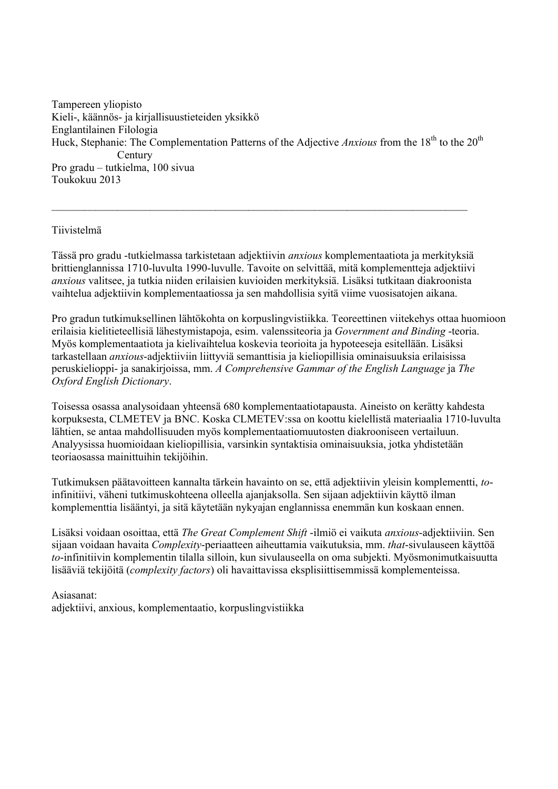Tampereen yliopisto Kieli-, käännös- ja kirjallisuustieteiden yksikkö Englantilainen Filologia Huck, Stephanie: The Complementation Patterns of the Adjective *Anxious* from the 18<sup>th</sup> to the 20<sup>th</sup> **Century** Pro gradu – tutkielma, 100 sivua Toukokuu 2013

Tiivistelmä

Tässä pro gradu -tutkielmassa tarkistetaan adjektiivin *anxious* komplementaatiota ja merkityksiä brittienglannissa 1710-luvulta 1990-luvulle. Tavoite on selvittää, mitä komplementteja adjektiivi *]kuelrp* valitsee, ja tutkia niiden erilaisien kuvioiden merkityksiä. Lisäksi tutkitaan diakroonista vaihtelua adjektiivin komplementaatiossa ja sen mahdollisia syitä viime vuosisatojen aikana.

 $\_$  , and the contribution of the contribution of the contribution of the contribution of  $\mathcal{L}_\text{max}$ 

Pro gradun tutkimuksellinen lähtökohta on korpuslingvistiikka. Teoreettinen viitekehys ottaa huomioon erilaisia kielitieteellisiä lähestymistapoja, esim. valenssiteoria ja *Government and Binding* -teoria. Myös komplementaatiota ja kielivaihtelua koskevia teorioita ja hypoteeseja esitellään. Lisäksi tarkastellaan *anxious*-adjektiiviin liittyviä semanttisia ja kieliopillisia ominaisuuksia erilaisissa peruskielioppi- ja sanakirjoissa, mm. *A Comprehensive Gammar of the English Language* ja *The* **Oxford English Dictionary.** 

Toisessa osassa analysoidaan yhteensä 680 komplementaatiotapausta. Aineisto on kerätty kahdesta korpuksesta, CLMETEV ja BNC. Koska CLMETEV:ssa on koottu kielellistä materiaalia 1710-luvulta lähtien, se antaa mahdollisuuden myös komplementaatiomuutosten diakrooniseen vertailuun. Analyysissa huomioidaan kieliopillisia, varsinkin syntaktisia ominaisuuksia, jotka yhdistetään teoriaosassa mainittuihin tekijöihin.

Tutkimuksen päätavoitteen kannalta tärkein havainto on se, että adjektiivin yleisin komplementti, toinfinitiivi, väheni tutkimuskohteena olleella ajanjaksolla. Sen sijaan adjektiivin käyttö ilman komplementtia lisääntyi, ja sitä käytetään nykyajan englannissa enemmän kun koskaan ennen.

Lisäksi voidaan osoittaa, että *The Great Complement Shift* -ilmiö ei vaikuta *anxious*-adjektiiviin. Sen sijaan voidaan havaita *Complexity*-periaatteen aiheuttamia vaikutuksia, mm. *that*-sivulauseen käyttöä *ql*-infinitiivin komplementin tilalla silloin, kun sivulauseella on oma subjekti. Myösmonimutkaisuutta lisääviä tekijöitä (*complexity factors*) oli havaittavissa eksplisiittisemmissä komplementeissa.

Asiasanat: adjektiivi, anxious, komplementaatio, korpuslingvistiikka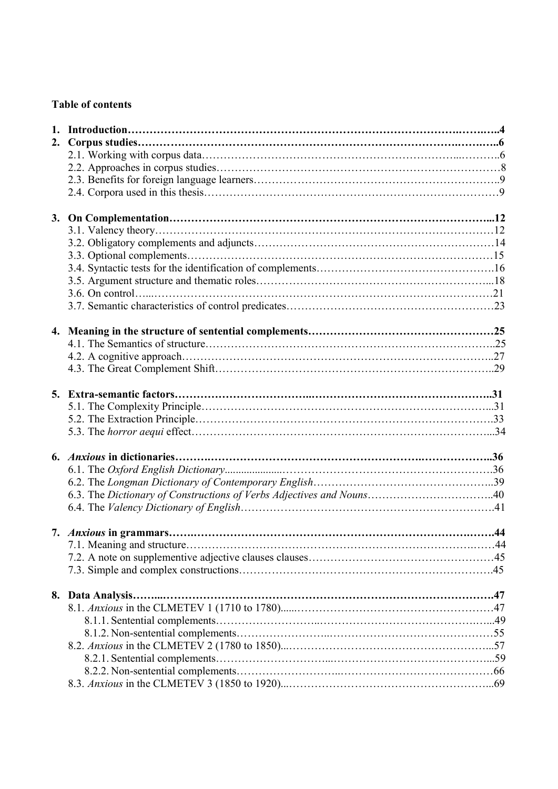# **Table of contents**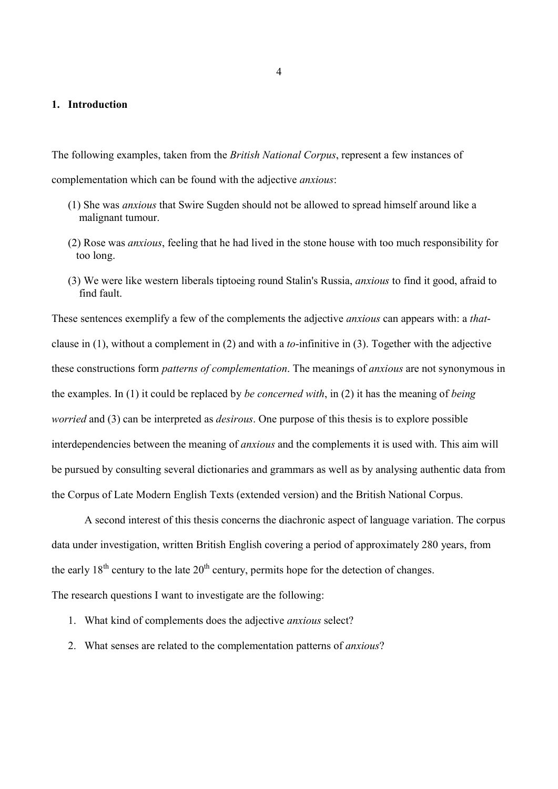# **1. Introduction**

The following examples, taken from the *British National Corpus*, represent a few instances of complementation which can be found with the adjective *anxious*:

- (1) She was *anxious* that Swire Sugden should not be allowed to spread himself around like a malignant tumour.
- (2) Rose was *anxious*, feeling that he had lived in the stone house with too much responsibility for too long.
- (3) We were like western liberals tiptoeing round Stalin's Russia, *anxious* to find it good, afraid to find fault.

These sentences exemplify a few of the complements the adjective *anxious* can appears with: a *that*clause in (1), without a complement in (2) and with a *to*-infinitive in (3). Together with the adjective these constructions form *patterns of complementation*. The meanings of *anxious* are not synonymous in the examples. In (1) it could be replaced by *be concerned with*, in (2) it has the meaning of *being thereforea* and (3) can be interpreted as *desirous*. One purpose of this thesis is to explore possible interdependencies between the meaning of *anxious* and the complements it is used with. This aim will be pursued by consulting several dictionaries and grammars as well as by analysing authentic data from the Corpus of Late Modern English Texts (extended version) and the British National Corpus.

A second interest of this thesis concerns the diachronic aspect of language variation. The corpus data under investigation, written British English covering a period of approximately 280 years, from the early  $18<sup>th</sup>$  century to the late  $20<sup>th</sup>$  century, permits hope for the detection of changes. The research questions I want to investigate are the following:

- 1. What kind of complements does the adjective *anxious* select?
- 2. What senses are related to the complementation patterns of *anxious*?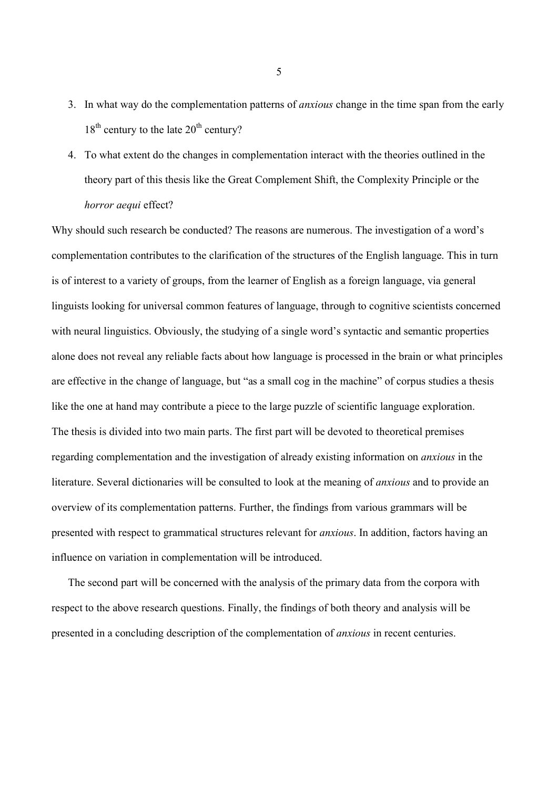- 3. In what way do the complementation patterns of *anxious* change in the time span from the early  $18<sup>th</sup>$  century to the late  $20<sup>th</sup>$  century?
- 4. To what extent do the changes in complementation interact with the theories outlined in the theory part of this thesis like the Great Complement Shift, the Complexity Principle or the *horror aequi* effect?

Why should such research be conducted? The reasons are numerous. The investigation of a word's complementation contributes to the clarification of the structures of the English language. This in turn is of interest to a variety of groups, from the learner of English as a foreign language, via general linguists looking for universal common features of language, through to cognitive scientists concerned with neural linguistics. Obviously, the studying of a single word's syntactic and semantic properties alone does not reveal any reliable facts about how language is processed in the brain or what principles are effective in the change of language, but "as a small cog in the machine" of corpus studies a thesis like the one at hand may contribute a piece to the large puzzle of scientific language exploration. The thesis is divided into two main parts. The first part will be devoted to theoretical premises regarding complementation and the investigation of already existing information on *anxious* in the literature. Several dictionaries will be consulted to look at the meaning of *anxious* and to provide an overview of its complementation patterns. Further, the findings from various grammars will be presented with respect to grammatical structures relevant for *anxious*. In addition, factors having an influence on variation in complementation will be introduced.

The second part will be concerned with the analysis of the primary data from the corpora with respect to the above research questions. Finally, the findings of both theory and analysis will be presented in a concluding description of the complementation of *anxious* in recent centuries.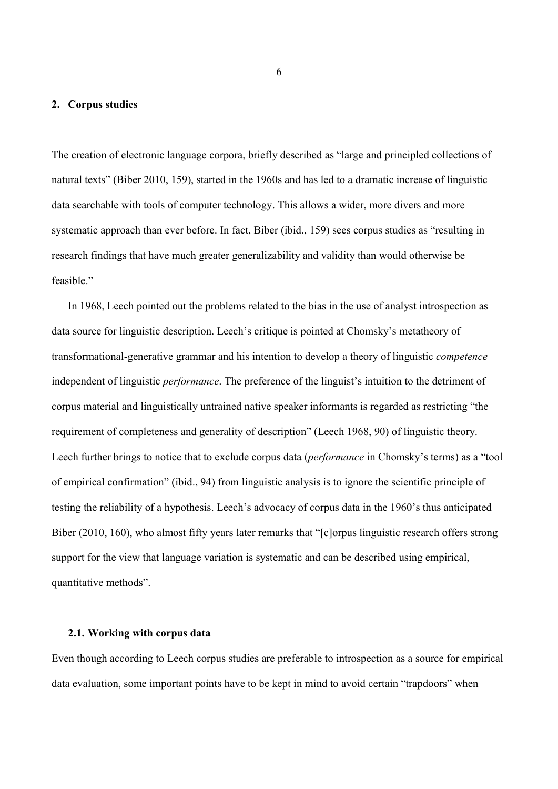# **2. Corpus studies**

The creation of electronic language corpora, briefly described as "large and principled collections of natural texts" (Biber 2010, 159), started in the 1960s and has led to a dramatic increase of linguistic data searchable with tools of computer technology. This allows a wider, more divers and more systematic approach than ever before. In fact, Biber (ibid., 159) sees corpus studies as "resulting in research findings that have much greater generalizability and validity than would otherwise be feasible."

In 1968, Leech pointed out the problems related to the bias in the use of analyst introspection as data source for linguistic description. Leech's critique is pointed at Chomsky's metatheory of transformational-generative grammar and his intention to develop a theory of linguistic *competence* independent of linguistic *performance*. The preference of the linguist's intuition to the detriment of corpus material and linguistically untrained native speaker informants is regarded as restricting "the requirement of completeness and generality of description" (Leech 1968, 90) of linguistic theory. Leech further brings to notice that to exclude corpus data (*performance* in Chomsky's terms) as a "tool of empirical confirmation" (ibid., 94) from linguistic analysis is to ignore the scientific principle of testing the reliability of a hypothesis. Leech's advocacy of corpus data in the 1960's thus anticipated Biber (2010, 160), who almost fifty years later remarks that "[c]orpus linguistic research offers strong support for the view that language variation is systematic and can be described using empirical, quantitative methods".

# **2.1. Working with corpus data**

Even though according to Leech corpus studies are preferable to introspection as a source for empirical data evaluation, some important points have to be kept in mind to avoid certain "trapdoors" when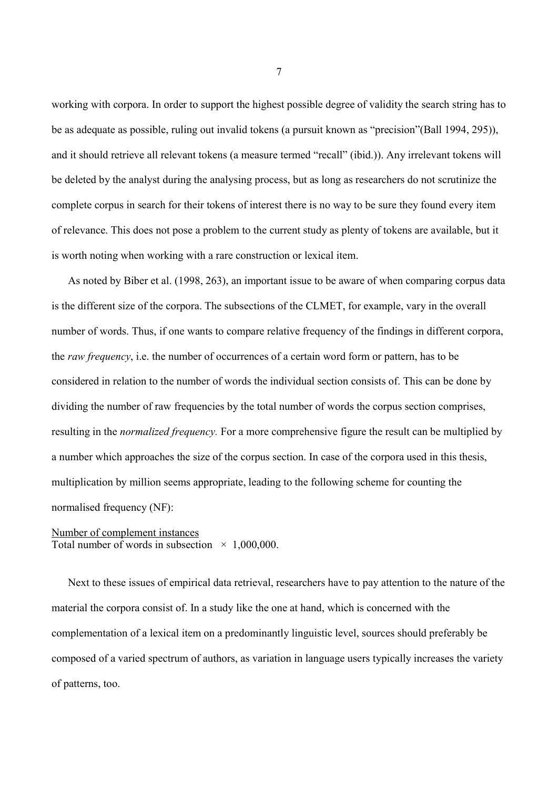working with corpora. In order to support the highest possible degree of validity the search string has to be as adequate as possible, ruling out invalid tokens (a pursuit known as "precision"(Ball 1994, 295)), and it should retrieve all relevant tokens (a measure termed "recall" (ibid.)). Any irrelevant tokens will be deleted by the analyst during the analysing process, but as long as researchers do not scrutinize the complete corpus in search for their tokens of interest there is no way to be sure they found every item of relevance. This does not pose a problem to the current study as plenty of tokens are available, but it is worth noting when working with a rare construction or lexical item.

As noted by Biber et al. (1998, 263), an important issue to be aware of when comparing corpus data is the different size of the corpora. The subsections of the CLMET, for example, vary in the overall number of words. Thus, if one wants to compare relative frequency of the findings in different corpora, the *raw frequency*, i.e. the number of occurrences of a certain word form or pattern, has to be considered in relation to the number of words the individual section consists of. This can be done by dividing the number of raw frequencies by the total number of words the corpus section comprises, resulting in the *normalized frequency*. For a more comprehensive figure the result can be multiplied by a number which approaches the size of the corpus section. In case of the corpora used in this thesis, multiplication by million seems appropriate, leading to the following scheme for counting the normalised frequency (NF):

# Number of complement instances Total number of words in subsection  $\times$  1,000,000.

Next to these issues of empirical data retrieval, researchers have to pay attention to the nature of the material the corpora consist of. In a study like the one at hand, which is concerned with the complementation of a lexical item on a predominantly linguistic level, sources should preferably be composed of a varied spectrum of authors, as variation in language users typically increases the variety of patterns, too.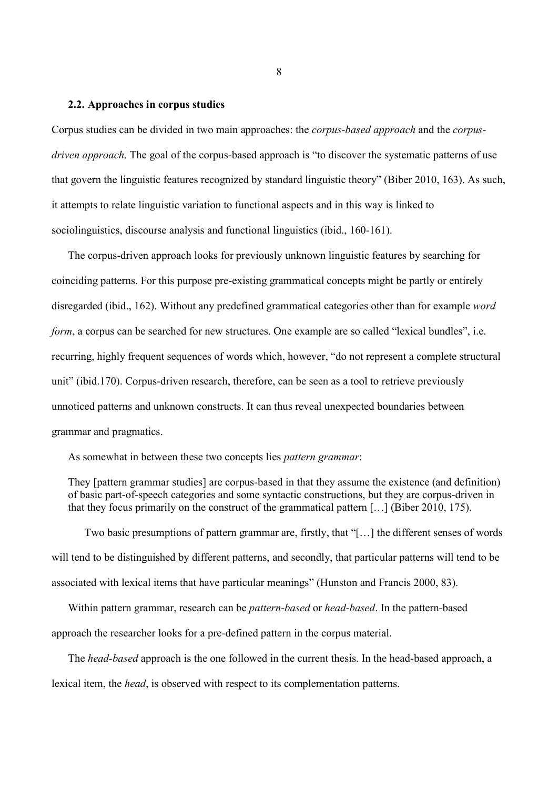#### **2.2. Approaches in corpus studies**

Corpus studies can be divided in two main approaches: the *corpus-based approach* and the *corpusdriven approach*. The goal of the corpus-based approach is "to discover the systematic patterns of use that govern the linguistic features recognized by standard linguistic theory" (Biber 2010, 163). As such, it attempts to relate linguistic variation to functional aspects and in this way is linked to sociolinguistics, discourse analysis and functional linguistics (ibid., 160-161).

The corpus-driven approach looks for previously unknown linguistic features by searching for coinciding patterns. For this purpose pre-existing grammatical concepts might be partly or entirely disregarded (ibid., 162). Without any predefined grammatical categories other than for example *word form*, a corpus can be searched for new structures. One example are so called "lexical bundles", i.e. recurring, highly frequent sequences of words which, however, "do not represent a complete structural unit" (ibid.170). Corpus-driven research, therefore, can be seen as a tool to retrieve previously unnoticed patterns and unknown constructs. It can thus reveal unexpected boundaries between grammar and pragmatics.

As somewhat in between these two concepts lies *pattern grammar*:

They [pattern grammar studies] are corpus-based in that they assume the existence (and definition) of basic part-of-speech categories and some syntactic constructions, but they are corpus-driven in that they focus primarily on the construct of the grammatical pattern […] (Biber 2010, 175).

Two basic presumptions of pattern grammar are, firstly, that "[…] the different senses of words will tend to be distinguished by different patterns, and secondly, that particular patterns will tend to be associated with lexical items that have particular meanings" (Hunston and Francis 2000, 83).

Within pattern grammar, research can be *pattern-based* or *head-based*. In the pattern-based approach the researcher looks for a pre-defined pattern in the corpus material.

The *head-based* approach is the one followed in the current thesis. In the head-based approach, a lexical item, the *head*, is observed with respect to its complementation patterns.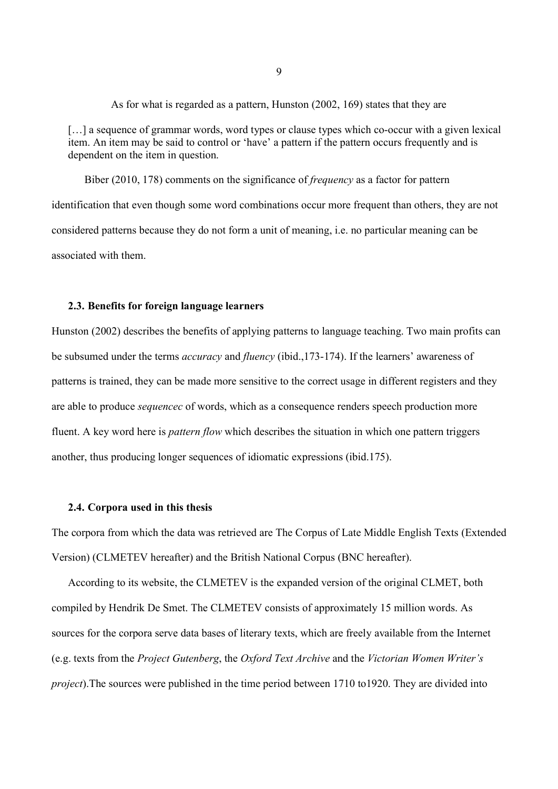As for what is regarded as a pattern, Hunston (2002, 169) states that they are

[...] a sequence of grammar words, word types or clause types which co-occur with a given lexical item. An item may be said to control or 'have' a pattern if the pattern occurs frequently and is dependent on the item in question.

Biber (2010, 178) comments on the significance of *frequency* as a factor for pattern identification that even though some word combinations occur more frequent than others, they are not considered patterns because they do not form a unit of meaning, i.e. no particular meaning can be associated with them.

# **2.3. Benefits for foreign language learners**

Hunston (2002) describes the benefits of applying patterns to language teaching. Two main profits can be subsumed under the terms *accuracy* and *fluency* (ibid.,173-174). If the learners' awareness of patterns is trained, they can be made more sensitive to the correct usage in different registers and they are able to produce *sequencec* of words, which as a consequence renders speech production more fluent. A key word here is *pattern flow* which describes the situation in which one pattern triggers another, thus producing longer sequences of idiomatic expressions (ibid.175).

## **2.4. Corpora used in this thesis**

The corpora from which the data was retrieved are The Corpus of Late Middle English Texts (Extended Version) (CLMETEV hereafter) and the British National Corpus (BNC hereafter).

According to its website, the CLMETEV is the expanded version of the original CLMET, both compiled by Hendrik De Smet. The CLMETEV consists of approximately 15 million words. As sources for the corpora serve data bases of literary texts, which are freely available from the Internet (e.g. texts from the *Project Gutenberg*, the *Oxford Text Archive* and the *Victorian Women Writer's project*). The sources were published in the time period between 1710 to1920. They are divided into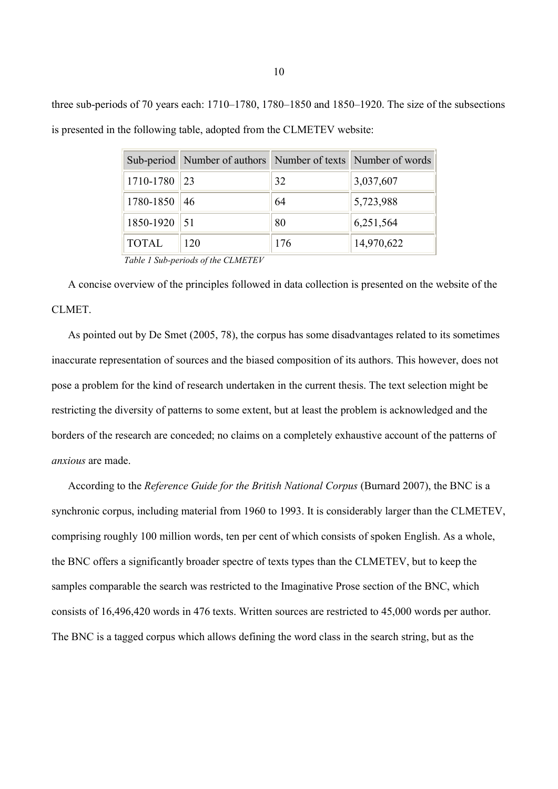three sub-periods of 70 years each: 1710–1780, 1780–1850 and 1850–1920. The size of the subsections is presented in the following table, adopted from the CLMETEV website:

|                                                                    | Sub-period Number of authors Number of texts Number of words |     |            |  |  |  |  |
|--------------------------------------------------------------------|--------------------------------------------------------------|-----|------------|--|--|--|--|
| 1710-1780                                                          | 23                                                           | 32  | 3,037,607  |  |  |  |  |
| 1780-1850                                                          | 46                                                           | 64  | 5,723,988  |  |  |  |  |
| $1850 - 1920$ 51                                                   |                                                              | 80  | 6,251,564  |  |  |  |  |
| <b>TOTAL</b>                                                       | 120                                                          | 176 | 14,970,622 |  |  |  |  |
| $T_{\alpha}$ kla 1 $\mathcal{C}_{\alpha}$ k navisda af the CLMETEV |                                                              |     |            |  |  |  |  |

*Pable 1 Sub-periods of the CLMETEV* 

A concise overview of the principles followed in data collection is presented on the website of the CLMET.

As pointed out by De Smet (2005, 78), the corpus has some disadvantages related to its sometimes inaccurate representation of sources and the biased composition of its authors. This however, does not pose a problem for the kind of research undertaken in the current thesis. The text selection might be restricting the diversity of patterns to some extent, but at least the problem is acknowledged and the borders of the research are conceded; no claims on a completely exhaustive account of the patterns of *anxious* are made.

According to the *Reference Guide for the British National Corpus* (Burnard 2007), the BNC is a synchronic corpus, including material from 1960 to 1993. It is considerably larger than the CLMETEV, comprising roughly 100 million words, ten per cent of which consists of spoken English. As a whole, the BNC offers a significantly broader spectre of texts types than the CLMETEV, but to keep the samples comparable the search was restricted to the Imaginative Prose section of the BNC, which consists of 16,496,420 words in 476 texts. Written sources are restricted to 45,000 words per author. The BNC is a tagged corpus which allows defining the word class in the search string, but as the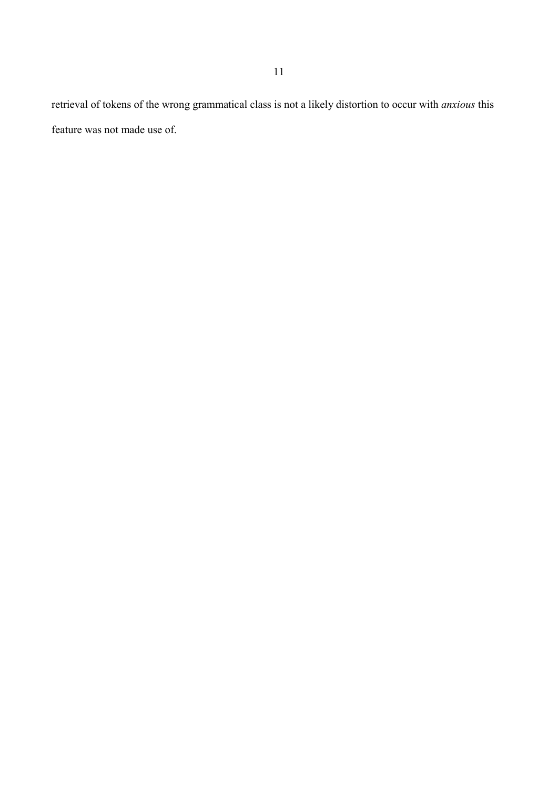retrieval of tokens of the wrong grammatical class is not a likely distortion to occur with *anxious* this feature was not made use of.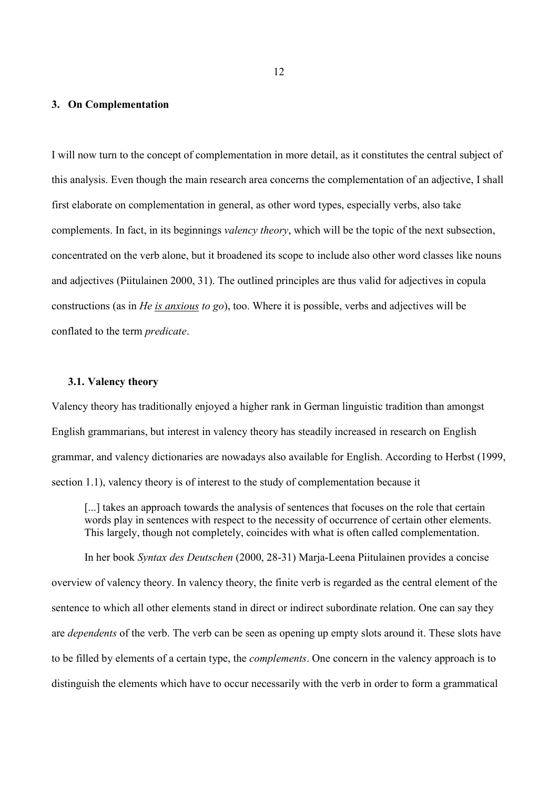# **3. On Complementation**

I will now turn to the concept of complementation in more detail, as it constitutes the central subject of this analysis. Even though the main research area concerns the complementation of an adjective, I shall first elaborate on complementation in general, as other word types, especially verbs, also take complements. In fact, in its beginnings *valency theory*, which will be the topic of the next subsection, concentrated on the verb alone, but it broadened its scope to include also other word classes like nouns and adjectives (Piitulainen 2000, 31). The outlined principles are thus valid for adjectives in copula constructions (as in *He is anxious to go*), too. Where it is possible, verbs and adjectives will be conflated to the term *predicate*.

## **3.1. Valency theory**

Valency theory has traditionally enjoyed a higher rank in German linguistic tradition than amongst English grammarians, but interest in valency theory has steadily increased in research on English grammar, and valency dictionaries are nowadays also available for English. According to Herbst (1999, section 1.1), valency theory is of interest to the study of complementation because it

[...] takes an approach towards the analysis of sentences that focuses on the role that certain words play in sentences with respect to the necessity of occurrence of certain other elements. This largely, though not completely, coincides with what is often called complementation.

In her book *Syntax des Deutschen* (2000, 28-31) Marja-Leena Piitulainen provides a concise overview of valency theory. In valency theory, the finite verb is regarded as the central element of the sentence to which all other elements stand in direct or indirect subordinate relation. One can say they are *dependents* of the verb. The verb can be seen as opening up empty slots around it. These slots have to be filled by elements of a certain type, the *complements*. One concern in the valency approach is to distinguish the elements which have to occur necessarily with the verb in order to form a grammatical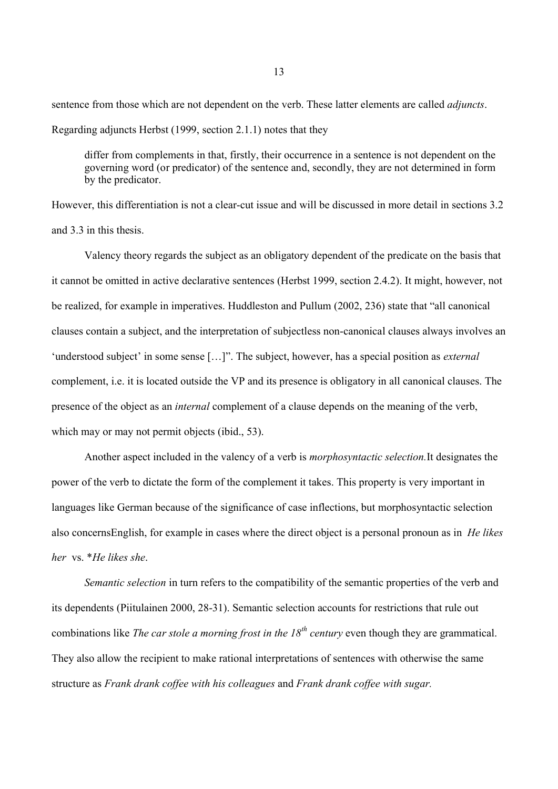sentence from those which are not dependent on the verb. These latter elements are called *adjuncts*. Regarding adjuncts Herbst (1999, section 2.1.1) notes that they

differ from complements in that, firstly, their occurrence in a sentence is not dependent on the governing word (or predicator) of the sentence and, secondly, they are not determined in form by the predicator.

However, this differentiation is not a clear-cut issue and will be discussed in more detail in sections 3.2 and 3.3 in this thesis.

Valency theory regards the subject as an obligatory dependent of the predicate on the basis that it cannot be omitted in active declarative sentences (Herbst 1999, section 2.4.2). It might, however, not be realized, for example in imperatives. Huddleston and Pullum (2002, 236) state that "all canonical clauses contain a subject, and the interpretation of subjectless non-canonical clauses always involves an 'understood subject' in some sense [...]". The subject, however, has a special position as *external* complement, i.e. it is located outside the VP and its presence is obligatory in all canonical clauses. The presence of the object as an *internal* complement of a clause depends on the meaning of the verb, which may or may not permit objects (ibid., 53).

Another aspect included in the valency of a verb is *morphosyntactic selection*. It designates the power of the verb to dictate the form of the complement it takes. This property is very important in languages like German because of the significance of case inflections, but morphosyntactic selection also concernsEnglish, for example in cases where the direct object is a personal pronoun as in *He likes her* vs. *\*He likes she.* 

*Semantic selection* in turn refers to the compatibility of the semantic properties of the verb and its dependents (Piitulainen 2000, 28-31). Semantic selection accounts for restrictions that rule out combinations like *The car stole a morning frost in the 18<sup>th</sup> century* even though they are grammatical. They also allow the recipient to make rational interpretations of sentences with otherwise the same structure as *Frank drank coffee with his colleagues* and *Frank drank coffee with sugar*.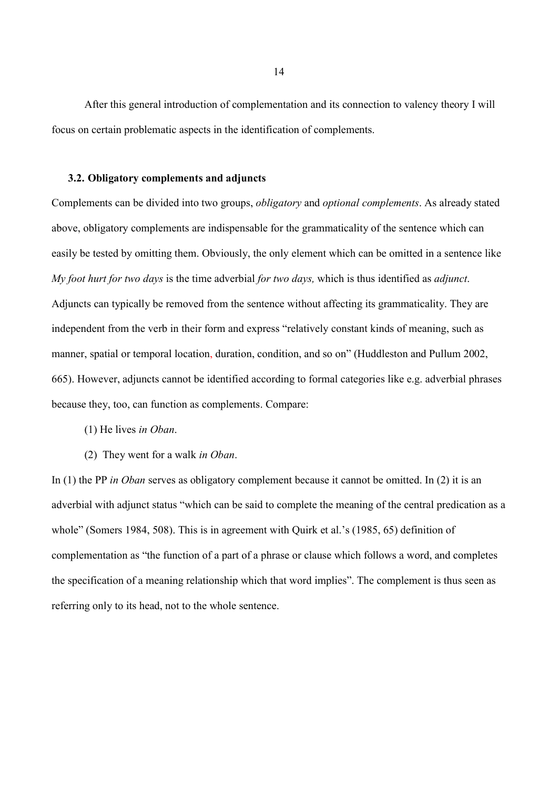After this general introduction of complementation and its connection to valency theory I will focus on certain problematic aspects in the identification of complements.

## **3.2. Obligatory complements and adjuncts**

Complements can be divided into two groups, *obligatory* and *optional complements*. As already stated above, obligatory complements are indispensable for the grammaticality of the sentence which can easily be tested by omitting them. Obviously, the only element which can be omitted in a sentence like *If ivele if the two days* is the time adverbial *for two days*, which is thus identified as *adjunct*. Adjuncts can typically be removed from the sentence without affecting its grammaticality. They are independent from the verb in their form and express "relatively constant kinds of meaning, such as manner, spatial or temporal location, duration, condition, and so on" (Huddleston and Pullum 2002, 665). However, adjuncts cannot be identified according to formal categories like e.g. adverbial phrases because they, too, can function as complements. Compare:

- (1) He lives *in Oban*.
- (2) They went for a walk *in Oban*.

In (1) the PP *in Oban* serves as obligatory complement because it cannot be omitted. In (2) it is an adverbial with adjunct status "which can be said to complete the meaning of the central predication as a whole" (Somers 1984, 508). This is in agreement with Quirk et al.'s (1985, 65) definition of complementation as "the function of a part of a phrase or clause which follows a word, and completes the specification of a meaning relationship which that word implies". The complement is thus seen as referring only to its head, not to the whole sentence.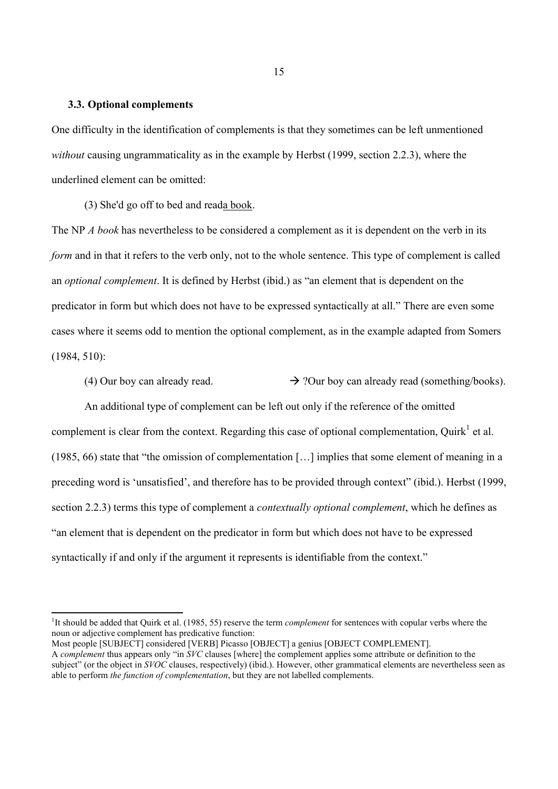### **3.3. Optional complements**

One difficulty in the identification of complements is that they sometimes can be left unmentioned *tehatrically* causing ungrammaticality as in the example by Herbst (1999, section 2.2.3), where the underlined element can be omitted:

(3) She'd go off to bed and reada book.

The NP *A book* has nevertheless to be considered a complement as it is dependent on the verb in its *form* and in that it refers to the verb only, not to the whole sentence. This type of complement is called an *optional complement*. It is defined by Herbst (ibid.) as "an element that is dependent on the predicator in form but which does not have to be expressed syntactically at all." There are even some cases where it seems odd to mention the optional complement, as in the example adapted from Somers (1984, 510):

(4) Our boy can already read.  $\rightarrow$  ?Our boy can already read (something/books).

An additional type of complement can be left out only if the reference of the omitted complement is clear from the context. Regarding this case of optional complementation, Quirk<sup>1</sup> et al. (1985, 66) state that "the omission of complementation […] implies that some element of meaning in a preceding word is 'unsatisfied', and therefore has to be provided through context" (ibid.). Herbst (1999, section 2.2.3) terms this type of complement a *contextually optional complement*, which he defines as "an element that is dependent on the predicator in form but which does not have to be expressed syntactically if and only if the argument it represents is identifiable from the context."

<sup>&</sup>lt;sup>1</sup>It should be added that Quirk et al. (1985, 55) reserve the term *complement* for sentences with copular verbs where the noun or adjective complement has predicative function:

Most people [SUBJECT] considered [VERB] Picasso [OBJECT] a genius [OBJECT COMPLEMENT]. A *complement* thus appears only "in *SVC* clauses [where] the complement applies some attribute or definition to the subject" (or the object in *SVOC* clauses, respectively) (ibid.). However, other grammatical elements are nevertheless seen as able to perform *the function of complementation*, but they are not labelled complements.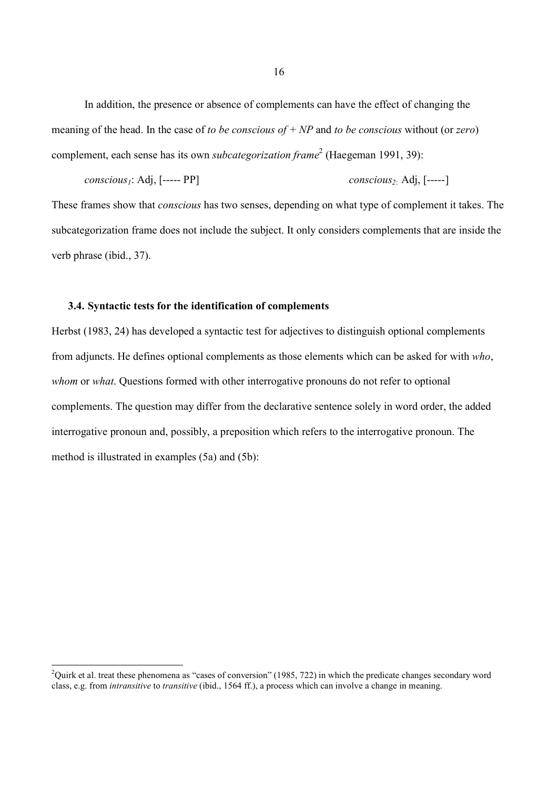In addition, the presence or absence of complements can have the effect of changing the meaning of the head. In the case of *to be conscious of + NP* and *to be conscious* without (or *zero*) complement, each sense has its own *subcategorization frame*<sup>2</sup> (Haegeman 1991, 39):

*conscious<sub>1</sub>*: Adj, [----- PP] *conscious<sub>2</sub>*. Adj, [-----]

These frames show that *conscious* has two senses, depending on what type of complement it takes. The subcategorization frame does not include the subject. It only considers complements that are inside the verb phrase (ibid., 37).

# **3.4. Syntactic tests for the identification of complements**

Herbst (1983, 24) has developed a syntactic test for adjectives to distinguish optional complements from adjuncts. He defines optional complements as those elements which can be asked for with *who*, *whom* or *what*. Questions formed with other interrogative pronouns do not refer to optional complements. The question may differ from the declarative sentence solely in word order, the added interrogative pronoun and, possibly, a preposition which refers to the interrogative pronoun. The method is illustrated in examples (5a) and (5b):

 $2$ Quirk et al. treat these phenomena as "cases of conversion" (1985, 722) in which the predicate changes secondary word class, e.g. from *intransitive* to *transitive* (ibid., 1564 ff.), a process which can involve a change in meaning.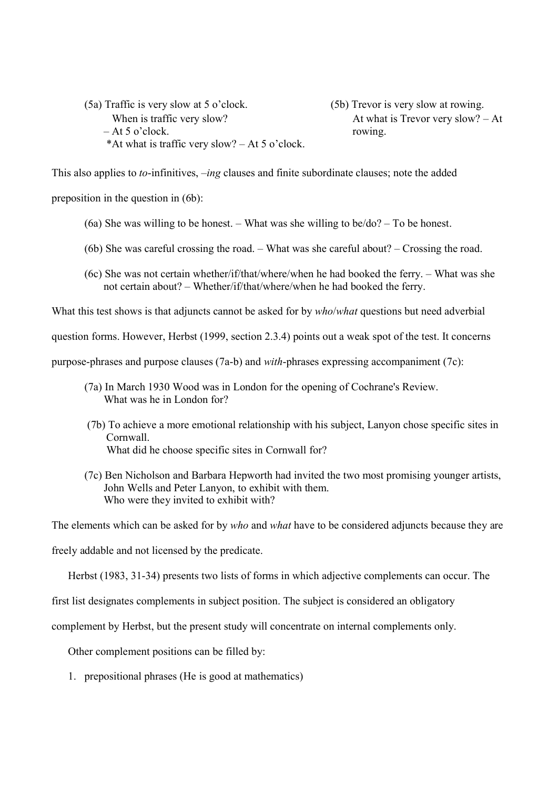(5a) Traffic is very slow at 5 o'clock. When is traffic very slow?  $-$  At 5 o'clock.

\*At what is traffic very slow?  $-$  At 5 o'clock.

 (5b) Trevor is very slow at rowing. At what is Trevor very slow? – At rowing.

This also applies to *to*-infinitives, *–ing* clauses and finite subordinate clauses; note the added

preposition in the question in (6b):

- (6a) She was willing to be honest. What was she willing to be/do? To be honest.
- (6b) She was careful crossing the road. What was she careful about? Crossing the road.
- (6c) She was not certain whether/if/that/where/when he had booked the ferry. What was she not certain about? – Whether/if/that/where/when he had booked the ferry.

What this test shows is that adjuncts cannot be asked for by *who/what* questions but need adverbial

question forms. However, Herbst (1999, section 2.3.4) points out a weak spot of the test. It concerns

purpose-phrases and purpose clauses (7a-b) and *with*-phrases expressing accompaniment (7c):

- (7a) In March 1930 Wood was in London for the opening of Cochrane's Review. What was he in London for?
- (7b) To achieve a more emotional relationship with his subject, Lanyon chose specific sites in Cornwall. What did he choose specific sites in Cornwall for?
- (7c) Ben Nicholson and Barbara Hepworth had invited the two most promising younger artists, John Wells and Peter Lanyon, to exhibit with them. Who were they invited to exhibit with?

The elements which can be asked for by *who* and *what* have to be considered adjuncts because they are

freely addable and not licensed by the predicate.

Herbst (1983, 31-34) presents two lists of forms in which adjective complements can occur. The

first list designates complements in subject position. The subject is considered an obligatory

complement by Herbst, but the present study will concentrate on internal complements only.

Other complement positions can be filled by:

1. prepositional phrases (He is good at mathematics)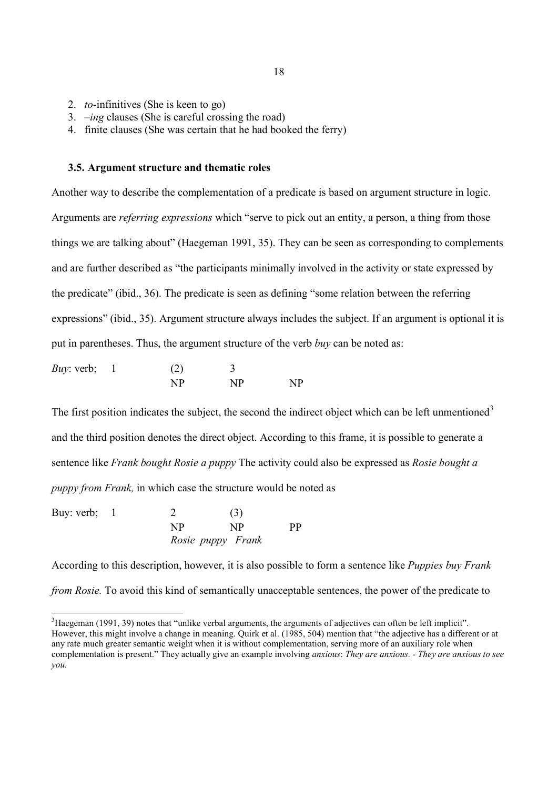- 2. *to*-infinitives (She is keen to go)
- 3. *–ing* clauses (She is careful crossing the road)
- 4. finite clauses (She was certain that he had booked the ferry)

#### **3.5. Argument structure and thematic roles**

Another way to describe the complementation of a predicate is based on argument structure in logic. Arguments are *referring expressions* which "serve to pick out an entity, a person, a thing from those things we are talking about" (Haegeman 1991, 35). They can be seen as corresponding to complements and are further described as "the participants minimally involved in the activity or state expressed by the predicate" (ibid., 36). The predicate is seen as defining "some relation between the referring expressions" (ibid., 35). Argument structure always includes the subject. If an argument is optional it is put in parentheses. Thus, the argument structure of the verb *buv* can be noted as:

| <i>Buy</i> : verb; | (2) |     |    |
|--------------------|-----|-----|----|
|                    | NP  | NP. | NP |

The first position indicates the subject, the second the indirect object which can be left unmentioned<sup>3</sup> and the third position denotes the direct object. According to this frame, it is possible to generate a sentence like *Frank bought Rosie a puppy* The activity could also be expressed as *Rosie bought a puppy from Frank*, in which case the structure would be noted as

Buy: verb;  $1 \t 2 \t (3)$ NP PP *Rosie puppy Frank* 

According to this description, however, it is also possible to form a sentence like *Puppies buy Frank from Rosie.* To avoid this kind of semantically unacceptable sentences, the power of the predicate to

 $3H$ aegeman (1991, 39) notes that "unlike verbal arguments, the arguments of adjectives can often be left implicit". However, this might involve a change in meaning. Quirk et al. (1985, 504) mention that "the adjective has a different or at any rate much greater semantic weight when it is without complementation, serving more of an auxiliary role when complementation is present." They actually give an example involving *anxious*: *Phey are anxious*. *- They are anxious to see vou.*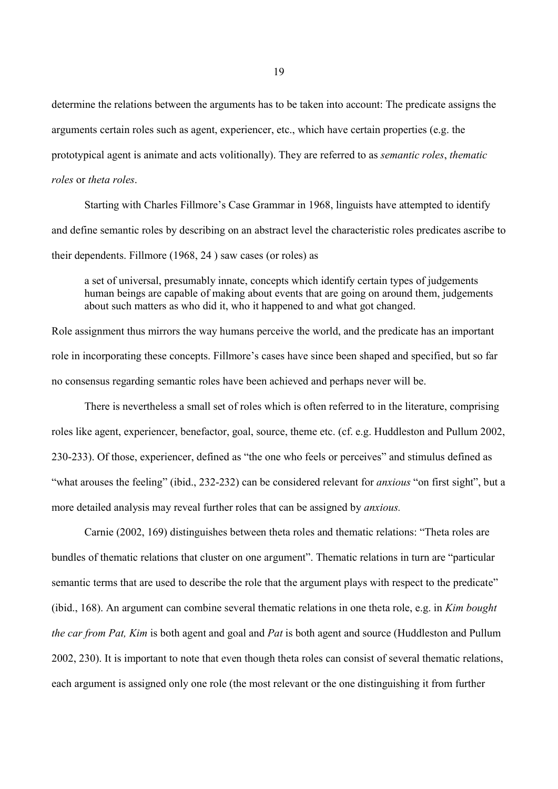determine the relations between the arguments has to be taken into account: The predicate assigns the arguments certain roles such as agent, experiencer, etc., which have certain properties (e.g. the prototypical agent is animate and acts volitionally). They are referred to as *semantic roles*, *thematic roles* or *theta roles*.

Starting with Charles Fillmore's Case Grammar in 1968, linguists have attempted to identify and define semantic roles by describing on an abstract level the characteristic roles predicates ascribe to their dependents. Fillmore (1968, 24 ) saw cases (or roles) as

a set of universal, presumably innate, concepts which identify certain types of judgements human beings are capable of making about events that are going on around them, judgements about such matters as who did it, who it happened to and what got changed.

Role assignment thus mirrors the way humans perceive the world, and the predicate has an important role in incorporating these concepts. Fillmore's cases have since been shaped and specified, but so far no consensus regarding semantic roles have been achieved and perhaps never will be.

There is nevertheless a small set of roles which is often referred to in the literature, comprising roles like agent, experiencer, benefactor, goal, source, theme etc. (cf. e.g. Huddleston and Pullum 2002, 230-233). Of those, experiencer, defined as "the one who feels or perceives" and stimulus defined as "what arouses the feeling" (ibid., 232-232) can be considered relevant for *anxious* "on first sight", but a more detailed analysis may reveal further roles that can be assigned by *anxious*.

Carnie (2002, 169) distinguishes between theta roles and thematic relations: "Theta roles are bundles of thematic relations that cluster on one argument". Thematic relations in turn are "particular semantic terms that are used to describe the role that the argument plays with respect to the predicate" (ibid., 168). An argument can combine several thematic relations in one theta role, e.g. in *Kim bought the car from Pat, Kim* is both agent and goal and *Pat* is both agent and source (Huddleston and Pullum 2002, 230). It is important to note that even though theta roles can consist of several thematic relations, each argument is assigned only one role (the most relevant or the one distinguishing it from further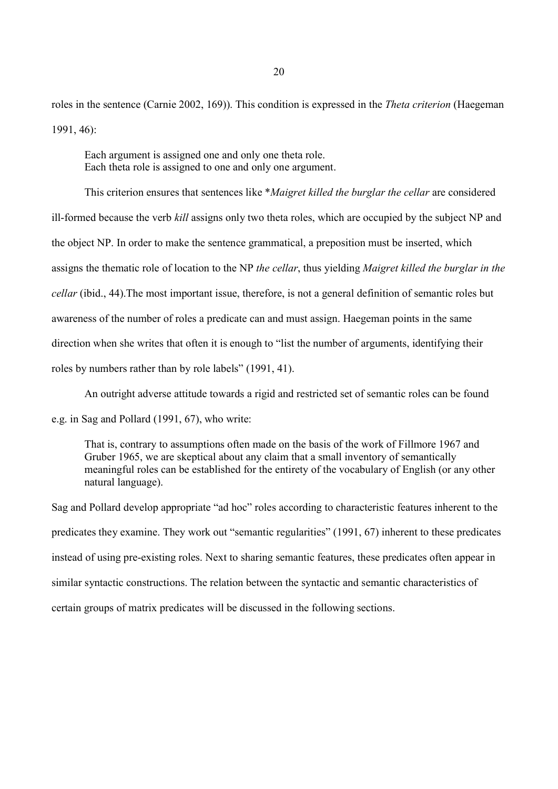roles in the sentence (Carnie 2002, 169)). This condition is expressed in the *Theta criterion* (Haegeman 1991, 46):

Each argument is assigned one and only one theta role. Each theta role is assigned to one and only one argument.

This criterion ensures that sentences like \**Maigret killed the burglar the cellar* are considered

ill-formed because the verb *kill* assigns only two theta roles, which are occupied by the subject NP and

the object NP. In order to make the sentence grammatical, a preposition must be inserted, which

assigns the thematic role of location to the NP *the cellar*, thus yielding *Maigret killed the burglar in the* 

*cellar* (ibid., 44). The most important issue, therefore, is not a general definition of semantic roles but

awareness of the number of roles a predicate can and must assign. Haegeman points in the same

direction when she writes that often it is enough to "list the number of arguments, identifying their

roles by numbers rather than by role labels" (1991, 41).

An outright adverse attitude towards a rigid and restricted set of semantic roles can be found

e.g. in Sag and Pollard (1991, 67), who write:

That is, contrary to assumptions often made on the basis of the work of Fillmore 1967 and Gruber 1965, we are skeptical about any claim that a small inventory of semantically meaningful roles can be established for the entirety of the vocabulary of English (or any other natural language).

Sag and Pollard develop appropriate "ad hoc" roles according to characteristic features inherent to the predicates they examine. They work out "semantic regularities" (1991, 67) inherent to these predicates instead of using pre-existing roles. Next to sharing semantic features, these predicates often appear in similar syntactic constructions. The relation between the syntactic and semantic characteristics of certain groups of matrix predicates will be discussed in the following sections.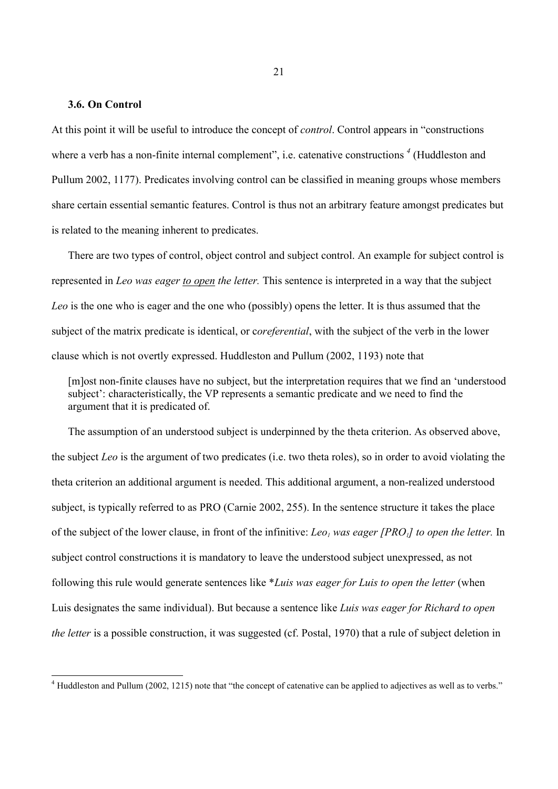# **3.6. On Control**

At this point it will be useful to introduce the concept of *control*. Control appears in "constructions" where a verb has a non-finite internal complement", i.e. catenative constructions <sup>4</sup> (Huddleston and Pullum 2002, 1177). Predicates involving control can be classified in meaning groups whose members share certain essential semantic features. Control is thus not an arbitrary feature amongst predicates but is related to the meaning inherent to predicates.

There are two types of control, object control and subject control. An example for subject control is represented in *Leo was eager to open the letter*. This sentence is interpreted in a way that the subject *Leo* is the one who is eager and the one who (possibly) opens the letter. It is thus assumed that the subject of the matrix predicate is identical, or coreferential, with the subject of the verb in the lower clause which is not overtly expressed. Huddleston and Pullum (2002, 1193) note that

[m]ost non-finite clauses have no subject, but the interpretation requires that we find an 'understood subject': characteristically, the VP represents a semantic predicate and we need to find the argument that it is predicated of.

The assumption of an understood subject is underpinned by the theta criterion. As observed above, the subject *Hal* is the argument of two predicates (i.e. two theta roles), so in order to avoid violating the theta criterion an additional argument is needed. This additional argument, a non-realized understood subject, is typically referred to as PRO (Carnie 2002, 255). In the sentence structure it takes the place of the subject of the lower clause, in front of the infinitive: *Leo<sub>1</sub>* was eager [PRO<sub>1</sub>] to open the letter. In subject control constructions it is mandatory to leave the understood subject unexpressed, as not following this rule would generate sentences like \**Luis was eager for Luis to open the letter* (when Luis designates the same individual). But because a sentence like *Luis was eager for Richard to open the letter* is a possible construction, it was suggested (cf. Postal, 1970) that a rule of subject deletion in

 $4$  Huddleston and Pullum (2002, 1215) note that "the concept of catenative can be applied to adjectives as well as to verbs."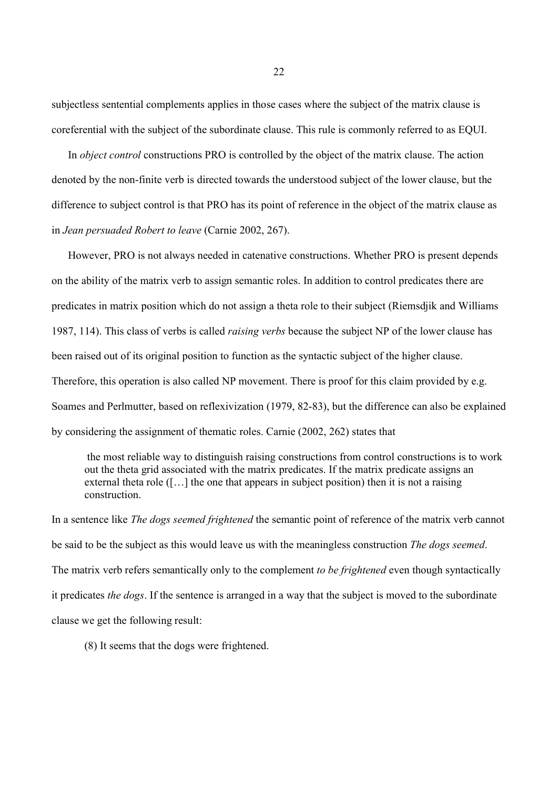subjectless sentential complements applies in those cases where the subject of the matrix clause is coreferential with the subject of the subordinate clause. This rule is commonly referred to as EQUI.

In *object control* constructions PRO is controlled by the object of the matrix clause. The action denoted by the non-finite verb is directed towards the understood subject of the lower clause, but the difference to subject control is that PRO has its point of reference in the object of the matrix clause as in *Jean persuaded Robert to leave* (Carnie 2002, 267).

However, PRO is not always needed in catenative constructions. Whether PRO is present depends on the ability of the matrix verb to assign semantic roles. In addition to control predicates there are predicates in matrix position which do not assign a theta role to their subject (Riemsdjik and Williams 1987, 114). This class of verbs is called *raising verbs* because the subject NP of the lower clause has been raised out of its original position to function as the syntactic subject of the higher clause. Therefore, this operation is also called NP movement. There is proof for this claim provided by e.g. Soames and Perlmutter, based on reflexivization (1979, 82-83), but the difference can also be explained by considering the assignment of thematic roles. Carnie (2002, 262) states that

 the most reliable way to distinguish raising constructions from control constructions is to work out the theta grid associated with the matrix predicates. If the matrix predicate assigns an external theta role ([…] the one that appears in subject position) then it is not a raising construction.

In a sentence like *The dogs seemed frightened* the semantic point of reference of the matrix verb cannot be said to be the subject as this would leave us with the meaningless construction *The dogs seemed*. The matrix verb refers semantically only to the complement *to be frightened* even though syntactically it predicates *the dogs*. If the sentence is arranged in a way that the subject is moved to the subordinate clause we get the following result:

(8) It seems that the dogs were frightened.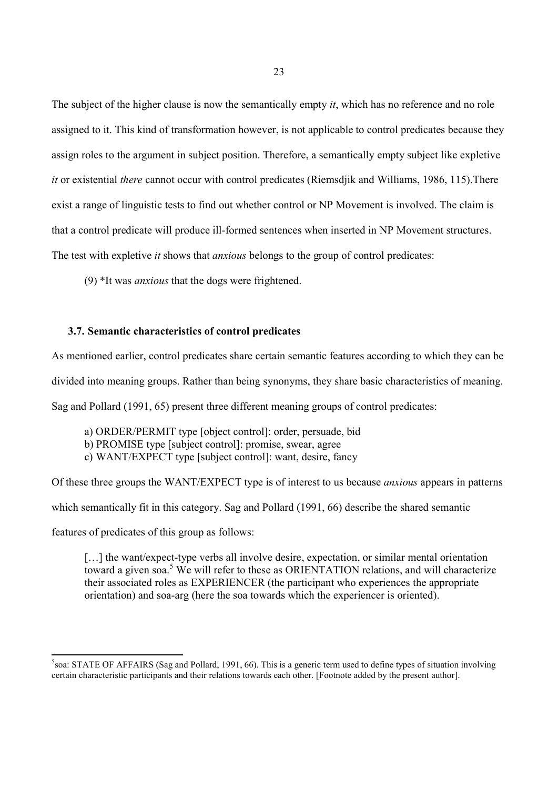The subject of the higher clause is now the semantically empty  $it$ , which has no reference and no role assigned to it. This kind of transformation however, is not applicable to control predicates because they assign roles to the argument in subject position. Therefore, a semantically empty subject like expletive *it* or existential *there* cannot occur with control predicates (Riemsdjik and Williams, 1986, 115). There exist a range of linguistic tests to find out whether control or NP Movement is involved. The claim is that a control predicate will produce ill-formed sentences when inserted in NP Movement structures. The test with expletive *it* shows that *anxious* belongs to the group of control predicates:

 $(9)$  \*It was *anxious* that the dogs were frightened.

# **3.7. Semantic characteristics of control predicates**

As mentioned earlier, control predicates share certain semantic features according to which they can be

divided into meaning groups. Rather than being synonyms, they share basic characteristics of meaning.

Sag and Pollard (1991, 65) present three different meaning groups of control predicates:

- a) ORDER/PERMIT type [object control]: order, persuade, bid
- b) PROMISE type [subject control]: promise, swear, agree
- c) WANT/EXPECT type [subject control]: want, desire, fancy

Of these three groups the WANT/EXPECT type is of interest to us because *anxious* appears in patterns

which semantically fit in this category. Sag and Pollard (1991, 66) describe the shared semantic

features of predicates of this group as follows:

[...] the want/expect-type verbs all involve desire, expectation, or similar mental orientation toward a given soa.<sup>5</sup> We will refer to these as ORIENTATION relations, and will characterize their associated roles as EXPERIENCER (the participant who experiences the appropriate orientation) and soa-arg (here the soa towards which the experiencer is oriented).

<sup>5</sup> soa: STATE OF AFFAIRS (Sag and Pollard, 1991, 66). This is a generic term used to define types of situation involving certain characteristic participants and their relations towards each other. [Footnote added by the present author].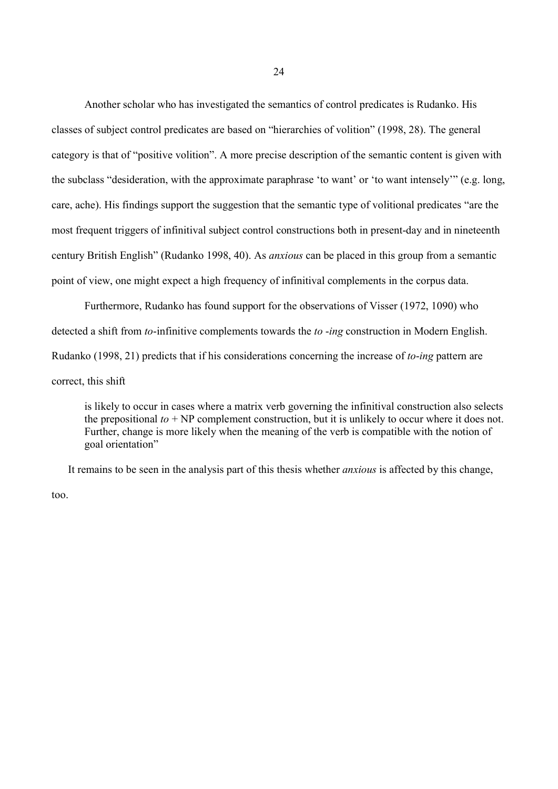Another scholar who has investigated the semantics of control predicates is Rudanko. His classes of subject control predicates are based on "hierarchies of volition" (1998, 28). The general category is that of "positive volition". A more precise description of the semantic content is given with the subclass "desideration, with the approximate paraphrase 'to want' or 'to want intensely'" (e.g. long, care, ache). His findings support the suggestion that the semantic type of volitional predicates "are the most frequent triggers of infinitival subject control constructions both in present-day and in nineteenth century British English" (Rudanko 1998, 40). As *anxious* can be placed in this group from a semantic point of view, one might expect a high frequency of infinitival complements in the corpus data.

Furthermore, Rudanko has found support for the observations of Visser (1972, 1090) who detected a shift from *to*-infinitive complements towards the *to-ing* construction in Modern English. Rudanko (1998, 21) predicts that if his considerations concerning the increase of *to-ing* pattern are correct, this shift

is likely to occur in cases where a matrix verb governing the infinitival construction also selects the prepositional  $t_0$  + NP complement construction, but it is unlikely to occur where it does not. Further, change is more likely when the meaning of the verb is compatible with the notion of goal orientation"

It remains to be seen in the analysis part of this thesis whether *anxious* is affected by this change,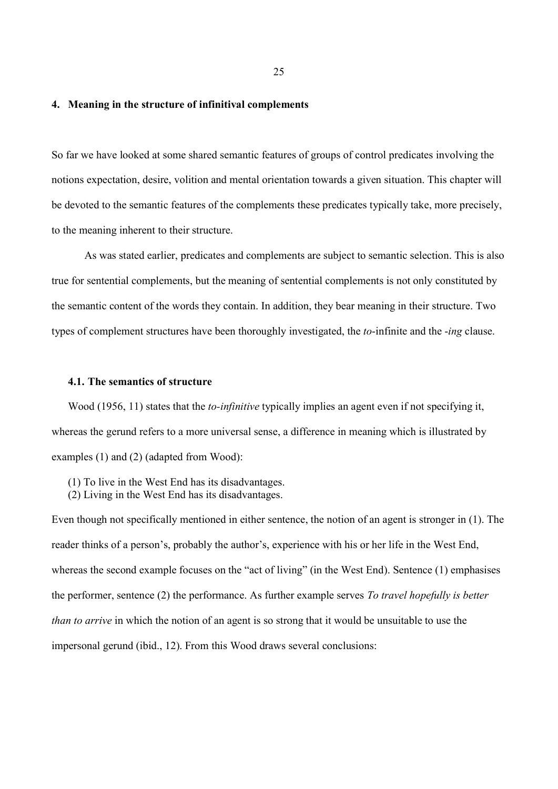### **4. Meaning in the structure of infinitival complements**

So far we have looked at some shared semantic features of groups of control predicates involving the notions expectation, desire, volition and mental orientation towards a given situation. This chapter will be devoted to the semantic features of the complements these predicates typically take, more precisely, to the meaning inherent to their structure.

As was stated earlier, predicates and complements are subject to semantic selection. This is also true for sentential complements, but the meaning of sentential complements is not only constituted by the semantic content of the words they contain. In addition, they bear meaning in their structure. Two types of complement structures have been thoroughly investigated, the *to*-infinite and the *-ing* clause.

# **4.1. The semantics of structure**

Wood (1956, 11) states that the *to-infinitive* typically implies an agent even if not specifying it, whereas the gerund refers to a more universal sense, a difference in meaning which is illustrated by examples (1) and (2) (adapted from Wood):

- (1) To live in the West End has its disadvantages.
- (2) Living in the West End has its disadvantages.

Even though not specifically mentioned in either sentence, the notion of an agent is stronger in (1). The reader thinks of a person's, probably the author's, experience with his or her life in the West End, whereas the second example focuses on the "act of living" (in the West End). Sentence (1) emphasises the performer, sentence (2) the performance. As further example serves *To travel hopefully is better than to arrive* in which the notion of an agent is so strong that it would be unsuitable to use the impersonal gerund (ibid., 12). From this Wood draws several conclusions: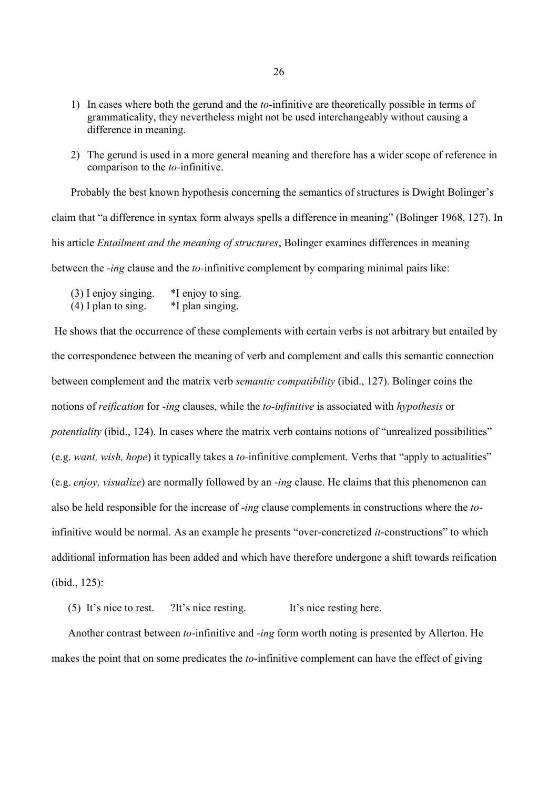- 1) In cases where both the gerund and the *to*-infinitive are theoretically possible in terms of grammaticality, they nevertheless might not be used interchangeably without causing a difference in meaning.
- 2) The gerund is used in a more general meaning and therefore has a wider scope of reference in comparison to the *to*-infinitive.

Probably the best known hypothesis concerning the semantics of structures is Dwight Bolinger's claim that "a difference in syntax form always spells a difference in meaning" (Bolinger 1968, 127). In his article *Entailment and the meaning of structures*, Bolinger examines differences in meaning between the *-ing* clause and the *to*-infinitive complement by comparing minimal pairs like:

- (3) I enjoy singing. \*I enjoy to sing.
- $(4)$  I plan to sing.  $*$ I plan singing.

 He shows that the occurrence of these complements with certain verbs is not arbitrary but entailed by the correspondence between the meaning of verb and complement and calls this semantic connection between complement and the matrix verb *semantic compatibility* (ibid., 127). Bolinger coins the notions of *reification* for -*ing* clauses, while the *to-infinitive* is associated with *hypothesis* or *potentiality* (ibid., 124). In cases where the matrix verb contains notions of "unrealized possibilities" (e.g. *want, wish, hope*) it typically takes a *to*-infinitive complement. Verbs that "apply to actualities" (e.g. *enjoy, visualize*) are normally followed by an *-ing* clause. He claims that this phenomenon can also be held responsible for the increase of -*ing* clause complements in constructions where the *to*infinitive would be normal. As an example he presents "over-concretized *it*-constructions" to which additional information has been added and which have therefore undergone a shift towards reification (ibid., 125):

(5) It's nice to rest. ?It's nice resting. It's nice resting here.

Another contrast between *to*-infinitive and -*ing* form worth noting is presented by Allerton. He makes the point that on some predicates the *to*-infinitive complement can have the effect of giving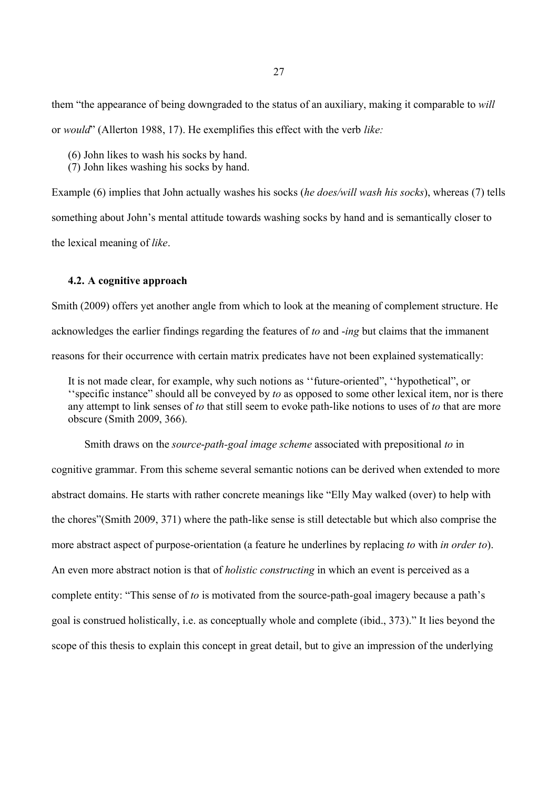them "the appearance of being downgraded to the status of an auxiliary, making it comparable to *will* or *would*" (Allerton 1988, 17). He exemplifies this effect with the verb like:

- (6) John likes to wash his socks by hand.
- (7) John likes washing his socks by hand.

Example (6) implies that John actually washes his socks (*he does/will wash his socks*), whereas (7) tells something about John's mental attitude towards washing socks by hand and is semantically closer to the lexical meaning of *like*.

# **4.2. A cognitive approach**

Smith (2009) offers yet another angle from which to look at the meaning of complement structure. He acknowledges the earlier findings regarding the features of *to* and -*ing* but claims that the immanent reasons for their occurrence with certain matrix predicates have not been explained systematically:

It is not made clear, for example, why such notions as ''future-oriented", ''hypothetical", or "specific instance" should all be conveyed by *to* as opposed to some other lexical item, nor is there any attempt to link senses of *to* that still seem to evoke path-like notions to uses of *to* that are more obscure (Smith 2009, 366).

Smith draws on the *source-path-goal image scheme* associated with prepositional *to* in cognitive grammar. From this scheme several semantic notions can be derived when extended to more abstract domains. He starts with rather concrete meanings like "Elly May walked (over) to help with the chores"(Smith 2009, 371) where the path-like sense is still detectable but which also comprise the more abstract aspect of purpose-orientation (a feature he underlines by replacing *to* with *in order to*). An even more abstract notion is that of *holistic constructing* in which an event is perceived as a complete entity: "This sense of *to* is motivated from the source-path-goal imagery because a path's goal is construed holistically, i.e. as conceptually whole and complete (ibid., 373)." It lies beyond the scope of this thesis to explain this concept in great detail, but to give an impression of the underlying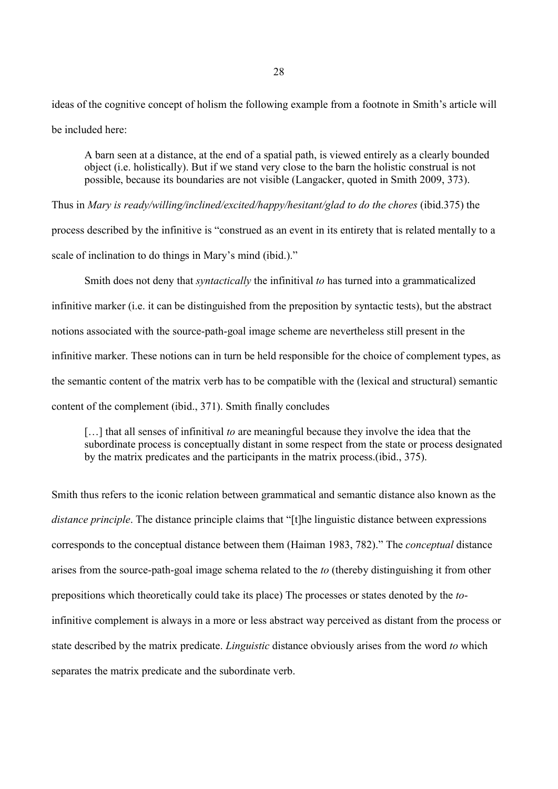ideas of the cognitive concept of holism the following example from a footnote in Smith's article will be included here:

A barn seen at a distance, at the end of a spatial path, is viewed entirely as a clearly bounded object (i.e. holistically). But if we stand very close to the barn the holistic construal is not possible, because its boundaries are not visible (Langacker, quoted in Smith 2009, 373).

Thus in *Mary is ready/willing/inclined/excited/happy/hesitant/glad to do the chores* (ibid.375) the

process described by the infinitive is "construed as an event in its entirety that is related mentally to a scale of inclination to do things in Mary's mind (ibid.)."

Smith does not deny that *syntactically* the infinitival *to* has turned into a grammaticalized infinitive marker (i.e. it can be distinguished from the preposition by syntactic tests), but the abstract notions associated with the source-path-goal image scheme are nevertheless still present in the infinitive marker. These notions can in turn be held responsible for the choice of complement types, as the semantic content of the matrix verb has to be compatible with the (lexical and structural) semantic content of the complement (ibid., 371). Smith finally concludes

[...] that all senses of infinitival *to* are meaningful because they involve the idea that the subordinate process is conceptually distant in some respect from the state or process designated by the matrix predicates and the participants in the matrix process.(ibid., 375).

Smith thus refers to the iconic relation between grammatical and semantic distance also known as the *distance principle*. The distance principle claims that "[t]he linguistic distance between expressions corresponds to the conceptual distance between them (Haiman 1983, 782)." The *conceptual* distance arises from the source-path-goal image schema related to the *to* (thereby distinguishing it from other prepositions which theoretically could take its place) The processes or states denoted by the *to*infinitive complement is always in a more or less abstract way perceived as distant from the process or state described by the matrix predicate. *Linguistic* distance obviously arises from the word *to* which separates the matrix predicate and the subordinate verb.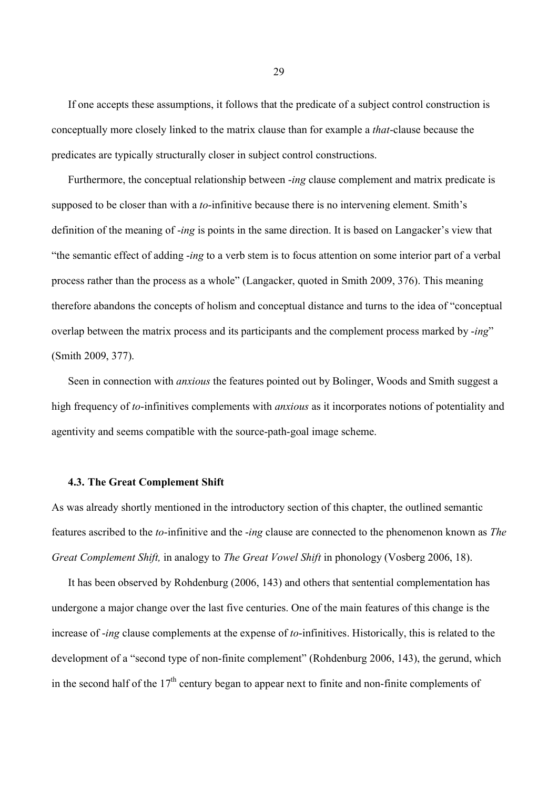If one accepts these assumptions, it follows that the predicate of a subject control construction is conceptually more closely linked to the matrix clause than for example a *that*-clause because the predicates are typically structurally closer in subject control constructions.

Furthermore, the conceptual relationship between -*ing* clause complement and matrix predicate is supposed to be closer than with a *to*-infinitive because there is no intervening element. Smith's definition of the meaning of *-ing* is points in the same direction. It is based on Langacker's view that "the semantic effect of adding *-ing* to a verb stem is to focus attention on some interior part of a verbal process rather than the process as a whole" (Langacker, quoted in Smith 2009, 376). This meaning therefore abandons the concepts of holism and conceptual distance and turns to the idea of "conceptual overlap between the matrix process and its participants and the complement process marked by -*ing*" (Smith 2009, 377).

Seen in connection with *anxious* the features pointed out by Bolinger, Woods and Smith suggest a high frequency of *to*-infinitives complements with *anxious* as it incorporates notions of potentiality and agentivity and seems compatible with the source-path-goal image scheme.

## **4.3. The Great Complement Shift**

As was already shortly mentioned in the introductory section of this chapter, the outlined semantic features ascribed to the *to*-infinitive and the -*ing* clause are connected to the phenomenon known as *The Great Complement Shift, in analogy to The Great Vowel Shift in phonology (Vosberg 2006, 18).* 

It has been observed by Rohdenburg (2006, 143) and others that sentential complementation has undergone a major change over the last five centuries. One of the main features of this change is the increase of *-ing* clause complements at the expense of *to*-infinitives. Historically, this is related to the development of a "second type of non-finite complement" (Rohdenburg 2006, 143), the gerund, which in the second half of the  $17<sup>th</sup>$  century began to appear next to finite and non-finite complements of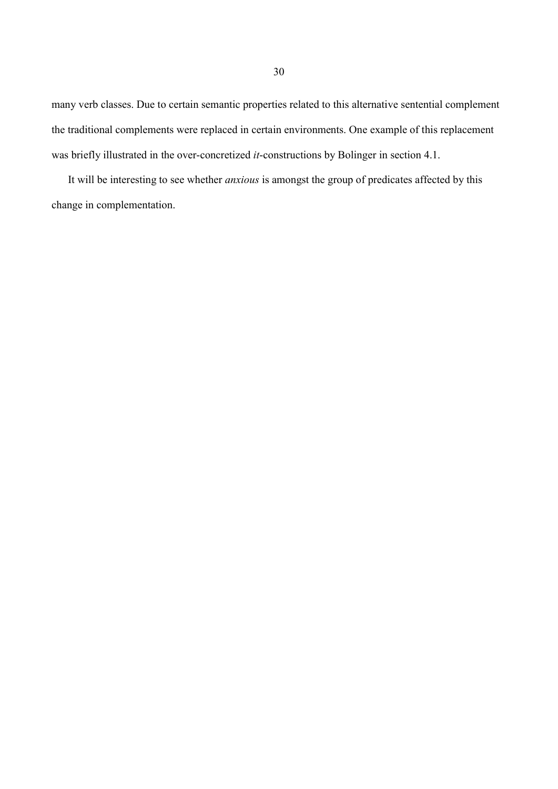many verb classes. Due to certain semantic properties related to this alternative sentential complement the traditional complements were replaced in certain environments. One example of this replacement was briefly illustrated in the over-concretized *it*-constructions by Bolinger in section 4.1.

It will be interesting to see whether *anxious* is amongst the group of predicates affected by this change in complementation.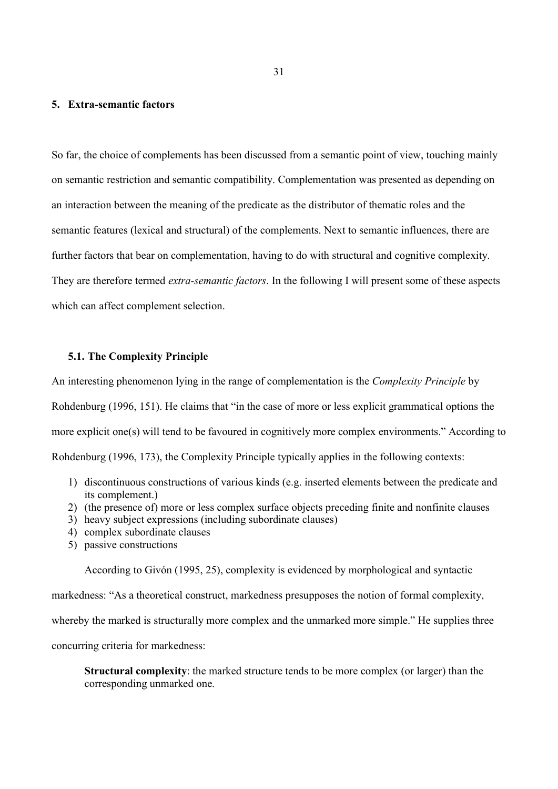# **5. Extra-semantic factors**

So far, the choice of complements has been discussed from a semantic point of view, touching mainly on semantic restriction and semantic compatibility. Complementation was presented as depending on an interaction between the meaning of the predicate as the distributor of thematic roles and the semantic features (lexical and structural) of the complements. Next to semantic influences, there are further factors that bear on complementation, having to do with structural and cognitive complexity. They are therefore termed *extra-semantic factors*. In the following I will present some of these aspects which can affect complement selection.

## **5.1. The Complexity Principle**

An interesting phenomenon lying in the range of complementation is the *Complexity Principle* by Rohdenburg (1996, 151). He claims that "in the case of more or less explicit grammatical options the more explicit one(s) will tend to be favoured in cognitively more complex environments." According to Rohdenburg (1996, 173), the Complexity Principle typically applies in the following contexts:

- 1) discontinuous constructions of various kinds (e.g. inserted elements between the predicate and its complement.)
- 2) (the presence of) more or less complex surface objects preceding finite and nonfinite clauses
- 3) heavy subject expressions (including subordinate clauses)
- 4) complex subordinate clauses
- 5) passive constructions

According to Givón (1995, 25), complexity is evidenced by morphological and syntactic

markedness: "As a theoretical construct, markedness presupposes the notion of formal complexity,

whereby the marked is structurally more complex and the unmarked more simple." He supplies three

concurring criteria for markedness:

**Structural complexity**: the marked structure tends to be more complex (or larger) than the corresponding unmarked one.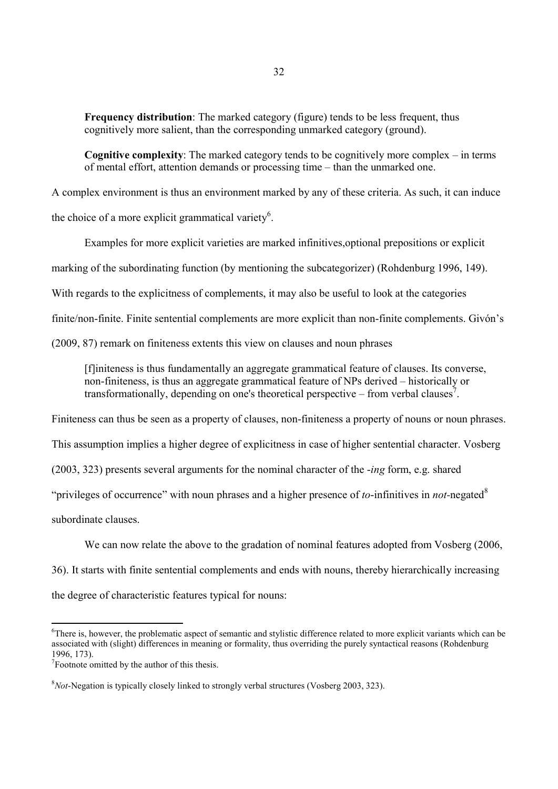**Frequency distribution**: The marked category (figure) tends to be less frequent, thus cognitively more salient, than the corresponding unmarked category (ground).

**Cognitive complexity**: The marked category tends to be cognitively more complex – in terms of mental effort, attention demands or processing time – than the unmarked one.

A complex environment is thus an environment marked by any of these criteria. As such, it can induce the choice of a more explicit grammatical variety<sup>6</sup>.

Examples for more explicit varieties are marked infinitives,optional prepositions or explicit marking of the subordinating function (by mentioning the subcategorizer) (Rohdenburg 1996, 149). With regards to the explicitness of complements, it may also be useful to look at the categories finite/non-finite. Finite sentential complements are more explicit than non-finite complements. Givón's (2009, 87) remark on finiteness extents this view on clauses and noun phrases

[f]initeness is thus fundamentally an aggregate grammatical feature of clauses. Its converse, non-finiteness, is thus an aggregate grammatical feature of NPs derived – historically or transformationally, depending on one's theoretical perspective – from verbal clauses<sup>7</sup>.

Finiteness can thus be seen as a property of clauses, non-finiteness a property of nouns or noun phrases.

This assumption implies a higher degree of explicitness in case of higher sentential character. Vosberg

(2003, 323) presents several arguments for the nominal character of the -*ing* form, e.g. shared

"privileges of occurrence" with noun phrases and a higher presence of *to*-infinitives in *not*-negated<sup>8</sup>

subordinate clauses.

We can now relate the above to the gradation of nominal features adopted from Vosberg (2006,

36). It starts with finite sentential complements and ends with nouns, thereby hierarchically increasing

the degree of characteristic features typical for nouns:

<u> Alexandria de la construcción de la construcción de la construcción de la construcción de la construcción de</u>

<sup>&</sup>lt;sup>6</sup>There is, however, the problematic aspect of semantic and stylistic difference related to more explicit variants which can be associated with (slight) differences in meaning or formality, thus overriding the purely syntactical reasons (Rohdenburg 1996, 173).

<sup>7</sup> Footnote omitted by the author of this thesis.

<sup>8</sup>*Jlq*-Negation is typically closely linked to strongly verbal structures (Vosberg 2003, 323).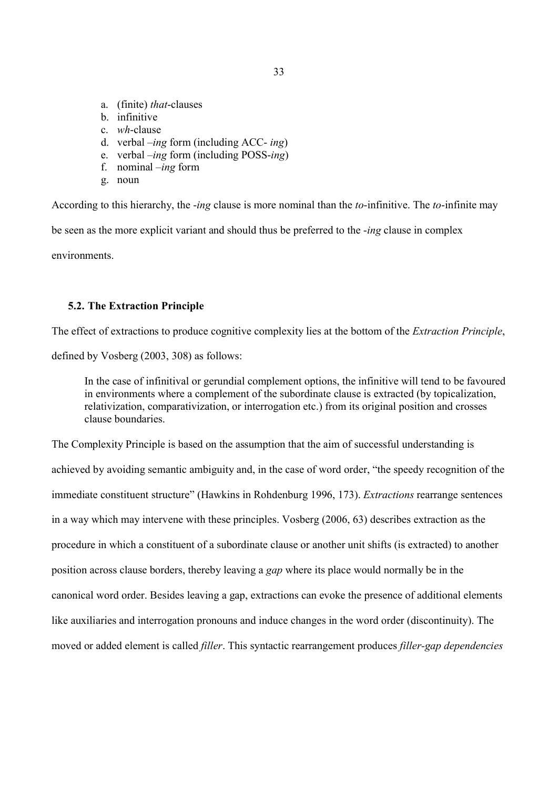- a. (finite) *that*-clauses
- b. infinitive
- c. *wh*-clause
- d. verbal  $-ine$  form (including ACC-  $ine$ )
- e. verbal *–ing* form (including POSS-*ing*)
- f. nominal  $-$ *ing* form
- g. noun

According to this hierarchy, the *-ing* clause is more nominal than the *to*-infinitive. The *to*-infinite may be seen as the more explicit variant and should thus be preferred to the -*ing* clause in complex environments.

# **5.2. The Extraction Principle**

The effect of extractions to produce cognitive complexity lies at the bottom of the *Extraction Principle*, defined by Vosberg (2003, 308) as follows:

In the case of infinitival or gerundial complement options, the infinitive will tend to be favoured in environments where a complement of the subordinate clause is extracted (by topicalization, relativization, comparativization, or interrogation etc.) from its original position and crosses clause boundaries.

The Complexity Principle is based on the assumption that the aim of successful understanding is achieved by avoiding semantic ambiguity and, in the case of word order, "the speedy recognition of the immediate constituent structure" (Hawkins in Rohdenburg 1996, 173). *Extractions* rearrange sentences in a way which may intervene with these principles. Vosberg (2006, 63) describes extraction as the procedure in which a constituent of a subordinate clause or another unit shifts (is extracted) to another position across clause borders, thereby leaving a *gap* where its place would normally be in the canonical word order. Besides leaving a gap, extractions can evoke the presence of additional elements like auxiliaries and interrogation pronouns and induce changes in the word order (discontinuity). The moved or added element is called *filler*. This syntactic rearrangement produces *filler-gap dependencies*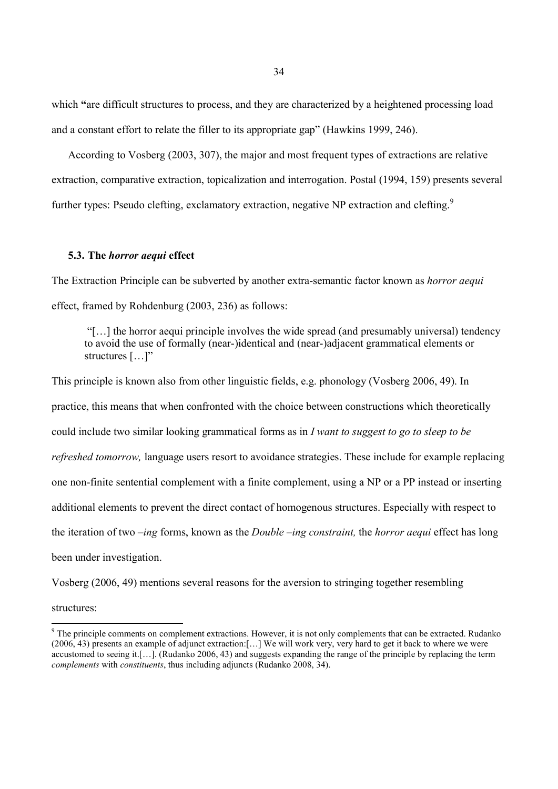which "are difficult structures to process, and they are characterized by a heightened processing load and a constant effort to relate the filler to its appropriate gap" (Hawkins 1999, 246).

According to Vosberg (2003, 307), the major and most frequent types of extractions are relative extraction, comparative extraction, topicalization and interrogation. Postal (1994, 159) presents several further types: Pseudo clefting, exclamatory extraction, negative NP extraction and clefting.<sup>9</sup>

## **5.3. The** *horror aequi* **effect**

The Extraction Principle can be subverted by another extra-semantic factor known as *horror aequi* effect, framed by Rohdenburg (2003, 236) as follows:

 "[…] the horror aequi principle involves the wide spread (and presumably universal) tendency to avoid the use of formally (near-)identical and (near-)adjacent grammatical elements or structures […]"

This principle is known also from other linguistic fields, e.g. phonology (Vosberg 2006, 49). In practice, this means that when confronted with the choice between constructions which theoretically could include two similar looking grammatical forms as in *I want to suggest to go to sleep to be refreshed tomorrow*, language users resort to avoidance strategies. These include for example replacing one non-finite sentential complement with a finite complement, using a NP or a PP instead or inserting additional elements to prevent the direct contact of homogenous structures. Especially with respect to the iteration of two –*ing* forms, known as the *Double* –*ing constraint*, the *horror aequi* effect has long been under investigation.

Vosberg (2006, 49) mentions several reasons for the aversion to stringing together resembling

structures:

<u> Alexandria de la construcción de la construcción de la construcción de la construcción de la construcción de</u>

 $9<sup>9</sup>$  The principle comments on complement extractions. However, it is not only complements that can be extracted. Rudanko (2006, 43) presents an example of adjunct extraction:[…] We will work very, very hard to get it back to where we were accustomed to seeing it.[…]. (Rudanko 2006, 43) and suggests expanding the range of the principle by replacing the term *complements* with *constituents*, thus including adjuncts (Rudanko 2008, 34).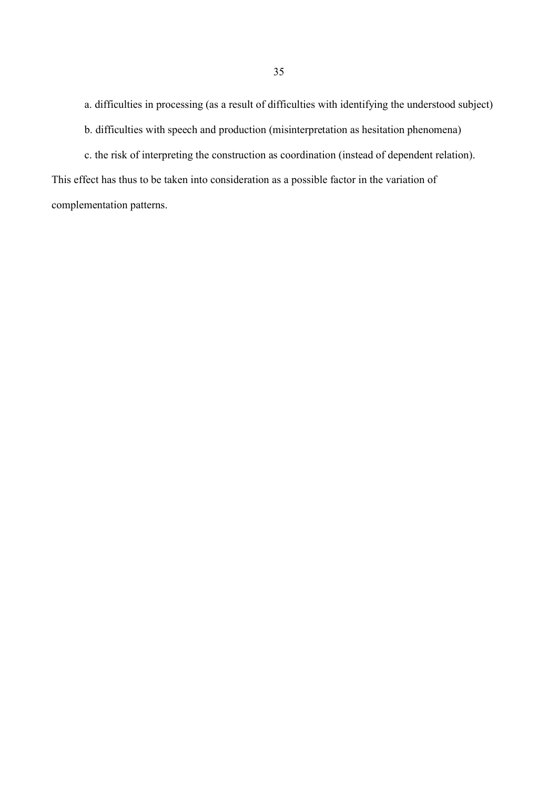a. difficulties in processing (as a result of difficulties with identifying the understood subject)

b. difficulties with speech and production (misinterpretation as hesitation phenomena)

c. the risk of interpreting the construction as coordination (instead of dependent relation). This effect has thus to be taken into consideration as a possible factor in the variation of complementation patterns.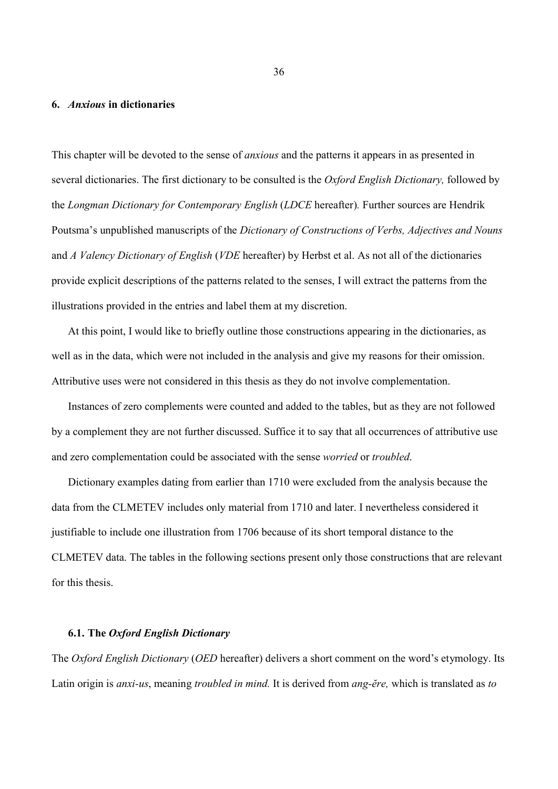#### **6.** *Anxious* **in dictionaries**

This chapter will be devoted to the sense of *anxious* and the patterns it appears in as presented in several dictionaries. The first dictionary to be consulted is the *Oxford English Dictionary*, followed by the *Longman Dictionary for Contemporary English (LDCE* hereafter). Further sources are Hendrik Poutsma's unpublished manuscripts of the *Dictionary of Constructions of Verbs, Adjectives and Nouns* and *A Valency Dictionary of English (VDE* hereafter) by Herbst et al. As not all of the dictionaries provide explicit descriptions of the patterns related to the senses, I will extract the patterns from the illustrations provided in the entries and label them at my discretion.

At this point, I would like to briefly outline those constructions appearing in the dictionaries, as well as in the data, which were not included in the analysis and give my reasons for their omission. Attributive uses were not considered in this thesis as they do not involve complementation.

Instances of zero complements were counted and added to the tables, but as they are not followed by a complement they are not further discussed. Suffice it to say that all occurrences of attributive use and zero complementation could be associated with the sense *worried* or *troubled*.

Dictionary examples dating from earlier than 1710 were excluded from the analysis because the data from the CLMETEV includes only material from 1710 and later. I nevertheless considered it justifiable to include one illustration from 1706 because of its short temporal distance to the CLMETEV data. The tables in the following sections present only those constructions that are relevant for this thesis.

# **6.1. The** *Oxford English Dictionary*

The *Oxford English Dictionary (OED* hereafter) delivers a short comment on the word's etymology. Its Latin origin is *anxi-us*, meaning *troubled in mind*. It is derived from *ang-ěre*, which is translated as *to* 

36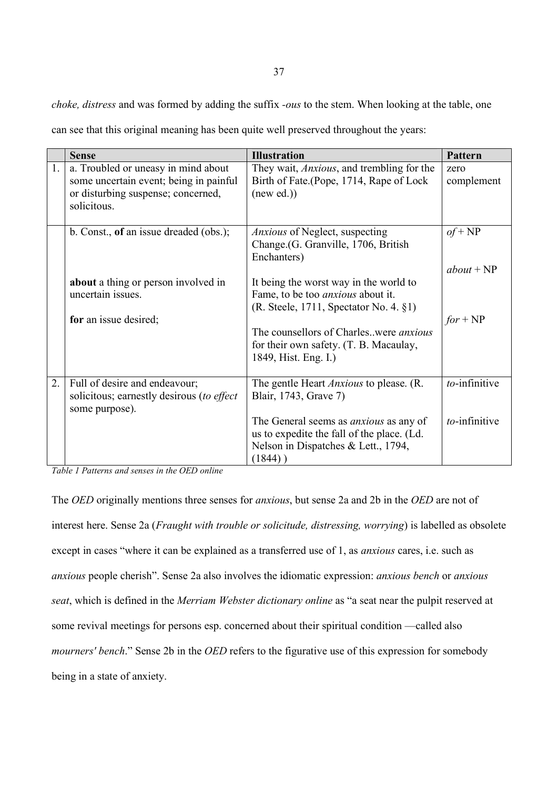*choke, distress* and was formed by adding the suffix *-ous* to the stem. When looking at the table, one

can see that this original meaning has been quite well preserved throughout the years:

|    | <b>Sense</b>                                                                                                                       | <b>Illustration</b>                                                                                                                                                                                                         | Pattern                           |
|----|------------------------------------------------------------------------------------------------------------------------------------|-----------------------------------------------------------------------------------------------------------------------------------------------------------------------------------------------------------------------------|-----------------------------------|
| 1. | a. Troubled or uneasy in mind about<br>some uncertain event; being in painful<br>or disturbing suspense; concerned,<br>solicitous. | They wait, <i>Anxious</i> , and trembling for the<br>Birth of Fate.(Pope, 1714, Rape of Lock<br>(new ed.)                                                                                                                   | zero<br>complement                |
|    | b. Const., of an issue dreaded (obs.);<br>about a thing or person involved in<br>uncertain issues.                                 | Anxious of Neglect, suspecting<br>Change. (G. Granville, 1706, British<br>Enchanters)<br>It being the worst way in the world to<br>Fame, to be too <i>anxious</i> about it.<br>(R. Steele, 1711, Spectator No. 4. §1)       | $of + NP$<br>$about + NP$         |
|    | for an issue desired;                                                                                                              | The counsellors of Charles. were <i>anxious</i><br>for their own safety. (T. B. Macaulay,<br>1849, Hist. Eng. I.)                                                                                                           | $for + NP$                        |
| 2. | Full of desire and endeavour;<br>solicitous; earnestly desirous (to effect<br>some purpose).                                       | The gentle Heart <i>Anxious</i> to please. (R.<br>Blair, 1743, Grave 7)<br>The General seems as <i>anxious</i> as any of<br>us to expedite the fall of the place. (Ld.<br>Nelson in Dispatches & Lett., 1794,<br>$(1844)$ ) | $to$ -infinitive<br>to-infinitive |

*Pable 1 Patterns and senses in the OED online* 

The *OED* originally mentions three senses for *anxious*, but sense 2a and 2b in the *OED* are not of interest here. Sense 2a (*Fraught with trouble or solicitude, distressing, worrying*) is labelled as obsolete except in cases "where it can be explained as a transferred use of 1, as *anxious* cares, i.e. such as *anxious* people cherish". Sense 2a also involves the idiomatic expression: *anxious bench* or *anxious pat*, which is defined in the *Merriam Webster dictionary online* as "a seat near the pulpit reserved at some revival meetings for persons esp. concerned about their spiritual condition —called also *mourners' bench.*" Sense 2b in the *OED* refers to the figurative use of this expression for somebody being in a state of anxiety.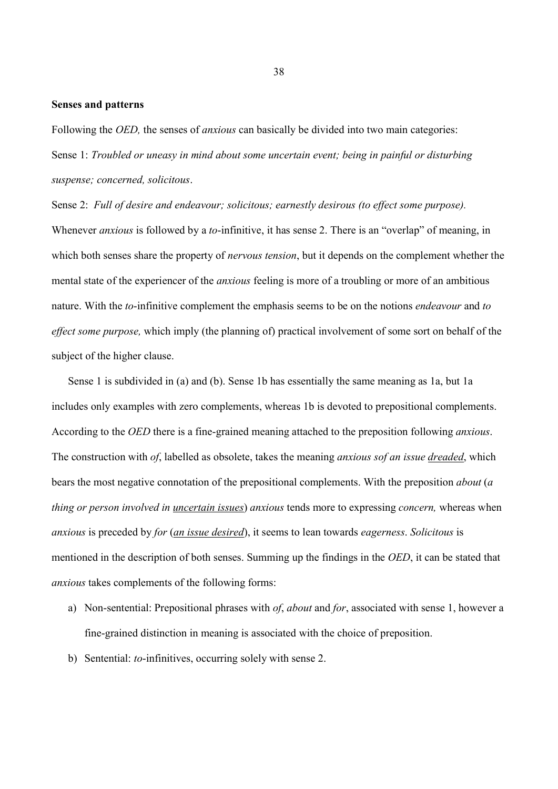#### **Senses and patterns**

Following the *OED*, the senses of *anxious* can basically be divided into two main categories: Sense 1: *Troubled or uneasy in mind about some uncertain event; being in painful or disturbing*  $suspense$ ; concerned, solicitous.

Sense 2: *Full of desire and endeavour; solicitous; earnestly desirous (to effect some purpose).* Whenever *anxious* is followed by a *to*-infinitive, it has sense 2. There is an "overlap" of meaning, in which both senses share the property of *nervous tension*, but it depends on the complement whether the mental state of the experiencer of the *anxious* feeling is more of a troubling or more of an ambitious nature. With the *to*-infinitive complement the emphasis seems to be on the notions *endeavour* and *to affect some purpose*, which imply (the planning of) practical involvement of some sort on behalf of the subject of the higher clause.

Sense 1 is subdivided in (a) and (b). Sense 1b has essentially the same meaning as 1a, but 1a includes only examples with zero complements, whereas 1b is devoted to prepositional complements. According to the *OED* there is a fine-grained meaning attached to the preposition following *anxious*. The construction with *of*, labelled as obsolete, takes the meaning *anxious sof an issue dreaded*, which bears the most negative connotation of the prepositional complements. With the preposition *about* (*a thing or person involved in uncertain issues) anxious tends more to expressing <i>concern*, whereas when *anxious* is preceded by *for* (*an issue desired*), it seems to lean towards *eagerness*. *Solicitous* is mentioned in the description of both senses. Summing up the findings in the *OED*, it can be stated that *anxious* takes complements of the following forms:

- a) Non-sentential: Prepositional phrases with *of, about* and *for*, associated with sense 1, however a fine-grained distinction in meaning is associated with the choice of preposition.
- b) Sentential: *to*-infinitives, occurring solely with sense 2.

38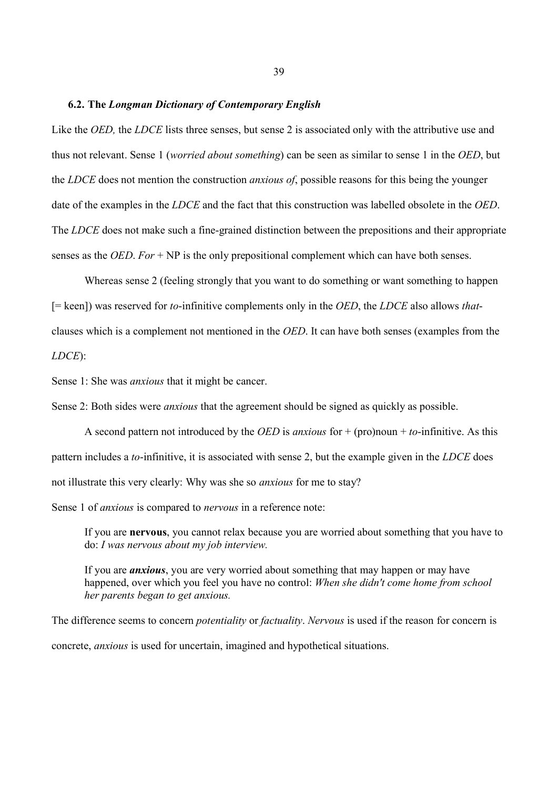#### **6.2. The** *Longman Dictionary of Contemporary English*

Like the *OED*, the *LDCE* lists three senses, but sense 2 is associated only with the attributive use and thus not relevant. Sense 1 *(worried about something)* can be seen as similar to sense 1 in the *OED*, but the *LDCE* does not mention the construction *anxious of*, possible reasons for this being the younger date of the examples in the *LDCE* and the fact that this construction was labelled obsolete in the *OED*. The *LDCE* does not make such a fine-grained distinction between the prepositions and their appropriate senses as the *OED*. *For* + NP is the only prepositional complement which can have both senses.

Whereas sense 2 (feeling strongly that you want to do something or want something to happen [= keen]) was reserved for *to*-infinitive complements only in the *OED*, the *LDCE* also allows *that*clauses which is a complement not mentioned in the *OED*. It can have both senses (examples from the *HDCE*):

Sense 1: She was *anxious* that it might be cancer.

Sense 2: Both sides were *anxious* that the agreement should be signed as quickly as possible.

A second pattern not introduced by the *OED* is *anxious* for  $+$  (pro)noun  $+$  *to*-infinitive. As this pattern includes a *to*-infinitive, it is associated with sense 2, but the example given in the *LDCE* does not illustrate this very clearly: Why was she so *anxious* for me to stay?

Sense 1 of *anxious* is compared to *nervous* in a reference note:

If you are **nervous**, you cannot relax because you are worried about something that you have to do: *I was nervous about my job interview.* 

If you are *anxious*, you are very worried about something that may happen or may have happened, over which you feel you have no control: *When she didn't come home from school dagaber began to get anxious.* 

The difference seems to concern *potentiality* or *factuality*. *Nervous* is used if the reason for concern is concrete, *anxious* is used for uncertain, imagined and hypothetical situations.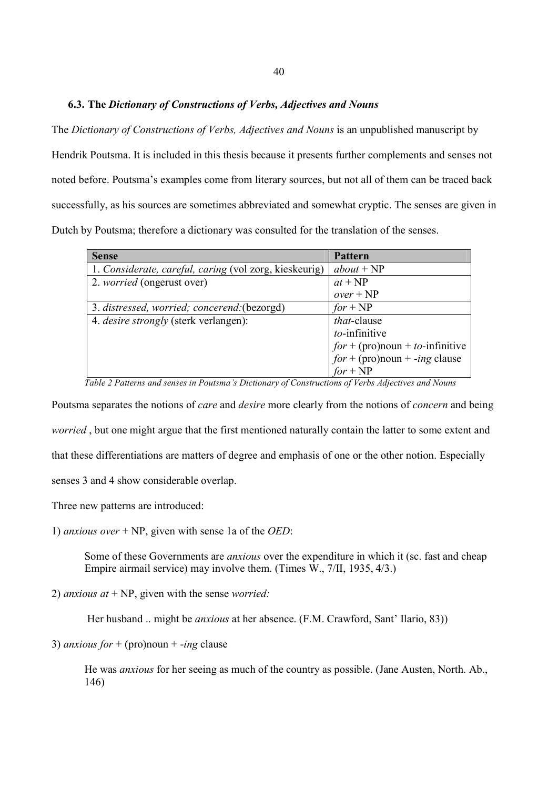### **6.3. The** *Dictionary of Constructions of Verbs, Adjectives and Nouns*

The *Dictionary of Constructions of Verbs, Adjectives and Nouns* is an unpublished manuscript by Hendrik Poutsma. It is included in this thesis because it presents further complements and senses not noted before. Poutsma's examples come from literary sources, but not all of them can be traced back successfully, as his sources are sometimes abbreviated and somewhat cryptic. The senses are given in Dutch by Poutsma; therefore a dictionary was consulted for the translation of the senses.

| <b>Sense</b>                                           | Pattern                           |
|--------------------------------------------------------|-----------------------------------|
| 1. Considerate, careful, caring (vol zorg, kieskeurig) | $about + NP$                      |
| 2. <i>worried</i> (ongerust over)                      | $at + NP$                         |
|                                                        | $over + NP$                       |
| 3. distressed, worried; concerend: (bezorgd)           | $for + NP$                        |
| 4. <i>desire strongly</i> (sterk verlangen):           | <i>that</i> -clause               |
|                                                        | to-infinitive                     |
|                                                        | $for$ + (pro)noun + to-infinitive |
|                                                        | $for + (pro)$ noun + -ing clause  |
|                                                        | $for + NP$                        |

Table 2 Patterns and senses in Poutsma's Dictionary of Constructions of Verbs Adjectives and Nouns

Poutsma separates the notions of *care* and *desire* more clearly from the notions of *concern* and being *the worried*, but one might argue that the first mentioned naturally contain the latter to some extent and that these differentiations are matters of degree and emphasis of one or the other notion. Especially senses 3 and 4 show considerable overlap.

Three new patterns are introduced:

1) *anxious over* + NP, given with sense 1a of the *OED*:

Some of these Governments are *anxious* over the expenditure in which it (sc. fast and cheap Empire airmail service) may involve them. (Times W., 7/II, 1935, 4/3.)

2) *anxious at* + NP, given with the sense *worried*:

Her husband .. might be *anxious* at her absence. (F.M. Crawford, Sant' Ilario, 83))

3) *anxious for* + (pro)noun +  $-i$ *ng* clause

He was *anxious* for her seeing as much of the country as possible. (Jane Austen, North. Ab., 146)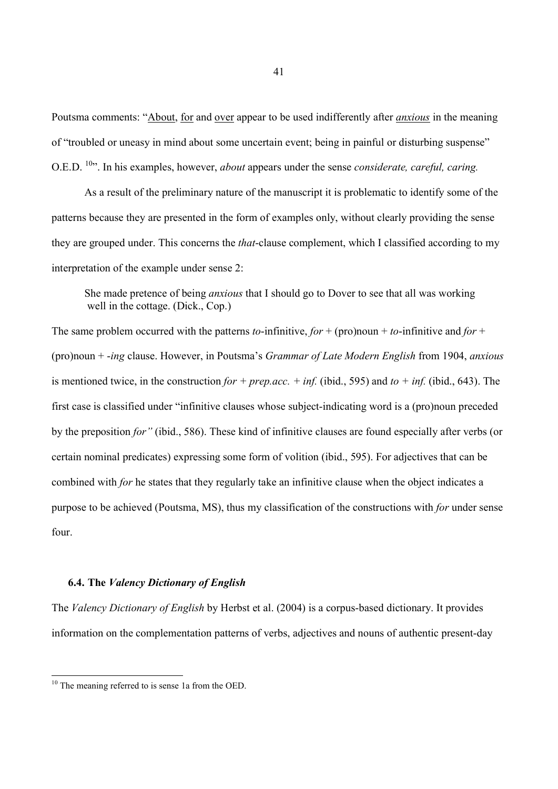Poutsma comments: "About, for and over appear to be used indifferently after *anxious* in the meaning of "troubled or uneasy in mind about some uncertain event; being in painful or disturbing suspense" O.E.D. <sup>10</sup>". In his examples, however, *about* appears under the sense *considerate, careful, caring.* 

As a result of the preliminary nature of the manuscript it is problematic to identify some of the patterns because they are presented in the form of examples only, without clearly providing the sense they are grouped under. This concerns the *that*-clause complement, which I classified according to my interpretation of the example under sense 2:

She made pretence of being *anxious* that I should go to Dover to see that all was working well in the cottage. (Dick., Cop.)

The same problem occurred with the patterns *to*-infinitive,  $for$  + (pro)noun + *to*-infinitive and  $for$  + (pro)noun + -*ing* clause. However, in Poutsma's *Grammar of Late Modern English* from 1904, *anxious* is mentioned twice, in the construction *for* + *prep.acc.* + *inf.* (ibid., 595) and *to* + *inf.* (ibid., 643). The first case is classified under "infinitive clauses whose subject-indicating word is a (pro)noun preceded by the preposition *for* " (ibid., 586). These kind of infinitive clauses are found especially after verbs (or certain nominal predicates) expressing some form of volition (ibid., 595). For adjectives that can be combined with *for* he states that they regularly take an infinitive clause when the object indicates a purpose to be achieved (Poutsma, MS), thus my classification of the constructions with *for* under sense four.

#### **6.4. The** *Valency Dictionary of English*

The *Valency Dictionary of English* by Herbst et al. (2004) is a corpus-based dictionary. It provides information on the complementation patterns of verbs, adjectives and nouns of authentic present-day

<sup>&</sup>lt;sup>10</sup> The meaning referred to is sense 1a from the OED.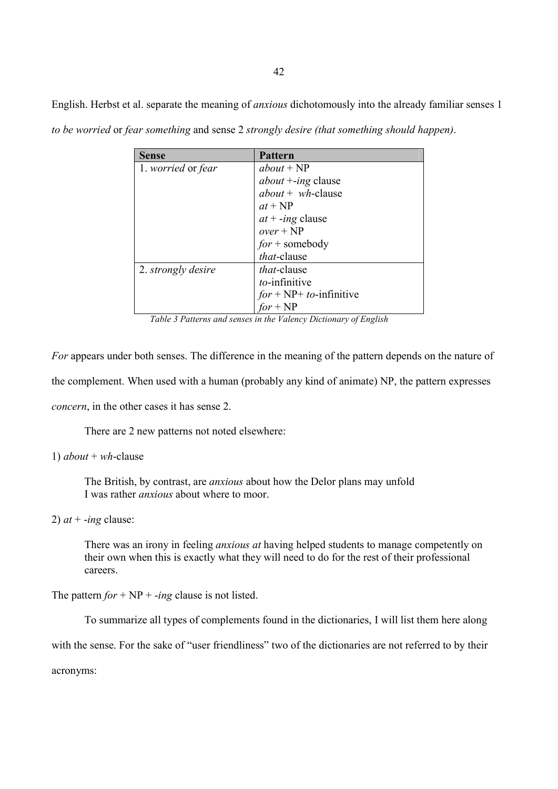English. Herbst et al. separate the meaning of *anxious* dichotomously into the already familiar senses 1 *to be worried or fear something and sense 2 strongly desire (that something should happen).* 

| <b>Sense</b>       | <b>Pattern</b>             |
|--------------------|----------------------------|
| 1. worried or fear | about + $NP$               |
|                    | $about + -ing$ clause      |
|                    | $about + wh$ -clause       |
|                    | $at + NP$                  |
|                    | $at + -ing$ clause         |
|                    | $over + NP$                |
|                    | $for +$ somebody           |
|                    | that-clause                |
| 2. strongly desire | <i>that</i> -clause        |
|                    | to-infinitive              |
|                    | $for + NP+ to$ -infinitive |
|                    | for $+$ NP                 |

*Pable 3 Patterns and senses in the Valency Dictionary of English* 

*For* appears under both senses. The difference in the meaning of the pattern depends on the nature of the complement. When used with a human (probably any kind of animate) NP, the pattern expresses *concern*, in the other cases it has sense 2.

There are 2 new patterns not noted elsewhere:

# 1)  $about + wh$ -clause

The British, by contrast, are *anxious* about how the Delor plans may unfold I was rather *anxious* about where to moor.

 $2)$  *at* + -*ing* clause:

There was an irony in feeling *anxious at* having helped students to manage competently on their own when this is exactly what they will need to do for the rest of their professional careers.

The pattern  $for + NP + -ing$  clause is not listed.

To summarize all types of complements found in the dictionaries, I will list them here along

with the sense. For the sake of "user friendliness" two of the dictionaries are not referred to by their

acronyms: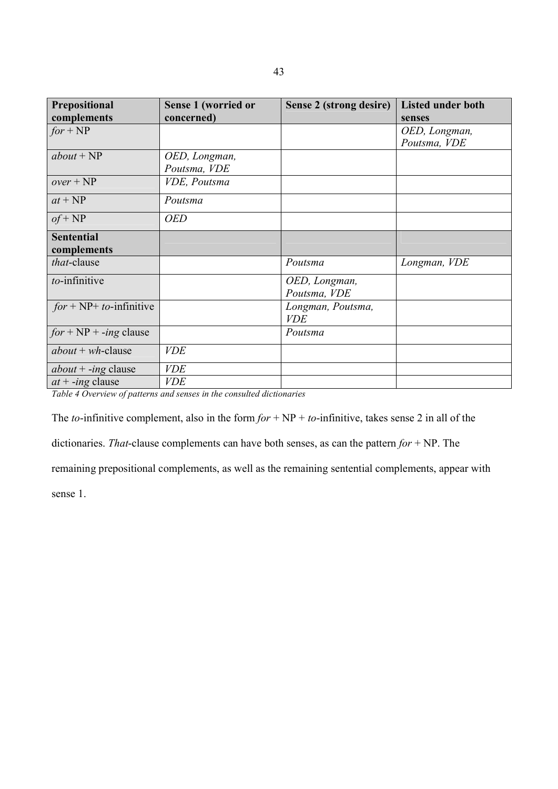| Prepositional<br>complements | Sense 1 (worried or<br>concerned) | Sense 2 (strong desire)         | <b>Listed under both</b><br>senses |
|------------------------------|-----------------------------------|---------------------------------|------------------------------------|
| $for + NP$                   |                                   |                                 | OED, Longman,<br>Poutsma, VDE      |
| $about + NP$                 | OED, Longman,<br>Poutsma, VDE     |                                 |                                    |
| $over + NP$                  | VDE, Poutsma                      |                                 |                                    |
| $at + NP$                    | Poutsma                           |                                 |                                    |
| $of + NP$                    | <b>OED</b>                        |                                 |                                    |
| <b>Sentential</b>            |                                   |                                 |                                    |
| complements                  |                                   |                                 |                                    |
| <i>that</i> -clause          |                                   | Poutsma                         | Longman, VDE                       |
| to-infinitive                |                                   | OED, Longman,<br>Poutsma, VDE   |                                    |
| $for + NP+ to$ -infinitive   |                                   | Longman, Poutsma,<br><b>VDE</b> |                                    |
| $for + NP + -ing$ clause     |                                   | Poutsma                         |                                    |
| $about + wh$ -clause         | <b>VDE</b>                        |                                 |                                    |
| $about + -ing$ clause        | <b>VDE</b>                        |                                 |                                    |
| $at + -ing$ clause           | <b>VDE</b>                        |                                 |                                    |

Table 4 Overview of patterns and senses in the consulted dictionaries

The *to*-infinitive complement, also in the form  $for + NP + to$ -infinitive, takes sense 2 in all of the

dictionaries. *That*-clause complements can have both senses, as can the pattern *for* + NP. The

remaining prepositional complements, as well as the remaining sentential complements, appear with

sense 1.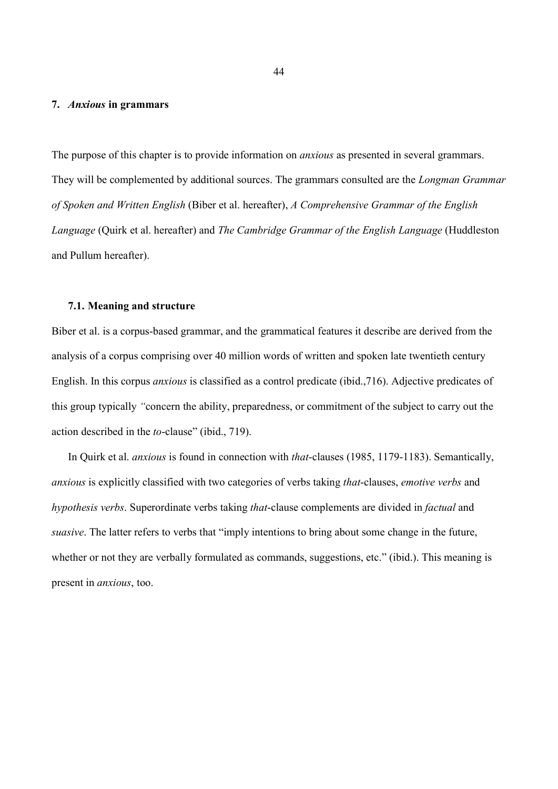#### **7.** *Anxious* **in grammars**

The purpose of this chapter is to provide information on *anxious* as presented in several grammars. They will be complemented by additional sources. The grammars consulted are the *Longman Grammar of Spoken and Written English* (Biber et al. hereafter), *A Comprehensive Grammar of the English Language* (Quirk et al. hereafter) and *The Cambridge Grammar of the English Language* (Huddleston and Pullum hereafter).

# **7.1. Meaning and structure**

Biber et al. is a corpus-based grammar, and the grammatical features it describe are derived from the analysis of a corpus comprising over 40 million words of written and spoken late twentieth century English. In this corpus *anxious* is classified as a control predicate (ibid.,716). Adjective predicates of this group typically "concern the ability, preparedness, or commitment of the subject to carry out the action described in the *to*-clause" (ibid., 719).

In Quirk et al. *anxious* is found in connection with *that*-clauses (1985, 1179-1183). Semantically, *anxious* is explicitly classified with two categories of verbs taking *that*-clauses, *emotive verbs* and *hypothesis verbs.* Superordinate verbs taking *that*-clause complements are divided in *factual* and *produstive*. The latter refers to verbs that "imply intentions to bring about some change in the future, whether or not they are verbally formulated as commands, suggestions, etc." (ibid.). This meaning is present in *anxious*, too.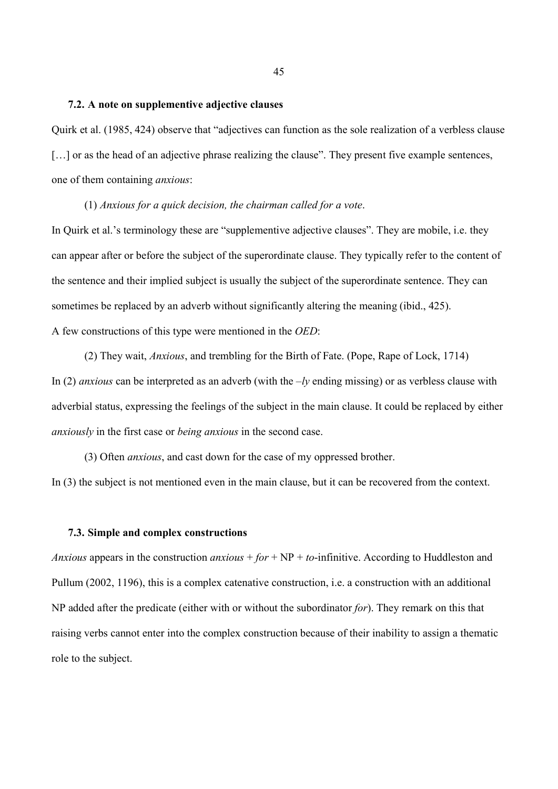#### **7.2. A note on supplementive adjective clauses**

Quirk et al. (1985, 424) observe that "adjectives can function as the sole realization of a verbless clause [...] or as the head of an adjective phrase realizing the clause". They present five example sentences, one of them containing *anxious*:

### (1) *Anxious for a quick decision, the chairman called for a vote.*

In Quirk et al.'s terminology these are "supplementive adjective clauses". They are mobile, i.e. they can appear after or before the subject of the superordinate clause. They typically refer to the content of the sentence and their implied subject is usually the subject of the superordinate sentence. They can sometimes be replaced by an adverb without significantly altering the meaning (ibid., 425). A few constructions of this type were mentioned in the *OED*:

(2) They wait, *Anxious*, and trembling for the Birth of Fate. (Pope, Rape of Lock, 1714) In (2) *anxious* can be interpreted as an adverb (with the  $-ly$  ending missing) or as verbless clause with adverbial status, expressing the feelings of the subject in the main clause. It could be replaced by either *anxiously* in the first case or *being anxious* in the second case.

(3) Often *anxious*, and cast down for the case of my oppressed brother.

In (3) the subject is not mentioned even in the main clause, but it can be recovered from the context.

### **7.3. Simple and complex constructions**

*Anxious* appears in the construction *anxious* +  $for$  + NP + *to*-infinitive. According to Huddleston and Pullum (2002, 1196), this is a complex catenative construction, i.e. a construction with an additional NP added after the predicate (either with or without the subordinator *for*). They remark on this that raising verbs cannot enter into the complex construction because of their inability to assign a thematic role to the subject.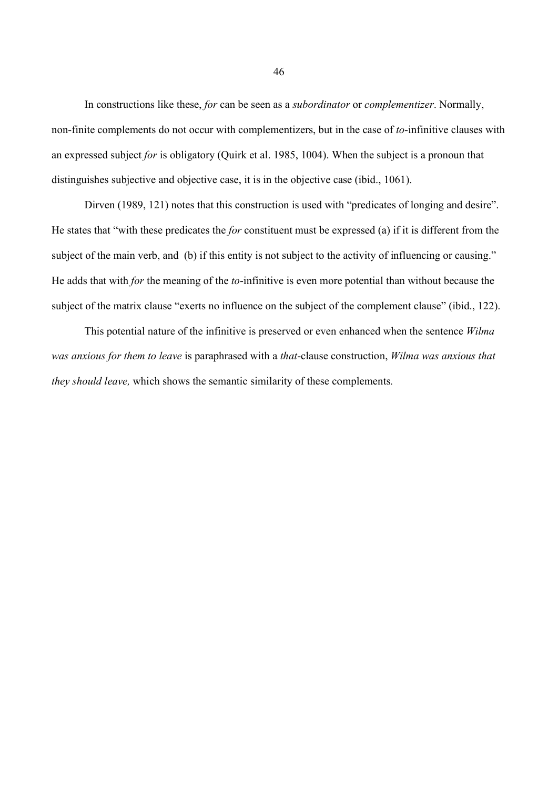In constructions like these, *for* can be seen as a *subordinator* or *complementizer*. Normally, non-finite complements do not occur with complementizers, but in the case of *to*-infinitive clauses with an expressed subject *for* is obligatory (Quirk et al. 1985, 1004). When the subject is a pronoun that distinguishes subjective and objective case, it is in the objective case (ibid., 1061).

Dirven (1989, 121) notes that this construction is used with "predicates of longing and desire". He states that "with these predicates the *for* constituent must be expressed (a) if it is different from the subject of the main verb, and (b) if this entity is not subject to the activity of influencing or causing." He adds that with *for* the meaning of the *to*-infinitive is even more potential than without because the subject of the matrix clause "exerts no influence on the subject of the complement clause" (ibid., 122).

This potential nature of the infinitive is preserved or even enhanced when the sentence *Wilma thas anxious for them to leave is paraphrased with a that-clause construction, Wilma was anxious that they should leave, which shows the semantic similarity of these complements.*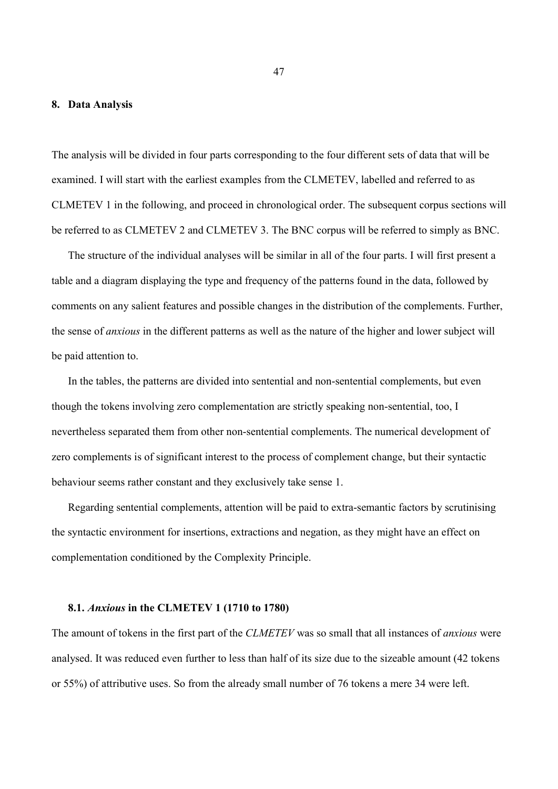#### **8. Data Analysis**

The analysis will be divided in four parts corresponding to the four different sets of data that will be examined. I will start with the earliest examples from the CLMETEV, labelled and referred to as CLMETEV 1 in the following, and proceed in chronological order. The subsequent corpus sections will be referred to as CLMETEV 2 and CLMETEV 3. The BNC corpus will be referred to simply as BNC.

The structure of the individual analyses will be similar in all of the four parts. I will first present a table and a diagram displaying the type and frequency of the patterns found in the data, followed by comments on any salient features and possible changes in the distribution of the complements. Further, the sense of *anxious* in the different patterns as well as the nature of the higher and lower subject will be paid attention to.

In the tables, the patterns are divided into sentential and non-sentential complements, but even though the tokens involving zero complementation are strictly speaking non-sentential, too, I nevertheless separated them from other non-sentential complements. The numerical development of zero complements is of significant interest to the process of complement change, but their syntactic behaviour seems rather constant and they exclusively take sense 1.

Regarding sentential complements, attention will be paid to extra-semantic factors by scrutinising the syntactic environment for insertions, extractions and negation, as they might have an effect on complementation conditioned by the Complexity Principle.

### **8.1.** *Anxious* **in the CLMETEV 1 (1710 to 1780)**

The amount of tokens in the first part of the *CLMETEV* was so small that all instances of *anxious* were analysed. It was reduced even further to less than half of its size due to the sizeable amount (42 tokens or 55%) of attributive uses. So from the already small number of 76 tokens a mere 34 were left.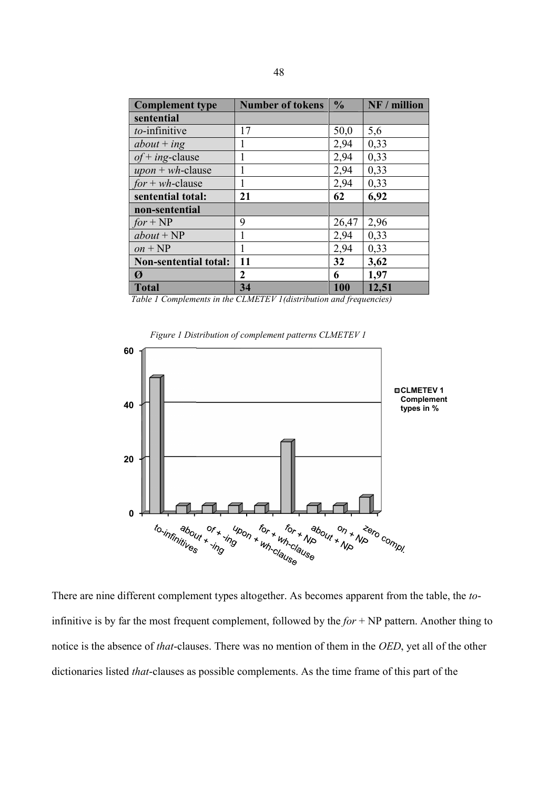| <b>Complement type</b>       | <b>Number of tokens</b> | $\frac{0}{0}$ | NF / million |
|------------------------------|-------------------------|---------------|--------------|
| sentential                   |                         |               |              |
| to-infinitive                | 17                      | 50,0          | 5,6          |
| $about + ing$                | 1                       | 2,94          | 0,33         |
| $of$ + ing-clause            | 1                       | 2,94          | 0,33         |
| $upon + wh$ -clause          |                         | 2,94          | 0,33         |
| $for + wh$ -clause           | 1                       | 2,94          | 0,33         |
| sentential total:            | 21                      | 62            | 6,92         |
| non-sentential               |                         |               |              |
| $for + NP$                   | 9                       | 26,47         | 2,96         |
| $about + NP$                 | 1                       | 2,94          | 0,33         |
| $\omega n + NP$              |                         | 2,94          | 0,33         |
| <b>Non-sentential total:</b> | 11                      | 32            | 3,62         |
| Ø                            | 2                       | 6             | 1,97         |
| <b>Total</b>                 | 34                      | 100           | 12,51        |





There are nine different complement types altogether. As becomes apparent from the table, the *to*infinitive is by far the most frequent complement, followed by the  $for + NP$  pattern. Another thing to infinitive is by far the most frequent complement, followed by the *for* + NP pattern. Another thing to notice is the absence of *that*-clauses. There was no mention of them in the *OED*, yet all of the other dictionaries listed *that*-clauses as possible complements. As the time frame of this part of the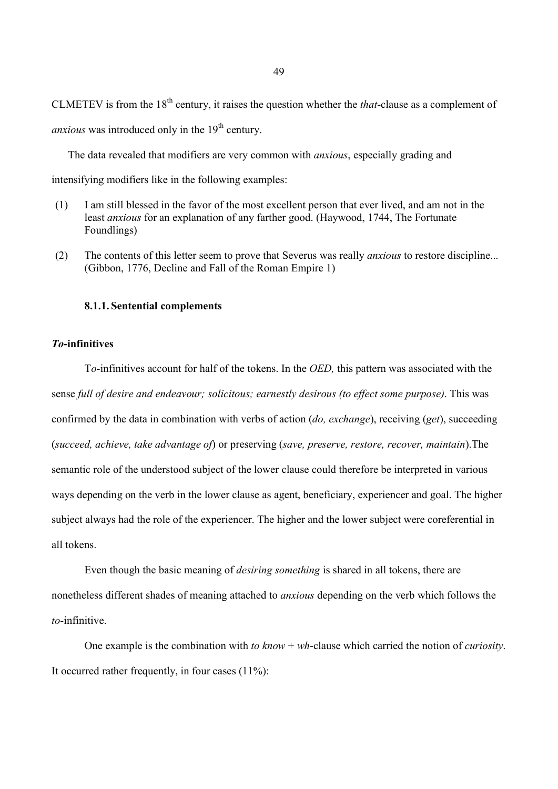CLMETEV is from the 18<sup>th</sup> century, it raises the question whether the *that*-clause as a complement of *anxious* was introduced only in the 19<sup>th</sup> century.

The data revealed that modifiers are very common with *anxious*, especially grading and intensifying modifiers like in the following examples:

- (1) I am still blessed in the favor of the most excellent person that ever lived, and am not in the least *anxious* for an explanation of any farther good. (Haywood, 1744, The Fortunate Foundlings)
- (2) The contents of this letter seem to prove that Severus was really *anxious* to restore discipline... (Gibbon, 1776, Decline and Fall of the Roman Empire 1)

# **8.1.1. Sentential complements**

# *To***-infinitives**

To-infinitives account for half of the tokens. In the *OED*, this pattern was associated with the sense *full of desire and endeavour; solicitous; earnestly desirous (to effect some purpose)*. This was confirmed by the data in combination with verbs of action (*do, exchange*), receiving (*get*), succeeding (*succeed, achieve, take advantage of*) or preserving (*save, preserve, restore, recover, maintain*).The semantic role of the understood subject of the lower clause could therefore be interpreted in various ways depending on the verb in the lower clause as agent, beneficiary, experiencer and goal. The higher subject always had the role of the experiencer. The higher and the lower subject were coreferential in all tokens.

Even though the basic meaning of *desiring something* is shared in all tokens, there are nonetheless different shades of meaning attached to *anxious* depending on the verb which follows the *to*-infinitive.

One example is the combination with *to know* + *wh*-clause which carried the notion of *curiosity*. It occurred rather frequently, in four cases (11%):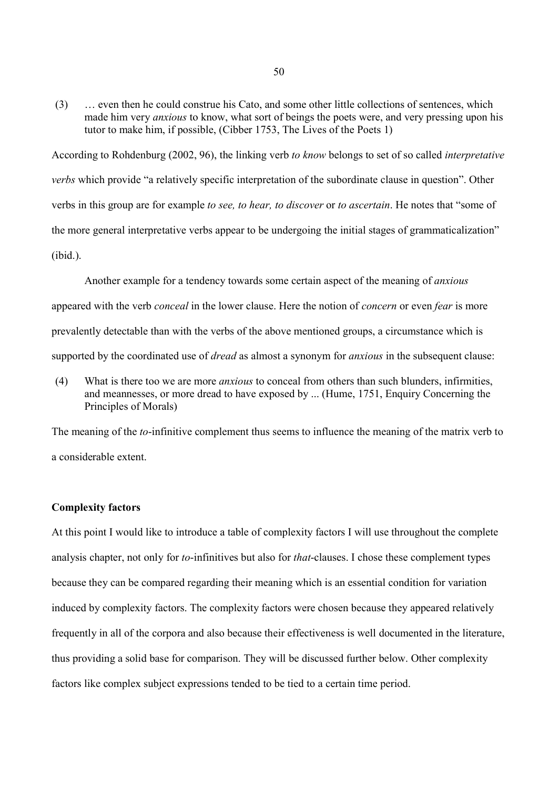(3) … even then he could construe his Cato, and some other little collections of sentences, which made him very *anxious* to know, what sort of beings the poets were, and very pressing upon his tutor to make him, if possible, (Cibber 1753, The Lives of the Poets 1)

According to Rohdenburg (2002, 96), the linking verb *to know* belongs to set of so called *interpretative verbs* which provide "a relatively specific interpretation of the subordinate clause in question". Other verbs in this group are for example *to see, to hear, to discover* or *to ascertain*. He notes that "some of the more general interpretative verbs appear to be undergoing the initial stages of grammaticalization" (ibid.).

Another example for a tendency towards some certain aspect of the meaning of *anxious* appeared with the verb *conceal* in the lower clause. Here the notion of *concern* or even *fear* is more prevalently detectable than with the verbs of the above mentioned groups, a circumstance which is supported by the coordinated use of *dread* as almost a synonym for *anxious* in the subsequent clause:

(4) What is there too we are more *anxious* to conceal from others than such blunders, infirmities, and meannesses, or more dread to have exposed by ... (Hume, 1751, Enquiry Concerning the Principles of Morals)

The meaning of the *to*-infinitive complement thus seems to influence the meaning of the matrix verb to a considerable extent.

### **Complexity factors**

At this point I would like to introduce a table of complexity factors I will use throughout the complete analysis chapter, not only for *to*-infinitives but also for *that*-clauses. I chose these complement types because they can be compared regarding their meaning which is an essential condition for variation induced by complexity factors. The complexity factors were chosen because they appeared relatively frequently in all of the corpora and also because their effectiveness is well documented in the literature, thus providing a solid base for comparison. They will be discussed further below. Other complexity factors like complex subject expressions tended to be tied to a certain time period.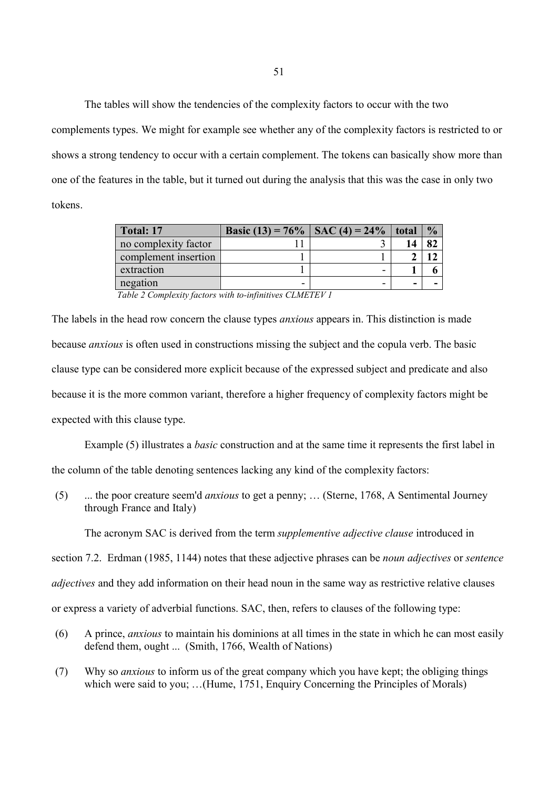The tables will show the tendencies of the complexity factors to occur with the two

complements types. We might for example see whether any of the complexity factors is restricted to or shows a strong tendency to occur with a certain complement. The tokens can basically show more than one of the features in the table, but it turned out during the analysis that this was the case in only two tokens.

| <b>Total: 17</b>     | Basic (13) = 76%   SAC (4) = 24% | total | $\frac{0}{0}$ |
|----------------------|----------------------------------|-------|---------------|
| no complexity factor |                                  |       | 82            |
| complement insertion |                                  |       |               |
| extraction           |                                  |       |               |
| negation             |                                  | -     |               |

*Pable 2 Complexity factors with to-infinitives CLMETEV 1* 

The labels in the head row concern the clause types *anxious* appears in. This distinction is made because *anxious* is often used in constructions missing the subject and the copula verb. The basic clause type can be considered more explicit because of the expressed subject and predicate and also because it is the more common variant, therefore a higher frequency of complexity factors might be expected with this clause type.

Example (5) illustrates a *basic* construction and at the same time it represents the first label in the column of the table denoting sentences lacking any kind of the complexity factors:

(5) ... the poor creature seem'd *anxious* to get a penny; ... (Sterne, 1768, A Sentimental Journey through France and Italy)

The acronym SAC is derived from the term *supplementive adjective clause* introduced in

section 7.2. Erdman (1985, 1144) notes that these adjective phrases can be *noun adjectives* or *sentence* 

*diectives* and they add information on their head noun in the same way as restrictive relative clauses

or express a variety of adverbial functions. SAC, then, refers to clauses of the following type:

- (6) A prince, *anxious* to maintain his dominions at all times in the state in which he can most easily defend them, ought ... (Smith, 1766, Wealth of Nations)
- (7) Why so *anxious* to inform us of the great company which you have kept; the obliging things which were said to you; ...(Hume, 1751, Enquiry Concerning the Principles of Morals)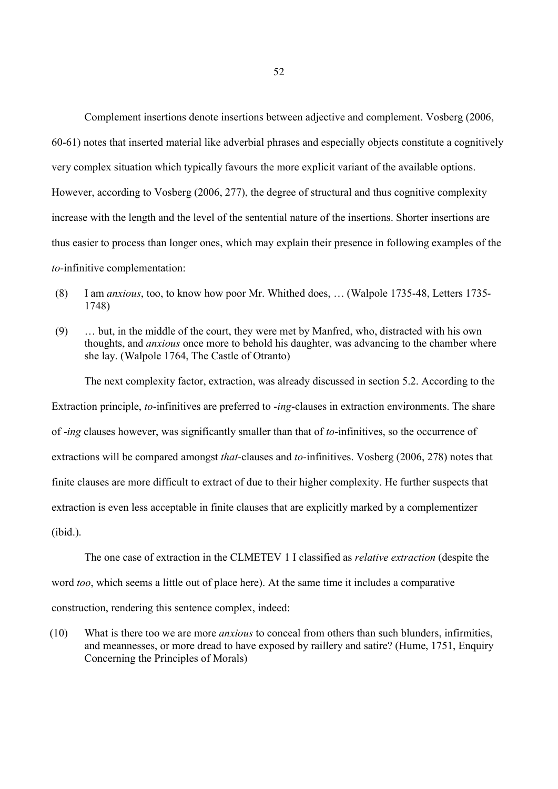Complement insertions denote insertions between adjective and complement. Vosberg (2006, 60-61) notes that inserted material like adverbial phrases and especially objects constitute a cognitively very complex situation which typically favours the more explicit variant of the available options. However, according to Vosberg (2006, 277), the degree of structural and thus cognitive complexity increase with the length and the level of the sentential nature of the insertions. Shorter insertions are thus easier to process than longer ones, which may explain their presence in following examples of the to-infinitive complementation:

- (8) I am *anxious*, too, to know how poor Mr. Whithed does, ... (Walpole 1735-48, Letters 1735-1748)
- (9) … but, in the middle of the court, they were met by Manfred, who, distracted with his own thoughts, and *anxious* once more to behold his daughter, was advancing to the chamber where she lay. (Walpole 1764, The Castle of Otranto)

The next complexity factor, extraction, was already discussed in section 5.2. According to the Extraction principle, *to*-infinitives are preferred to -*ing*-clauses in extraction environments. The share of *-ing* clauses however, was significantly smaller than that of *to*-infinitives, so the occurrence of extractions will be compared amongst *that*-clauses and *to*-infinitives. Vosberg (2006, 278) notes that finite clauses are more difficult to extract of due to their higher complexity. He further suspects that extraction is even less acceptable in finite clauses that are explicitly marked by a complementizer (ibid.).

The one case of extraction in the CLMETEV 1 I classified as *relative extraction* (despite the word *too*, which seems a little out of place here). At the same time it includes a comparative construction, rendering this sentence complex, indeed:

(10) What is there too we are more *anxious* to conceal from others than such blunders, infirmities, and meannesses, or more dread to have exposed by raillery and satire? (Hume, 1751, Enquiry Concerning the Principles of Morals)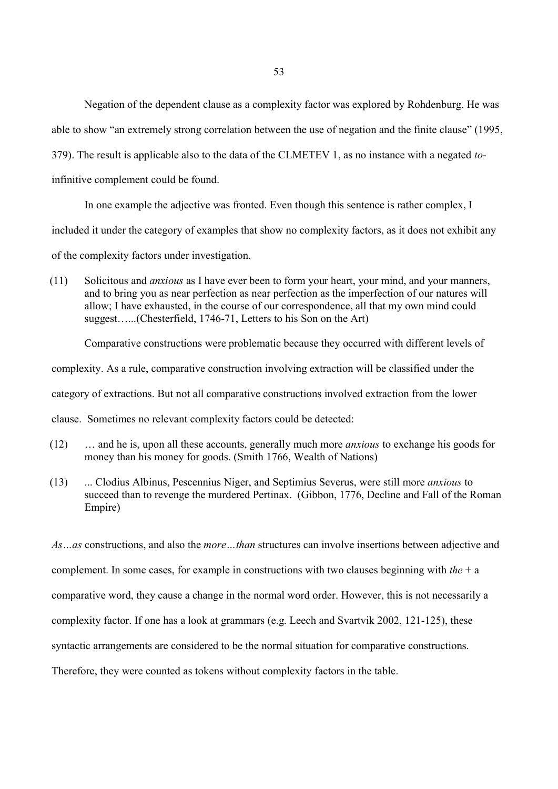Negation of the dependent clause as a complexity factor was explored by Rohdenburg. He was able to show "an extremely strong correlation between the use of negation and the finite clause" (1995, 379). The result is applicable also to the data of the CLMETEV 1, as no instance with a negated *to*infinitive complement could be found.

In one example the adjective was fronted. Even though this sentence is rather complex, I included it under the category of examples that show no complexity factors, as it does not exhibit any of the complexity factors under investigation.

(11) Solicitous and *anxious* as I have ever been to form your heart, your mind, and your manners, and to bring you as near perfection as near perfection as the imperfection of our natures will allow; I have exhausted, in the course of our correspondence, all that my own mind could suggest......(Chesterfield, 1746-71, Letters to his Son on the Art)

Comparative constructions were problematic because they occurred with different levels of complexity. As a rule, comparative construction involving extraction will be classified under the category of extractions. But not all comparative constructions involved extraction from the lower clause. Sometimes no relevant complexity factors could be detected:

- (12) ... and he is, upon all these accounts, generally much more *anxious* to exchange his goods for money than his money for goods. (Smith 1766, Wealth of Nations)
- (13) ... Clodius Albinus, Pescennius Niger, and Septimius Severus, were still more *anxious* to succeed than to revenge the murdered Pertinax. (Gibbon, 1776, Decline and Fall of the Roman Empire)

*As...as* constructions, and also the *more...than* structures can involve insertions between adjective and complement. In some cases, for example in constructions with two clauses beginning with *the* + a comparative word, they cause a change in the normal word order. However, this is not necessarily a complexity factor. If one has a look at grammars (e.g. Leech and Svartvik 2002, 121-125), these syntactic arrangements are considered to be the normal situation for comparative constructions. Therefore, they were counted as tokens without complexity factors in the table.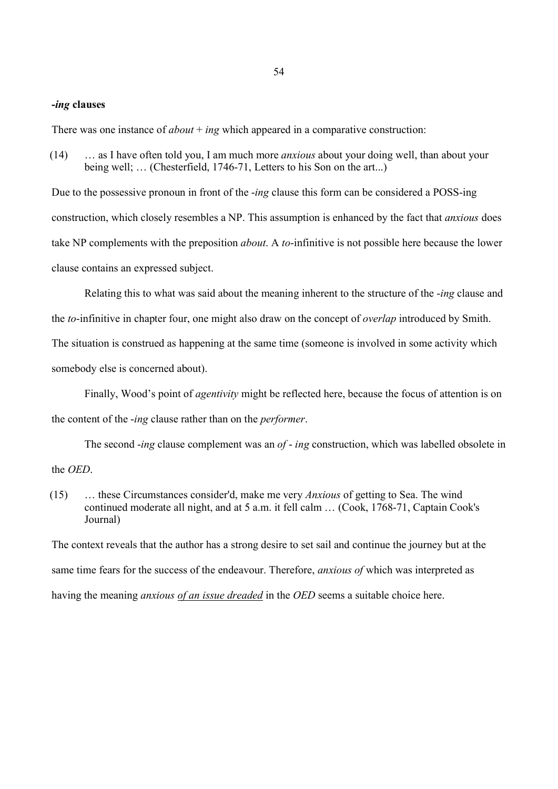#### **-***ing* **clauses**

There was one instance of  $about + ing$  which appeared in a comparative construction:

 $(14)$  ... as I have often told you, I am much more *anxious* about your doing well, than about your being well; ... (Chesterfield, 1746-71, Letters to his Son on the art...)

Due to the possessive pronoun in front of the *-ing* clause this form can be considered a POSS-ing construction, which closely resembles a NP. This assumption is enhanced by the fact that *anxious* does take NP complements with the preposition *about*. A *to*-infinitive is not possible here because the lower clause contains an expressed subject.

Relating this to what was said about the meaning inherent to the structure of the *-ing* clause and the *to*-infinitive in chapter four, one might also draw on the concept of *overlap* introduced by Smith. The situation is construed as happening at the same time (someone is involved in some activity which somebody else is concerned about).

Finally, Wood's point of *agentivity* might be reflected here, because the focus of attention is on the content of the *-ing* clause rather than on the *performer*.

The second *-ing* clause complement was an *of - ing* construction, which was labelled obsolete in the *OED* 

(15) ... these Circumstances consider'd, make me very *Anxious* of getting to Sea. The wind continued moderate all night, and at 5 a.m. it fell calm … (Cook, 1768-71, Captain Cook's Journal)

The context reveals that the author has a strong desire to set sail and continue the journey but at the same time fears for the success of the endeavour. Therefore, *anxious of* which was interpreted as having the meaning *anxious of an issue dreaded* in the *OED* seems a suitable choice here.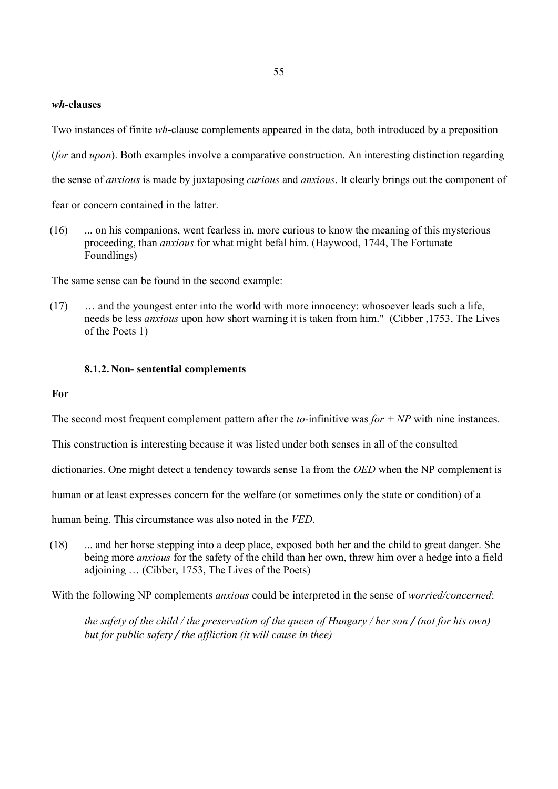#### *wh***-clauses**

Two instances of finite *wh*-clause complements appeared in the data, both introduced by a preposition *(for and <i>upon*). Both examples involve a comparative construction. An interesting distinction regarding the sense of *anxious* is made by juxtaposing *curious* and *anxious*. It clearly brings out the component of

fear or concern contained in the latter.

(16) ... on his companions, went fearless in, more curious to know the meaning of this mysterious proceeding, than *anxious* for what might befal him. (Haywood, 1744, The Fortunate Foundlings)

The same sense can be found in the second example:

(17) … and the youngest enter into the world with more innocency: whosoever leads such a life, needs be less *anxious* upon how short warning it is taken from him." (Cibber ,1753, The Lives of the Poets 1)

# **8.1.2. Non- sentential complements**

### **For**

The second most frequent complement pattern after the *to*-infinitive was  $for + NP$  with nine instances.

This construction is interesting because it was listed under both senses in all of the consulted

dictionaries. One might detect a tendency towards sense 1a from the *OED* when the NP complement is

human or at least expresses concern for the welfare (or sometimes only the state or condition) of a

human being. This circumstance was also noted in the *VED*.

(18) ... and her horse stepping into a deep place, exposed both her and the child to great danger. She being more *anxious* for the safety of the child than her own, threw him over a hedge into a field adioining ... (Cibber, 1753, The Lives of the Poets)

With the following NP complements *anxious* could be interpreted in the sense of *worried/concerned*:

*diaparty of the child / the preservation of the queen of Hungary / her son / (not for his own) but for public safety / the affliction (it will cause in thee)*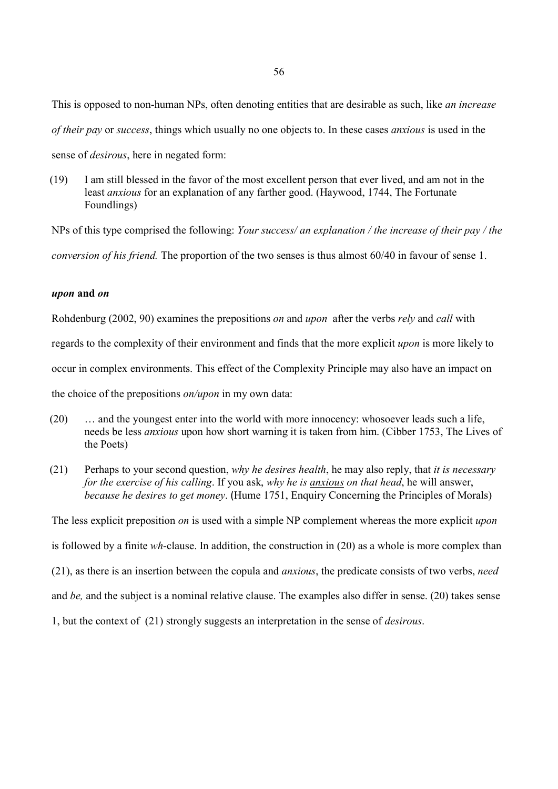This is opposed to non-human NPs, often denoting entities that are desirable as such, like *an increase* 

*of their pay* or *success*, things which usually no one objects to. In these cases *anxious* is used in the

sense of *desirous*, here in negated form:

(19) I am still blessed in the favor of the most excellent person that ever lived, and am not in the least *anxious* for an explanation of any farther good. (Haywood, 1744, The Fortunate Foundlings)

NPs of this type comprised the following: *Your success/ an explanation / the increase of their pay / the* 

*conversion of his friend.* The proportion of the two senses is thus almost 60/40 in favour of sense 1.

# *upon* **and** *on*

Rohdenburg (2002, 90) examines the prepositions *on* and *upon* after the verbs *rely* and *call* with

regards to the complexity of their environment and finds that the more explicit *upon* is more likely to

occur in complex environments. This effect of the Complexity Principle may also have an impact on

the choice of the prepositions *on/upon* in my own data:

- (20) … and the youngest enter into the world with more innocency: whosoever leads such a life, needs be less *anxious* upon how short warning it is taken from him. (Cibber 1753, The Lives of the Poets)
- (21) Perhaps to your second question, *why he desires health*, he may also reply, that *it is necessary for the exercise of his calling.* If you ask, *why he is anxious on that head*, he will answer, *because he desires to get money.* (Hume 1751, Enquiry Concerning the Principles of Morals)

The less explicit preposition *on* is used with a simple NP complement whereas the more explicit *upon* is followed by a finite *wh*-clause. In addition, the construction in (20) as a whole is more complex than (21), as there is an insertion between the copula and *anxious*, the predicate consists of two verbs, *need* and *be*, and the subject is a nominal relative clause. The examples also differ in sense. (20) takes sense

1, but the context of (21) strongly suggests an interpretation in the sense of *desirous*.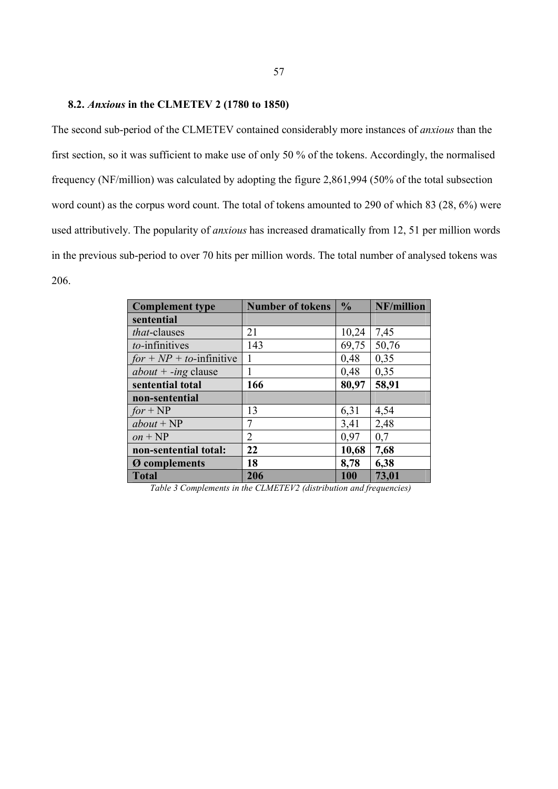# **8.2.** *Anxious* **in the CLMETEV 2 (1780 to 1850)**

The second sub-period of the CLMETEV contained considerably more instances of *anxious* than the first section, so it was sufficient to make use of only 50 % of the tokens. Accordingly, the normalised frequency (NF/million) was calculated by adopting the figure 2,861,994 (50% of the total subsection word count) as the corpus word count. The total of tokens amounted to 290 of which 83 (28, 6%) were used attributively. The popularity of *anxious* has increased dramatically from 12, 51 per million words in the previous sub-period to over 70 hits per million words. The total number of analysed tokens was 206.

| <b>Complement type</b>      | <b>Number of tokens</b> | $\frac{0}{0}$ | NF/million |
|-----------------------------|-------------------------|---------------|------------|
| sentential                  |                         |               |            |
| <i>that</i> -clauses        | 21                      | 10,24         | 7,45       |
| to-infinitives              | 143                     | 69,75         | 50,76      |
| $for + NP + to$ -infinitive | 1                       | 0,48          | 0,35       |
| $about + -ing$ clause       |                         | 0,48          | 0,35       |
| sentential total            | 166                     | 80,97         | 58,91      |
| non-sentential              |                         |               |            |
| $for + NP$                  | 13                      | 6,31          | 4,54       |
| $about + NP$                | 7                       | 3,41          | 2,48       |
| $\omega n + NP$             | $\mathfrak{D}$          | 0,97          | 0,7        |
| non-sentential total:       | 22                      | 10,68         | 7,68       |
| <b>Ø</b> complements        | 18                      | 8,78          | 6,38       |
| <b>Total</b>                | 206                     | 100           | 73,01      |

Table 3 Complements in the CLMETEV<sub>2</sub> (distribution and frequencies)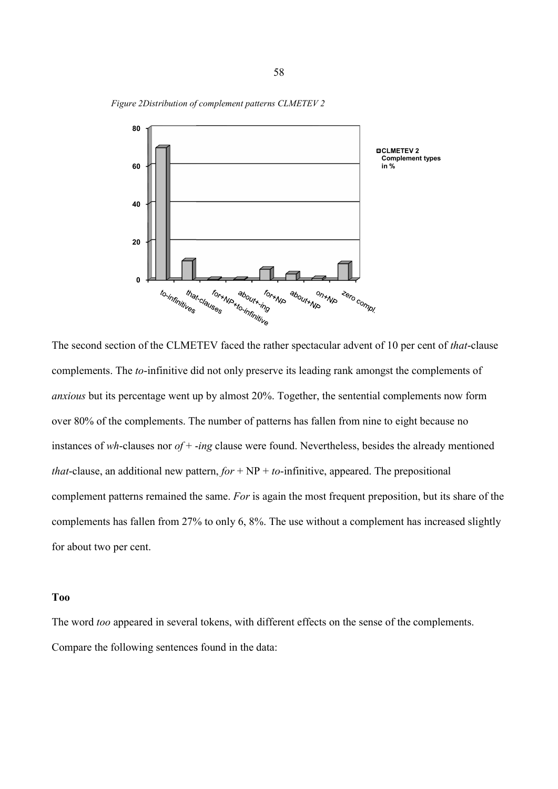

Figure 2Distribution of complement patterns CLMETEV 2

The second section of the CLMETEV faced the rather spectacular advent of 10 per cent of *that*-clause The second section of the CLMETEV faced the rather spectacular advent of 10 per cent of *that*-cla<br>complements. The *to*-infinitive did not only preserve its leading rank amongst the complements of complements. The *to*-infinitive did not only preserve its leading rank amongst the complements of *anxious* but its percentage went up by almost 20%. Together, the sentential complements now form over 80% of the complements. The number of patterns has fallen from nine to eight because no instances of wh-clauses nor of + -ing clause were found. Nevertheless, besides the already mentioned *that*-clause, an additional new pattern,  $for + NP + to$ -infinitive, appeared. The prepositional complement patterns remained the same. For is again the most frequent preposition, but its share of the complements has fallen from 27% to only 6, 8%. The use without a complement has increased slightly for about two per cent. **EXERCTLE THE CONDUCTE CONDUCTER**<br>
Complements has the complements of the CLMETEV faced the rather spectracial ared on the CLMETEV faced the rather spectracial ared on the CLMETEV faced the rather spectracial are detect o of patterns has fallen from nine to eight because no<br>were found. Nevertheless, besides the already mentioned<br> $NP + to$ -infinitive, appeared. The prepositional

# **Too**

The word *too* appeared in several tokens, with different effects on the sense of the complements. Compare the following sentences found in the data: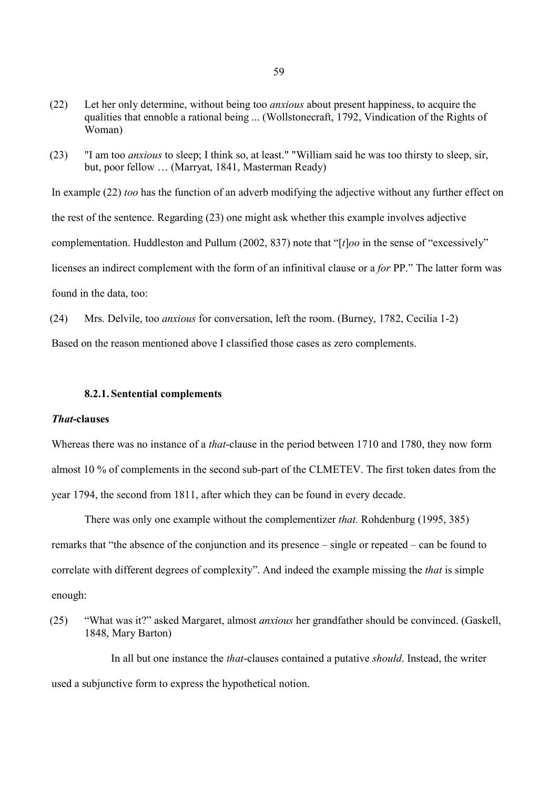- (22) Let her only determine, without being too *anxious* about present happiness, to acquire the qualities that ennoble a rational being ... (Wollstonecraft, 1792, Vindication of the Rights of Woman)
- (23) "I am too *anxious* to sleep; I think so, at least." "William said he was too thirsty to sleep, sir, but, poor fellow … (Marryat, 1841, Masterman Ready)

In example (22) *too* has the function of an adverb modifying the adjective without any further effect on the rest of the sentence. Regarding (23) one might ask whether this example involves adjective complementation. Huddleston and Pullum (2002, 837) note that "[*t*]*oo* in the sense of "excessively" licenses an indirect complement with the form of an infinitival clause or a *for* PP." The latter form was found in the data, too:

(24) Mrs. Delvile, too *anxious* for conversation, left the room. (Burney, 1782, Cecilia 1-2)

Based on the reason mentioned above I classified those cases as zero complements.

### **8.2.1. Sentential complements**

#### *That***-clauses**

Whereas there was no instance of a *that*-clause in the period between 1710 and 1780, they now form almost 10 % of complements in the second sub-part of the CLMETEV. The first token dates from the year 1794, the second from 1811, after which they can be found in every decade.

There was only one example without the complementizer *that*. Rohdenburg (1995, 385) remarks that "the absence of the conjunction and its presence – single or repeated – can be found to correlate with different degrees of complexity". And indeed the example missing the *that* is simple enough:

(25) "What was it?" asked Margaret, almost *anxious* her grandfather should be convinced. (Gaskell, 1848, Mary Barton)

In all but one instance the *that*-clauses contained a putative *should*. Instead, the writer used a subjunctive form to express the hypothetical notion.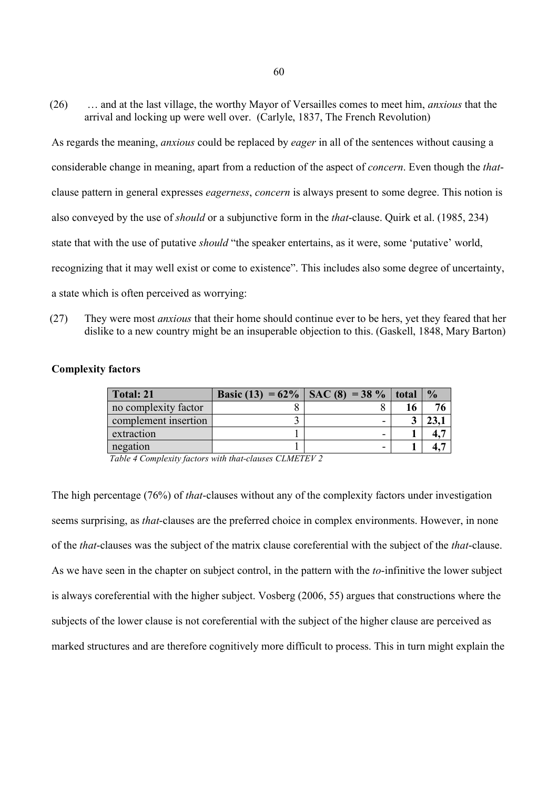(26) … and at the last village, the worthy Mayor of Versailles comes to meet him, *anxious* that the arrival and locking up were well over. (Carlyle, 1837, The French Revolution)

As regards the meaning, *anxious* could be replaced by *eager* in all of the sentences without causing a considerable change in meaning, apart from a reduction of the aspect of *concern*. Even though the *that*clause pattern in general expresses *eagerness*, *concern* is always present to some degree. This notion is also conveyed by the use of *should* or a subjunctive form in the *that*-clause. Quirk et al. (1985, 234) state that with the use of putative *should* "the speaker entertains, as it were, some 'putative' world, recognizing that it may well exist or come to existence". This includes also some degree of uncertainty, a state which is often perceived as worrying:

(27) They were most *anxious* that their home should continue ever to be hers, yet they feared that her dislike to a new country might be an insuperable objection to this. (Gaskell, 1848, Mary Barton)

### **Complexity factors**

| Total: 21            | Basic (13) = $62\%$   SAC (8) = 38 % | total | $\frac{0}{0}$ |
|----------------------|--------------------------------------|-------|---------------|
| no complexity factor |                                      |       |               |
| complement insertion |                                      |       |               |
| extraction           |                                      |       | 4.            |
| negation             |                                      |       |               |

*Pable 4 Complexity factors with that-clauses CLMETEV 2* 

The high percentage (76%) of *that*-clauses without any of the complexity factors under investigation seems surprising, as *that*-clauses are the preferred choice in complex environments. However, in none of the *that*-clauses was the subject of the matrix clause coreferential with the subject of the *that*-clause. As we have seen in the chapter on subject control, in the pattern with the *to*-infinitive the lower subject is always coreferential with the higher subject. Vosberg (2006, 55) argues that constructions where the subjects of the lower clause is not coreferential with the subject of the higher clause are perceived as marked structures and are therefore cognitively more difficult to process. This in turn might explain the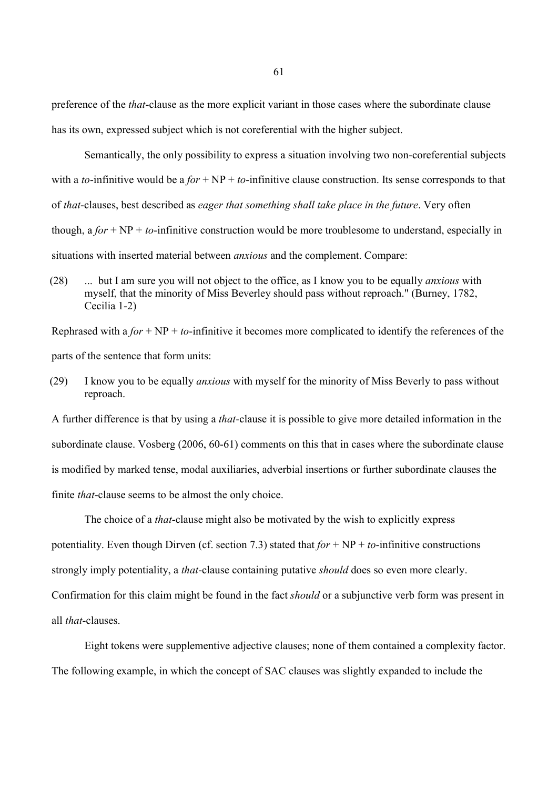preference of the *that*-clause as the more explicit variant in those cases where the subordinate clause has its own, expressed subject which is not coreferential with the higher subject.

Semantically, the only possibility to express a situation involving two non-coreferential subjects with a *to*-infinitive would be a  $for + NP + to$ -infinitive clause construction. Its sense corresponds to that of *that*-clauses, best described as *eager that something shall take place in the future*. Very often though, a  $for + NP + to$ -infinitive construction would be more troublesome to understand, especially in situations with inserted material between *anxious* and the complement. Compare:

(28) ... but I am sure you will not object to the office, as I know you to be equally *anxious* with myself, that the minority of Miss Beverley should pass without reproach." (Burney, 1782, Cecilia 1-2)

Rephrased with a  $for + NP + to$ -infinitive it becomes more complicated to identify the references of the parts of the sentence that form units:

(29) I know you to be equally *anxious* with myself for the minority of Miss Beverly to pass without reproach.

A further difference is that by using a *that*-clause it is possible to give more detailed information in the subordinate clause. Vosberg (2006, 60-61) comments on this that in cases where the subordinate clause is modified by marked tense, modal auxiliaries, adverbial insertions or further subordinate clauses the finite *that*-clause seems to be almost the only choice.

The choice of a *that*-clause might also be motivated by the wish to explicitly express potentiality. Even though Dirven (cf. section 7.3) stated that  $for + NP + to$ -infinitive constructions strongly imply potentiality, a *that*-clause containing putative *should* does so even more clearly. Confirmation for this claim might be found in the fact *should* or a subjunctive verb form was present in all *that*-clauses.

Eight tokens were supplementive adjective clauses; none of them contained a complexity factor. The following example, in which the concept of SAC clauses was slightly expanded to include the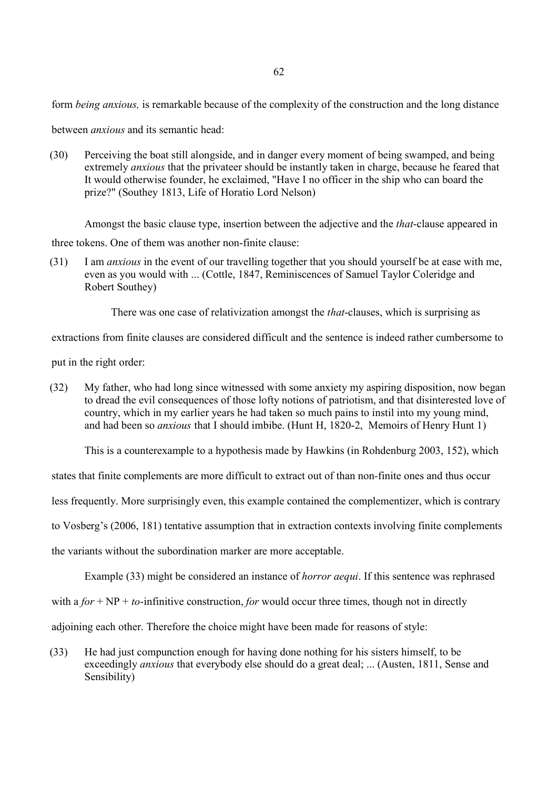form *being anxious*, is remarkable because of the complexity of the construction and the long distance

between *anxious* and its semantic head:

(30) Perceiving the boat still alongside, and in danger every moment of being swamped, and being extremely *anxious* that the privateer should be instantly taken in charge, because he feared that It would otherwise founder, he exclaimed, "Have I no officer in the ship who can board the prize?" (Southey 1813, Life of Horatio Lord Nelson)

Amongst the basic clause type, insertion between the adjective and the *that*-clause appeared in three tokens. One of them was another non-finite clause:

(31) I am *anxious* in the event of our travelling together that you should yourself be at ease with me, even as you would with ... (Cottle, 1847, Reminiscences of Samuel Taylor Coleridge and Robert Southey)

There was one case of relativization amongst the *that*-clauses, which is surprising as

extractions from finite clauses are considered difficult and the sentence is indeed rather cumbersome to

put in the right order:

(32) My father, who had long since witnessed with some anxiety my aspiring disposition, now began to dread the evil consequences of those lofty notions of patriotism, and that disinterested love of country, which in my earlier years he had taken so much pains to instil into my young mind, and had been so *anxious* that I should imbibe. (Hunt H, 1820-2, Memoirs of Henry Hunt 1)

This is a counterexample to a hypothesis made by Hawkins (in Rohdenburg 2003, 152), which

states that finite complements are more difficult to extract out of than non-finite ones and thus occur

less frequently. More surprisingly even, this example contained the complementizer, which is contrary

to Vosberg's (2006, 181) tentative assumption that in extraction contexts involving finite complements

the variants without the subordination marker are more acceptable.

Example (33) might be considered an instance of *horror aequi*. If this sentence was rephrased

with a  $for + NP + to$ -infinitive construction, *for* would occur three times, though not in directly

adjoining each other. Therefore the choice might have been made for reasons of style:

(33) He had just compunction enough for having done nothing for his sisters himself, to be exceedingly *anxious* that everybody else should do a great deal; ... (Austen, 1811, Sense and Sensibility)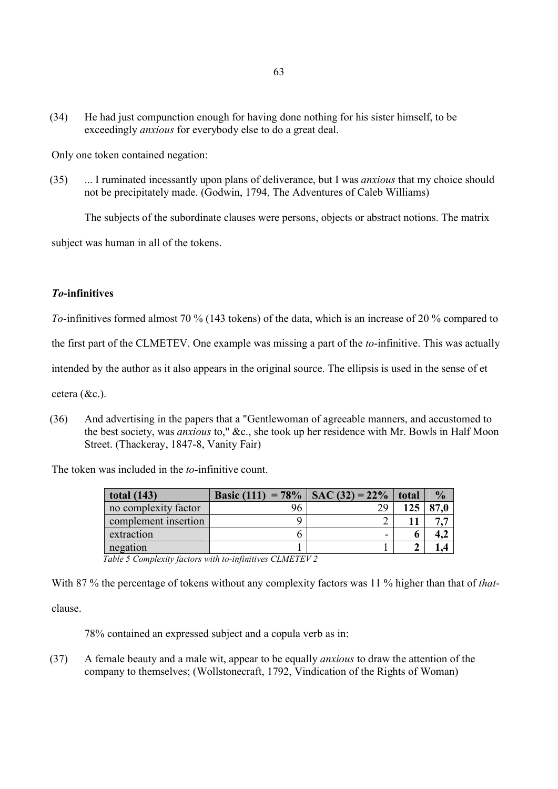(34) He had just compunction enough for having done nothing for his sister himself, to be exceedingly *anxious* for everybody else to do a great deal.

Only one token contained negation:

(35) ... I ruminated incessantly upon plans of deliverance, but I was *anxious* that my choice should not be precipitately made. (Godwin, 1794, The Adventures of Caleb Williams)

The subjects of the subordinate clauses were persons, objects or abstract notions. The matrix

subject was human in all of the tokens.

# *To***-infinitives**

*Pl*-infinitives formed almost 70 % (143 tokens) of the data, which is an increase of 20 % compared to

the first part of the CLMETEV. One example was missing a part of the *to*-infinitive. This was actually

intended by the author as it also appears in the original source. The ellipsis is used in the sense of et

cetera (&c.).

(36) And advertising in the papers that a "Gentlewoman of agreeable manners, and accustomed to the best society, was *anxious* to," &c., she took up her residence with Mr. Bowls in Half Moon Street. (Thackeray, 1847-8, Vanity Fair)

The token was included in the *to*-infinitive count.

| total $(143)$        | Basic (111) = 78%   SAC (32) = 22% |                          | total |      |
|----------------------|------------------------------------|--------------------------|-------|------|
| no complexity factor | 96                                 | 29                       | 125   | 87 O |
| complement insertion |                                    |                          |       |      |
| extraction           |                                    | $\overline{\phantom{0}}$ |       | 4, Z |
| negation             |                                    |                          |       |      |

Table 5 Complexity factors with to-infinitives CLMETEV 2

With 87 % the percentage of tokens without any complexity factors was 11 % higher than that of *that*-

clause.

78% contained an expressed subject and a copula verb as in:

(37) A female beauty and a male wit, appear to be equally *anxious* to draw the attention of the company to themselves; (Wollstonecraft, 1792, Vindication of the Rights of Woman)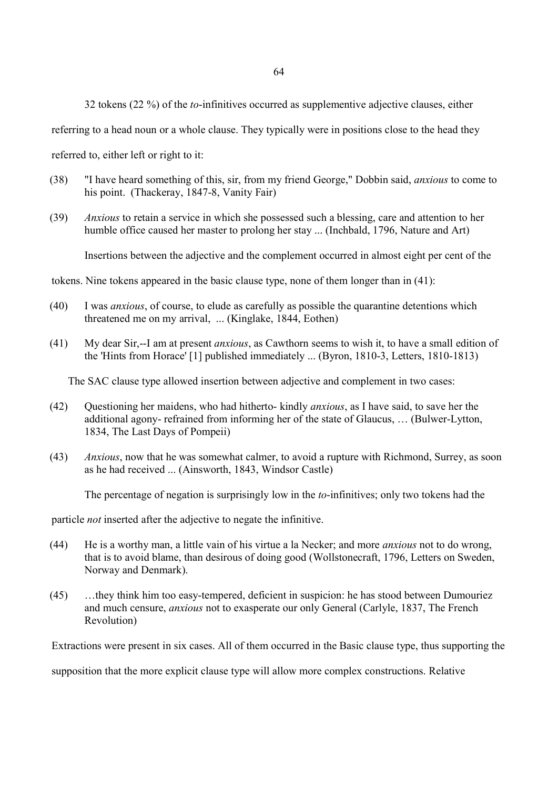32 tokens (22 %) of the *to*-infinitives occurred as supplementive adjective clauses, either

referring to a head noun or a whole clause. They typically were in positions close to the head they

referred to, either left or right to it:

- (38) "I have heard something of this, sir, from my friend George," Dobbin said, *anxious* to come to his point. (Thackeray, 1847-8, Vanity Fair)
- (39) *Anxious* to retain a service in which she possessed such a blessing, care and attention to her humble office caused her master to prolong her stay ... (Inchbald, 1796, Nature and Art)

Insertions between the adjective and the complement occurred in almost eight per cent of the

tokens. Nine tokens appeared in the basic clause type, none of them longer than in (41):

- (40) I was *anxious*, of course, to elude as carefully as possible the quarantine detentions which threatened me on my arrival, ... (Kinglake, 1844, Eothen)
- (41) My dear Sir,--I am at present *anxious*, as Cawthorn seems to wish it, to have a small edition of the 'Hints from Horace' [1] published immediately ... (Byron, 1810-3, Letters, 1810-1813)

The SAC clause type allowed insertion between adjective and complement in two cases:

- (42) Questioning her maidens, who had hitherto- kindly *anxious*, as I have said, to save her the additional agony- refrained from informing her of the state of Glaucus, … (Bulwer-Lytton, 1834, The Last Days of Pompeii)
- (43) *Anxious*, now that he was somewhat calmer, to avoid a rupture with Richmond, Surrey, as soon as he had received ... (Ainsworth, 1843, Windsor Castle)

The percentage of negation is surprisingly low in the *to*-infinitives; only two tokens had the

particle *not* inserted after the adjective to negate the infinitive.

- (44) He is a worthy man, a little vain of his virtue a la Necker; and more *anxious* not to do wrong, that is to avoid blame, than desirous of doing good (Wollstonecraft, 1796, Letters on Sweden, Norway and Denmark).
- (45) …they think him too easy-tempered, deficient in suspicion: he has stood between Dumouriez and much censure, *anxious* not to exasperate our only General (Carlyle, 1837, The French Revolution)

Extractions were present in six cases. All of them occurred in the Basic clause type, thus supporting the

supposition that the more explicit clause type will allow more complex constructions. Relative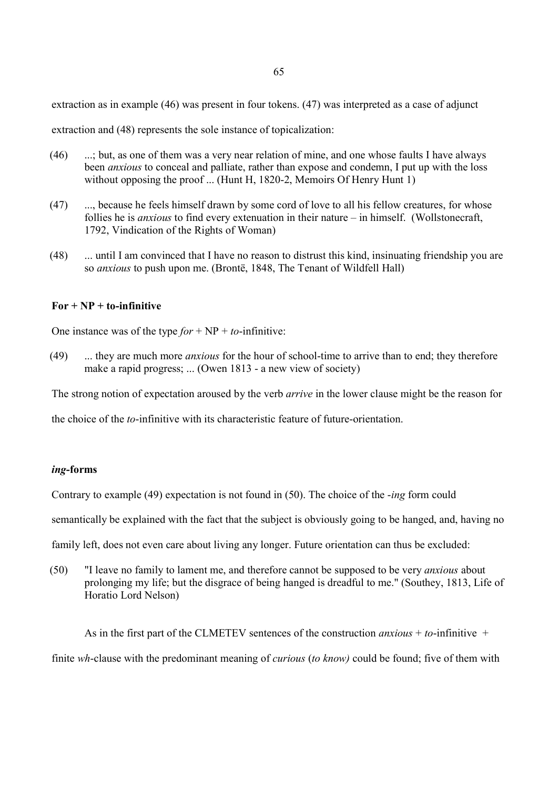extraction as in example (46) was present in four tokens. (47) was interpreted as a case of adjunct

extraction and (48) represents the sole instance of topicalization:

- (46) ...; but, as one of them was a very near relation of mine, and one whose faults I have always been *anxious* to conceal and palliate, rather than expose and condemn, I put up with the loss without opposing the proof ... (Hunt H, 1820-2, Memoirs Of Henry Hunt 1)
- (47) ..., because he feels himself drawn by some cord of love to all his fellow creatures, for whose follies he is *anxious* to find every extenuation in their nature – in himself. (Wollstonecraft, 1792, Vindication of the Rights of Woman)
- (48) ... until I am convinced that I have no reason to distrust this kind, insinuating friendship you are so *anxious* to push upon me. (Brontë, 1848, The Tenant of Wildfell Hall)

# **For + NP + to-infinitive**

One instance was of the type  $for + NP + to$ -infinitive:

(49) ... they are much more *anxious* for the hour of school-time to arrive than to end; they therefore make a rapid progress; ... (Owen 1813 - a new view of society)

The strong notion of expectation aroused by the verb *arrive* in the lower clause might be the reason for

the choice of the *to*-infinitive with its characteristic feature of future-orientation.

# *ing***-forms**

Contrary to example (49) expectation is not found in (50). The choice of the *-ing* form could

semantically be explained with the fact that the subject is obviously going to be hanged, and, having no

family left, does not even care about living any longer. Future orientation can thus be excluded:

(50) "I leave no family to lament me, and therefore cannot be supposed to be very *anxious* about prolonging my life; but the disgrace of being hanged is dreadful to me." (Southey, 1813, Life of Horatio Lord Nelson)

As in the first part of the CLMETEV sentences of the construction *anxious* + *to*-infinitive +

finite *wh*-clause with the predominant meaning of *curious* (*to know*) could be found; five of them with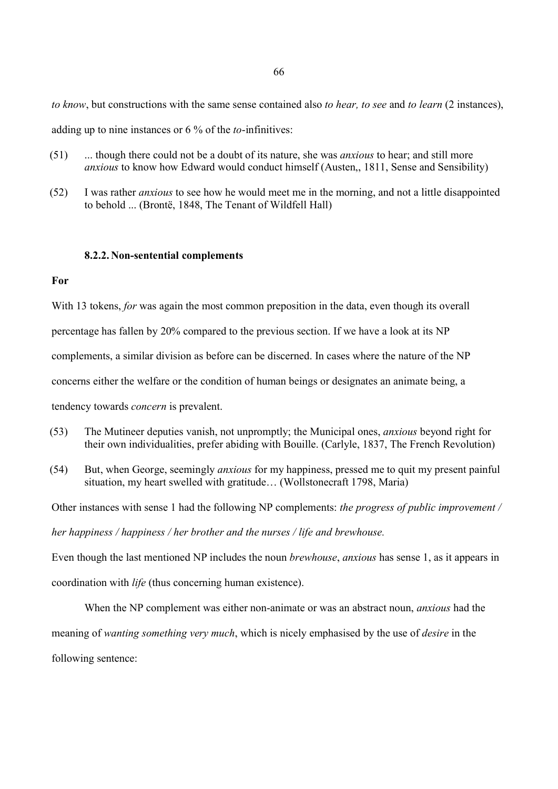*to know*, but constructions with the same sense contained also *to hear, to see* and *to learn* (2 instances),

adding up to nine instances or 6 % of the *to*-infinitives:

- (51) ... though there could not be a doubt of its nature, she was *anxious* to hear; and still more *anxious* to know how Edward would conduct himself (Austen,, 1811, Sense and Sensibility)
- (52) I was rather *anxious* to see how he would meet me in the morning, and not a little disappointed to behold ... (Brontë, 1848, The Tenant of Wildfell Hall)

### **8.2.2. Non-sentential complements**

### **For**

With 13 tokens, *for* was again the most common preposition in the data, even though its overall percentage has fallen by 20% compared to the previous section. If we have a look at its NP complements, a similar division as before can be discerned. In cases where the nature of the NP concerns either the welfare or the condition of human beings or designates an animate being, a tendency towards *concern* is prevalent.

- (53) The Mutineer deputies vanish, not unpromptly; the Municipal ones, *anxious* beyond right for their own individualities, prefer abiding with Bouille. (Carlyle, 1837, The French Revolution)
- (54) But, when George, seemingly *anxious* for my happiness, pressed me to quit my present painful situation, my heart swelled with gratitude… (Wollstonecraft 1798, Maria)

Other instances with sense 1 had the following NP complements: *the progress of public improvement* /

*daofraodaofraodings/her brother and the nurses / life and brewhouse.* 

Even though the last mentioned NP includes the noun *brewhouse*, *anxious* has sense 1, as it appears in

coordination with *life* (thus concerning human existence).

When the NP complement was either non-animate or was an abstract noun, *anxious* had the meaning of *wanting something very much*, which is nicely emphasised by the use of *desire* in the following sentence: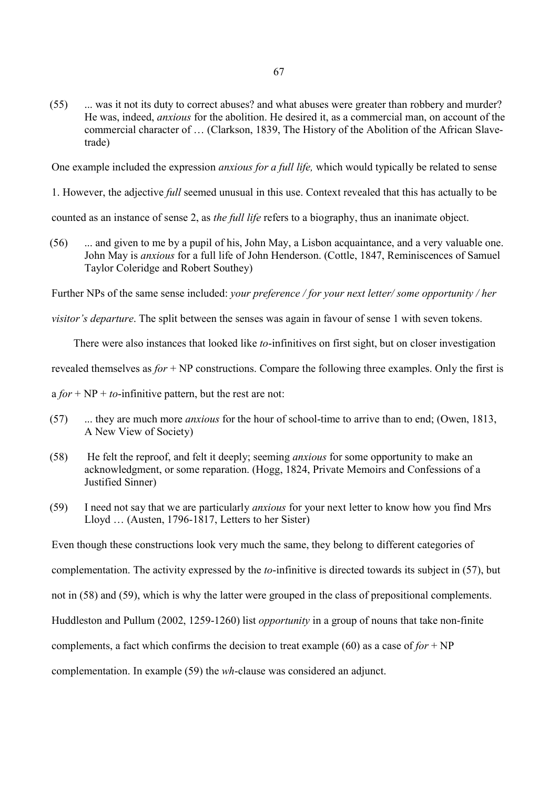(55) ... was it not its duty to correct abuses? and what abuses were greater than robbery and murder? He was, indeed, *anxious* for the abolition. He desired it, as a commercial man, on account of the commercial character of … (Clarkson, 1839, The History of the Abolition of the African Slavetrade)

One example included the expression *anxious for a full life*, which would typically be related to sense

1. However, the adjective *brhh*seemed unusual in this use. Context revealed that this has actually to be

counted as an instance of sense 2, as *the full life* refers to a biography, thus an inanimate object.

(56) ... and given to me by a pupil of his, John May, a Lisbon acquaintance, and a very valuable one. John May is *anxious* for a full life of John Henderson. (Cottle, 1847, Reminiscences of Samuel Taylor Coleridge and Robert Southey)

Further NPs of the same sense included: *vour preference / for your next letter/ some opportunity / her* 

*visitor's departure*. The split between the senses was again in favour of sense 1 with seven tokens.

There were also instances that looked like *to*-infinitives on first sight, but on closer investigation

revealed themselves as *for* + NP constructions. Compare the following three examples. Only the first is

 $a$  *for* + NP + *to*-infinitive pattern, but the rest are not:

- (57) ... they are much more *anxious* for the hour of school-time to arrive than to end; (Owen, 1813, A New View of Society)
- (58) He felt the reproof, and felt it deeply; seeming *anxious* for some opportunity to make an acknowledgment, or some reparation. (Hogg, 1824, Private Memoirs and Confessions of a Justified Sinner)
- (59) I need not say that we are particularly *anxious* for your next letter to know how you find Mrs Lloyd … (Austen, 1796-1817, Letters to her Sister)

Even though these constructions look very much the same, they belong to different categories of

complementation. The activity expressed by the *to*-infinitive is directed towards its subject in (57), but

not in (58) and (59), which is why the latter were grouped in the class of prepositional complements.

Huddleston and Pullum (2002, 1259-1260) list *opportunity* in a group of nouns that take non-finite

complements, a fact which confirms the decision to treat example (60) as a case of  $for + NP$ 

complementation. In example (59) the *wh*-clause was considered an adjunct.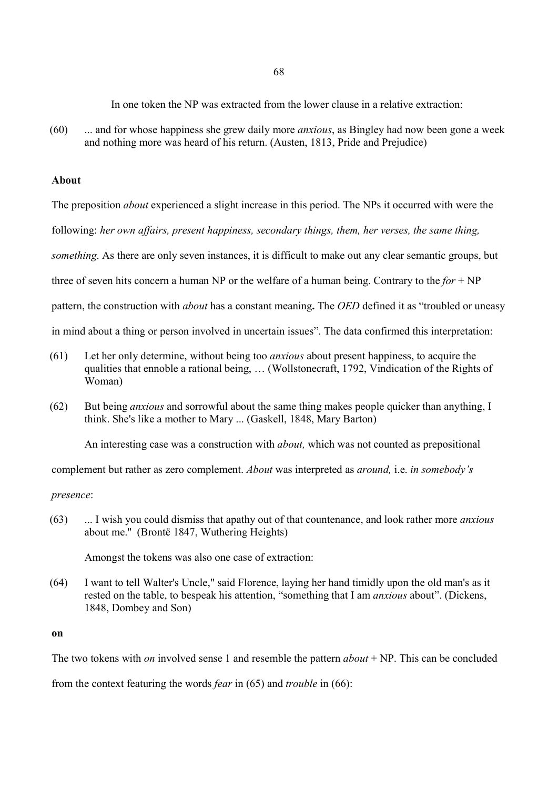In one token the NP was extracted from the lower clause in a relative extraction:

(60) ... and for whose happiness she grew daily more *anxious*, as Bingley had now been gone a week and nothing more was heard of his return. (Austen, 1813, Pride and Prejudice)

# **About**

The preposition *about* experienced a slight increase in this period. The NPs it occurred with were the

following: her own affairs, present happiness, secondary things, them, her verses, the same thing,

*something*. As there are only seven instances, it is difficult to make out any clear semantic groups, but

three of seven hits concern a human NP or the welfare of a human being. Contrary to the  $for + NP$ 

pattern, the construction with *about* has a constant meaning. The *OED* defined it as "troubled or uneasy

in mind about a thing or person involved in uncertain issues". The data confirmed this interpretation:

- (61) Let her only determine, without being too *anxious* about present happiness, to acquire the qualities that ennoble a rational being, … (Wollstonecraft, 1792, Vindication of the Rights of Woman)
- (62) But being *anxious* and sorrowful about the same thing makes people quicker than anything, I think. She's like a mother to Mary ... (Gaskell, 1848, Mary Barton)

An interesting case was a construction with *about*, which was not counted as prepositional

complement but rather as zero complement. *About* was interpreted as *around*, i.e. *in somebody*'s

*presence*:

(63) ... I wish you could dismiss that apathy out of that countenance, and look rather more *anxious* about me.'' (Brontë 1847, Wuthering Heights)

Amongst the tokens was also one case of extraction:

(64) I want to tell Walter's Uncle," said Florence, laying her hand timidly upon the old man's as it rested on the table, to bespeak his attention, "something that I am *anxious* about". (Dickens, 1848, Dombey and Son)

#### **on**

The two tokens with *on* involved sense 1 and resemble the pattern  $about + NP$ . This can be concluded

from the context featuring the words *fear* in (65) and *trouble* in (66):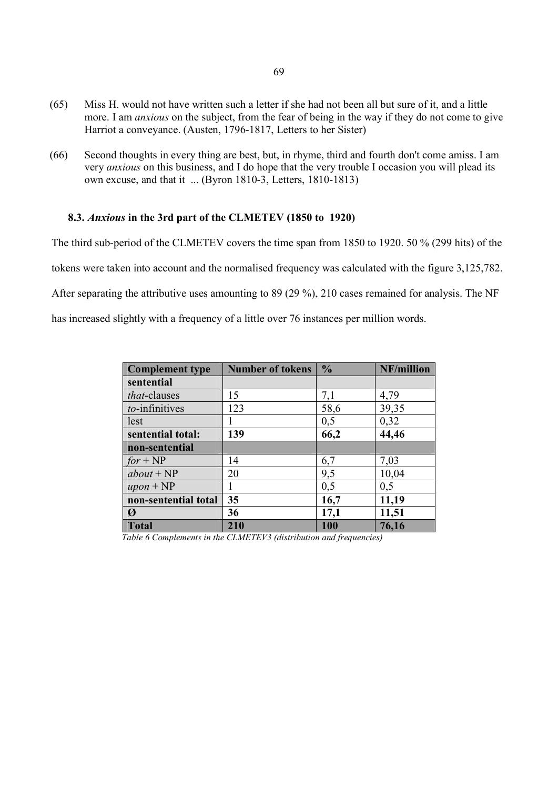- (65) Miss H. would not have written such a letter if she had not been all but sure of it, and a little more. I am *anxious* on the subject, from the fear of being in the way if they do not come to give Harriot a conveyance. (Austen, 1796-1817, Letters to her Sister)
- (66) Second thoughts in every thing are best, but, in rhyme, third and fourth don't come amiss. I am very *anxious* on this business, and I do hope that the very trouble I occasion you will plead its own excuse, and that it ... (Byron 1810-3, Letters, 1810-1813)

# **8.3.** *Anxious* **in the 3rd part of the CLMETEV (1850 to 1920)**

The third sub-period of the CLMETEV covers the time span from 1850 to 1920. 50 % (299 hits) of the tokens were taken into account and the normalised frequency was calculated with the figure 3,125,782. After separating the attributive uses amounting to 89 (29 %), 210 cases remained for analysis. The NF

has increased slightly with a frequency of a little over 76 instances per million words.

| <b>Complement type</b> | <b>Number of tokens</b> | $\frac{0}{0}$ | NF/million |
|------------------------|-------------------------|---------------|------------|
| sentential             |                         |               |            |
| that-clauses           | 15                      | 7,1           | 4,79       |
| to-infinitives         | 123                     | 58,6          | 39,35      |
| lest                   |                         | 0,5           | 0,32       |
| sentential total:      | 139                     | 66,2          | 44,46      |
| non-sentential         |                         |               |            |
| $for + NP$             | 14                      | 6,7           | 7,03       |
| $about + NP$           | 20                      | 9,5           | 10,04      |
| $upon + NP$            |                         | 0,5           | 0,5        |
| non-sentential total   | 35                      | 16,7          | 11,19      |
| Ø                      | 36                      | 17,1          | 11,51      |
| <b>Total</b>           | 210                     | 100           | 76,16      |

 $Table 6$  Complements in the CLMETEV3 (distribution and frequencies)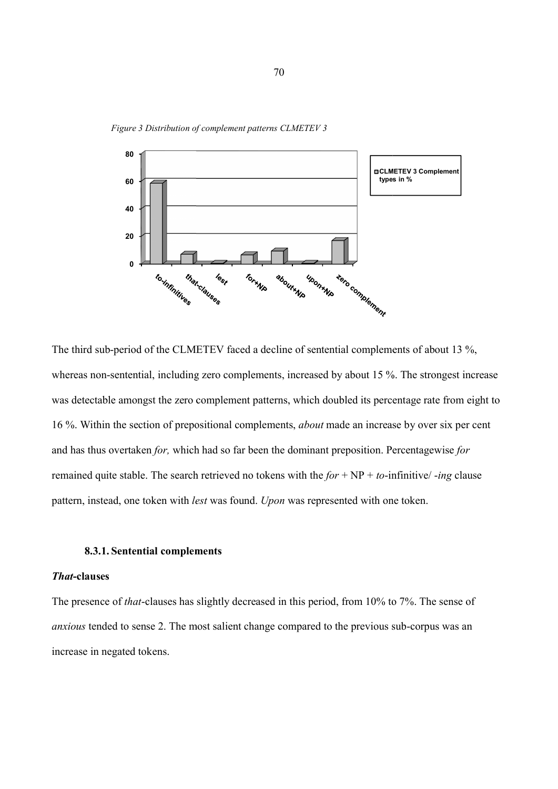



The third sub-period of the CLMETEV faced a decline of sentential complements of about 13 %, The third sub-period of the CLMETEV faced a decline of sentential complements of about 13 %,<br>whereas non-sentential, including zero complements, increased by about 15 %. The strongest increase was detectable amongst the zero complement patterns, which doubled its percentage rate from eight to The third sub-period of the CLMETEV faced a decline of sentential complements of about 13 %,<br>whereas non-sentential, including zero complements, increased by about 15 %. The strongest increas<br>was detectable amongst the zer and has thus overtaken *for*, which had so far been the dominant preposition. Percentagewise *for* remained quite stable. The search retrieved no tokens with the  $for + NP + to$ -infinitive/ -*ing* clause pattern, instead, one token with *lest* was found. *Upon* was represented with one token. The most salient change compared to the previous sub-corpus was the most salightly decreased in this period, from 10% to 7%. The strongest<br>
The most change complements, increased by about 15 %. The strongest<br>
Extra complem

### **8.3.1. Sentential complements**

### *That***-clauses**

The presence of *that*-clauses has slightly decreased in this period, from 10% to 7%. The sense of anxious tended to sense 2. The most salient change compared to the previous sub-corpus was an increase in negated tokens.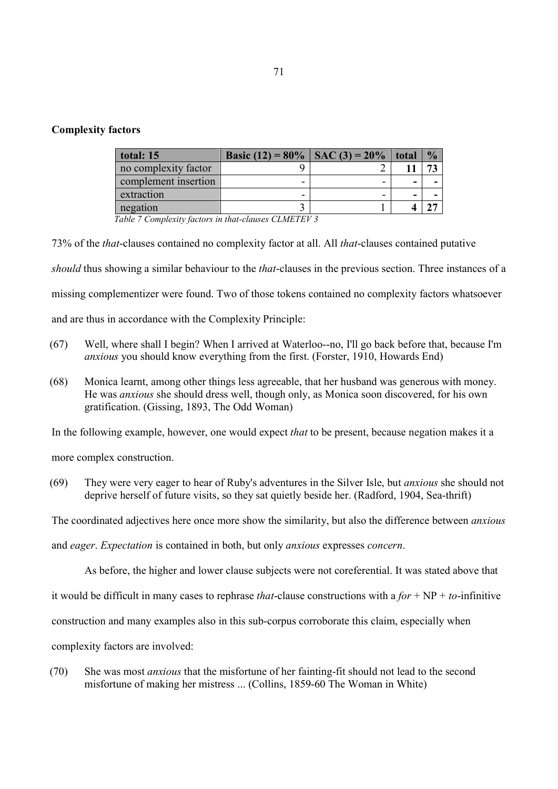| total: 15            | Basic (12) = $80\%$   SAC (3) = $20\%$   total |                          | $\frac{0}{0}$ |
|----------------------|------------------------------------------------|--------------------------|---------------|
| no complexity factor |                                                |                          |               |
| complement insertion | -                                              | $\overline{\phantom{0}}$ |               |
| extraction           | -                                              | -                        |               |
| negation             |                                                |                          |               |

*Pable 7 Complexity factors in that-clauses CLMETEV 3* 

73% of the *that*-clauses contained no complexity factor at all. All *that*-clauses contained putative

*should* thus showing a similar behaviour to the *that*-clauses in the previous section. Three instances of a

missing complementizer were found. Two of those tokens contained no complexity factors whatsoever

and are thus in accordance with the Complexity Principle:

- (67) Well, where shall I begin? When I arrived at Waterloo--no, I'll go back before that, because I'm *anxious* you should know everything from the first. (Forster, 1910, Howards End)
- (68) Monica learnt, among other things less agreeable, that her husband was generous with money. He was *anxious* she should dress well, though only, as Monica soon discovered, for his own gratification. (Gissing, 1893, The Odd Woman)

In the following example, however, one would expect *that* to be present, because negation makes it a

more complex construction.

(69) They were very eager to hear of Ruby's adventures in the Silver Isle, but *anxious* she should not deprive herself of future visits, so they sat quietly beside her. (Radford, 1904, Sea-thrift)

The coordinated adjectives here once more show the similarity, but also the difference between *anxious* 

and *eager*. *Expectation* is contained in both, but only *anxious* expresses *concern*.

As before, the higher and lower clause subjects were not coreferential. It was stated above that

it would be difficult in many cases to rephrase *that*-clause constructions with a  $for + NP + to$ -infinitive

construction and many examples also in this sub-corpus corroborate this claim, especially when

complexity factors are involved:

(70) She was most *anxious* that the misfortune of her fainting-fit should not lead to the second misfortune of making her mistress ... (Collins, 1859-60 The Woman in White)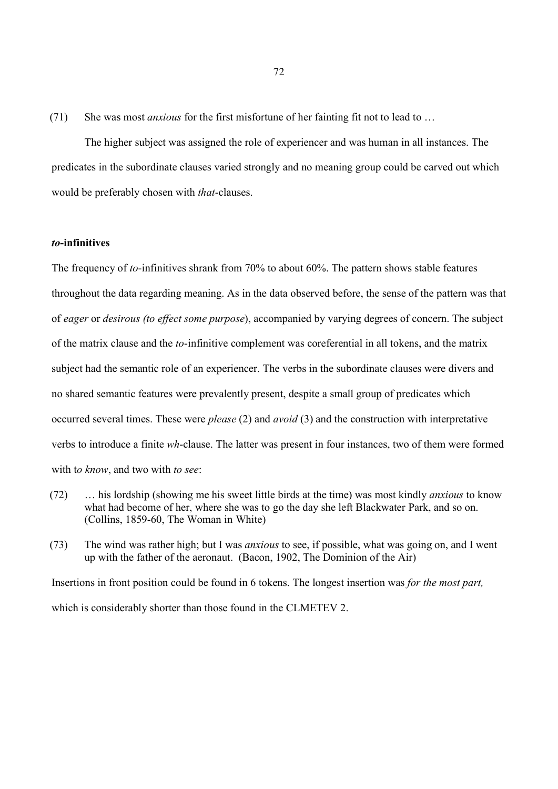(71) She was most *anxious* for the first misfortune of her fainting fit not to lead to ...

The higher subject was assigned the role of experiencer and was human in all instances. The predicates in the subordinate clauses varied strongly and no meaning group could be carved out which would be preferably chosen with *that*-clauses.

# *to***-infinitives**

The frequency of *to*-infinitives shrank from 70% to about 60%. The pattern shows stable features throughout the data regarding meaning. As in the data observed before, the sense of the pattern was that of *eager* or *desirous (to effect some purpose)*, accompanied by varying degrees of concern. The subject of the matrix clause and the *to*-infinitive complement was coreferential in all tokens, and the matrix subject had the semantic role of an experiencer. The verbs in the subordinate clauses were divers and no shared semantic features were prevalently present, despite a small group of predicates which occurred several times. These were *please* (2) and *avoid* (3) and the construction with interpretative verbs to introduce a finite *td*-clause. The latter was present in four instances, two of them were formed with to know, and two with to see:

- (72) … his lordship (showing me his sweet little birds at the time) was most kindly *anxious* to know what had become of her, where she was to go the day she left Blackwater Park, and so on. (Collins, 1859-60, The Woman in White)
- (73) The wind was rather high; but I was *anxious* to see, if possible, what was going on, and I went up with the father of the aeronaut. (Bacon, 1902, The Dominion of the Air)

Insertions in front position could be found in 6 tokens. The longest insertion was *for the most part*, which is considerably shorter than those found in the CLMETEV 2.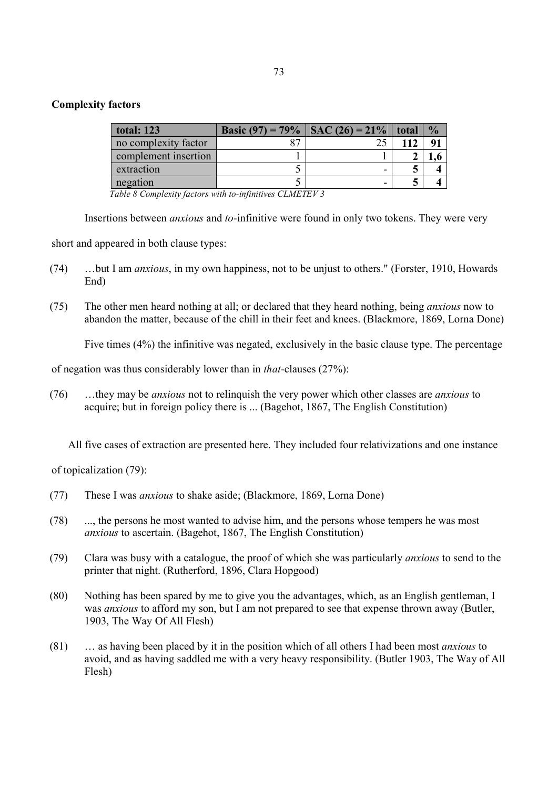## **Complexity factors**

| <b>total: 123</b>    | Basic (97) = 79%   SAC (26) = 21% | total | $\frac{0}{0}$ |
|----------------------|-----------------------------------|-------|---------------|
| no complexity factor | 25                                | 112   | $\mathbf{Q}$  |
| complement insertion |                                   |       |               |
| extraction           |                                   |       |               |
| negation             |                                   |       |               |

*Pable 8 Complexity factors with to-infinitives CLMETEV 3* 

Insertions between *anxious* and *to*-infinitive were found in only two tokens. They were very

short and appeared in both clause types:

- (74) …but I am *anxious*, in my own happiness, not to be unjust to others." (Forster, 1910, Howards End)
- (75) The other men heard nothing at all; or declared that they heard nothing, being *anxious* now to abandon the matter, because of the chill in their feet and knees. (Blackmore, 1869, Lorna Done)

Five times (4%) the infinitive was negated, exclusively in the basic clause type. The percentage

of negation was thus considerably lower than in *that*-clauses (27%):

(76) ...they may be *anxious* not to relinquish the very power which other classes are *anxious* to acquire; but in foreign policy there is ... (Bagehot, 1867, The English Constitution)

All five cases of extraction are presented here. They included four relativizations and one instance

of topicalization (79):

- (77) These I was *anxious* to shake aside; (Blackmore, 1869, Lorna Done)
- (78) ..., the persons he most wanted to advise him, and the persons whose tempers he was most *anxious* to ascertain. (Bagehot, 1867, The English Constitution)
- (79) Clara was busy with a catalogue, the proof of which she was particularly *anxious* to send to the printer that night. (Rutherford, 1896, Clara Hopgood)
- (80) Nothing has been spared by me to give you the advantages, which, as an English gentleman, I was *anxious* to afford my son, but I am not prepared to see that expense thrown away (Butler, 1903, The Way Of All Flesh)
- (81) … as having been placed by it in the position which of all others I had been most *anxious* to avoid, and as having saddled me with a very heavy responsibility. (Butler 1903, The Way of All Flesh)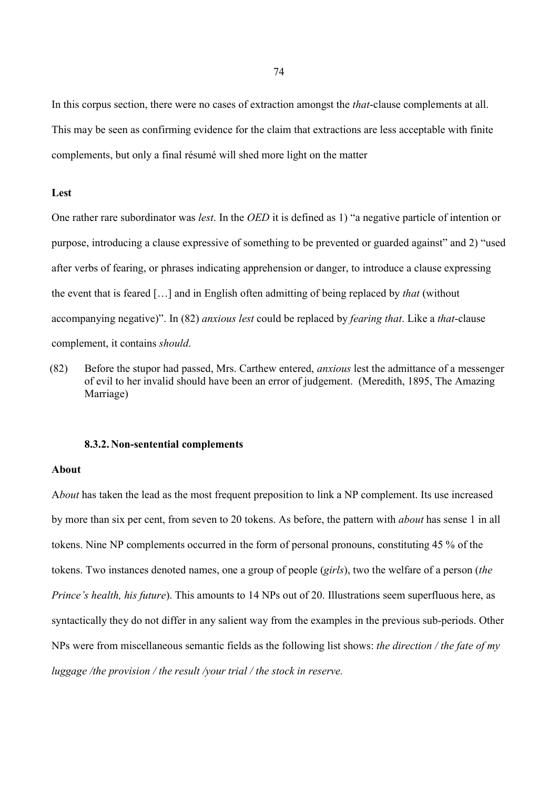In this corpus section, there were no cases of extraction amongst the *that*-clause complements at all. This may be seen as confirming evidence for the claim that extractions are less acceptable with finite complements, but only a final résumé will shed more light on the matter

## **Lest**

One rather rare subordinator was *lest*. In the *OED* it is defined as 1) "a negative particle of intention or purpose, introducing a clause expressive of something to be prevented or guarded against" and 2) "used after verbs of fearing, or phrases indicating apprehension or danger, to introduce a clause expressing the event that is feared [...] and in English often admitting of being replaced by *that* (without accompanying negative)". In (82) *anxious lest* could be replaced by *fearing that*. Like a *that*-clause complement, it contains *should*.

(82) Before the stupor had passed, Mrs. Carthew entered, *anxious* lest the admittance of a messenger of evil to her invalid should have been an error of judgement. (Meredith, 1895, The Amazing Marriage)

#### **8.3.2. Non-sentential complements**

## **About**

A*bout* has taken the lead as the most frequent preposition to link a NP complement. Its use increased by more than six per cent, from seven to 20 tokens. As before, the pattern with *about* has sense 1 in all tokens. Nine NP complements occurred in the form of personal pronouns, constituting 45 % of the tokens. Two instances denoted names, one a group of people (*girls*), two the welfare of a person (*the Prince's health, his future*). This amounts to 14 NPs out of 20. Illustrations seem superfluous here, as syntactically they do not differ in any salient way from the examples in the previous sub-periods. Other NPs were from miscellaneous semantic fields as the following list shows: *the direction / the fate of my hagage* /the provision / the result /your trial / the stock in reserve.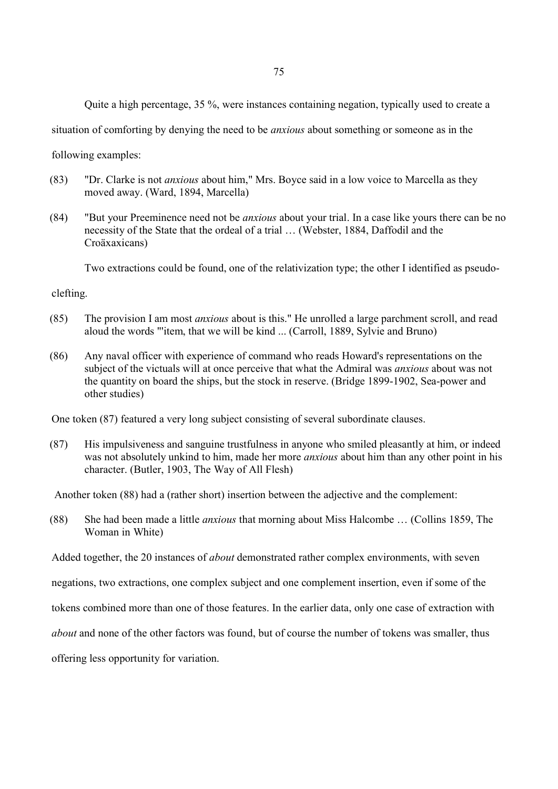Quite a high percentage, 35 %, were instances containing negation, typically used to create a

situation of comforting by denying the need to be *anxious* about something or someone as in the

following examples:

- (83) "Dr. Clarke is not *anxious* about him," Mrs. Boyce said in a low voice to Marcella as they moved away. (Ward, 1894, Marcella)
- (84) "But your Preeminence need not be *anxious* about your trial. In a case like yours there can be no necessity of the State that the ordeal of a trial … (Webster, 1884, Daffodil and the Croäxaxicans)

Two extractions could be found, one of the relativization type; the other I identified as pseudo-

clefting.

- (85) The provision I am most *anxious* about is this." He unrolled a large parchment scroll, and read aloud the words "'item, that we will be kind ... (Carroll, 1889, Sylvie and Bruno)
- (86) Any naval officer with experience of command who reads Howard's representations on the subject of the victuals will at once perceive that what the Admiral was *anxious* about was not the quantity on board the ships, but the stock in reserve. (Bridge 1899-1902, Sea-power and other studies)

One token (87) featured a very long subject consisting of several subordinate clauses.

(87) His impulsiveness and sanguine trustfulness in anyone who smiled pleasantly at him, or indeed was not absolutely unkind to him, made her more *anxious* about him than any other point in his character. (Butler, 1903, The Way of All Flesh)

Another token (88) had a (rather short) insertion between the adjective and the complement:

(88) She had been made a little *anxious* that morning about Miss Halcombe ... (Collins 1859, The Woman in White)

Added together, the 20 instances of *about* demonstrated rather complex environments, with seven

negations, two extractions, one complex subject and one complement insertion, even if some of the

tokens combined more than one of those features. In the earlier data, only one case of extraction with

*about* and none of the other factors was found, but of course the number of tokens was smaller, thus

offering less opportunity for variation.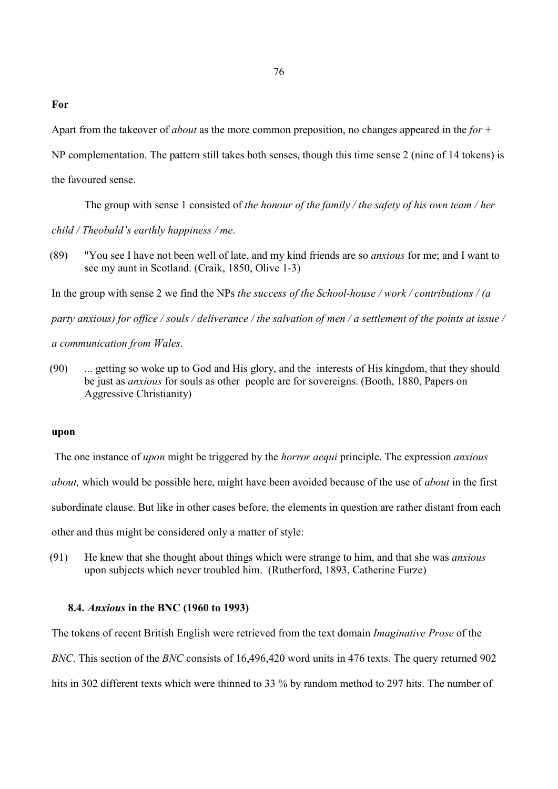**For**

Apart from the takeover of *about* as the more common preposition, no changes appeared in the  $for +$ 

NP complementation. The pattern still takes both senses, though this time sense 2 (nine of 14 tokens) is the favoured sense.

The group with sense 1 consisted of *the honour of the family / the safety of his own team / her* 

*child / Theobald's earthly happiness / me.* 

(89) "You see I have not been well of late, and my kind friends are so *anxious* for me; and I want to see my aunt in Scotland. (Craik, 1850, Olive 1-3)

In the group with sense 2 we find the NPs *the success of the School-house / work / contributions / (a* 

*party anxious) for office / souls / deliverance / the salvation of men / a settlement of the points at issue /* 

*a* communication from Wales.

(90) ... getting so woke up to God and His glory, and the interests of His kingdom, that they should be just as *anxious* for souls as other people are for sovereigns. (Booth, 1880, Papers on Aggressive Christianity)

### **upon**

The one instance of *upon* might be triggered by the *horror aequi* principle. The expression *anxious about*, which would be possible here, might have been avoided because of the use of *about* in the first subordinate clause. But like in other cases before, the elements in question are rather distant from each other and thus might be considered only a matter of style:

(91) He knew that she thought about things which were strange to him, and that she was *anxious* upon subjects which never troubled him. (Rutherford, 1893, Catherine Furze)

### **8.4.** *Anxious* **in the BNC (1960 to 1993)**

The tokens of recent British English were retrieved from the text domain *Imaginative Prose* of the *BNC*. This section of the *BNC* consists of 16,496,420 word units in 476 texts. The query returned 902 hits in 302 different texts which were thinned to 33 % by random method to 297 hits. The number of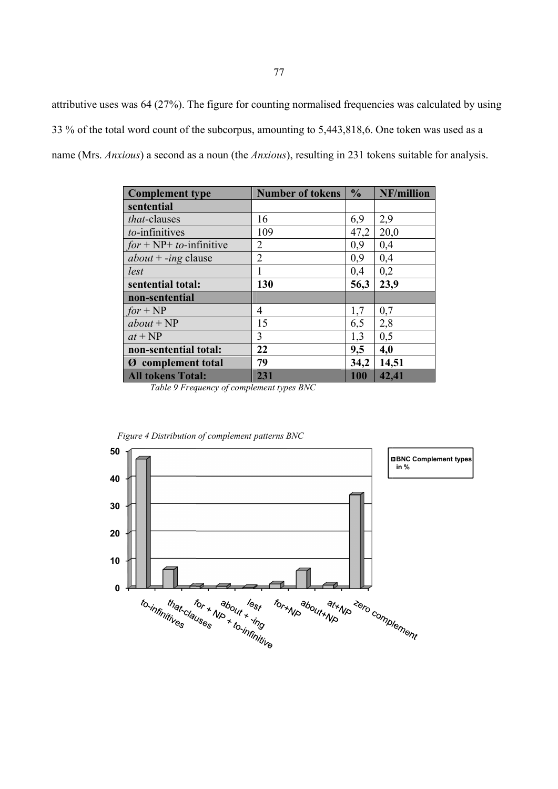attributive uses was 64 (27%). The figure for counting normalised frequencies was calculated by using  $33\%$  of the total word count of the subcorpus, amounting to  $5,443,818,6$ . One token was used as a name (Mrs. *Anxious*) a second as a noun (the *Anxious*), resulting in 231 tokens suitable for analysis.

|                                      |                         |               | <i>ious</i> ) a second as a noun (the <i>Anxious</i> ), resulting in 231 tokens suitable for analysis. |
|--------------------------------------|-------------------------|---------------|--------------------------------------------------------------------------------------------------------|
|                                      |                         |               |                                                                                                        |
| <b>Complement type</b><br>sentential | <b>Number of tokens</b> | $\frac{0}{0}$ | NF/million                                                                                             |
| <i>that</i> -clauses                 | 16                      | 6,9           | 2,9                                                                                                    |
| to-infinitives                       | 109                     | 47,2          | 20,0                                                                                                   |
| $for + NP+ to$ -infinitive           | $\overline{2}$          | 0,9           | 0,4                                                                                                    |
| $about + -ing$ clause                | $\overline{2}$          | 0,9           | 0,4                                                                                                    |
| lest                                 | 1                       | 0,4           | 0,2                                                                                                    |
| sentential total:                    | 130                     | 56,3          | 23,9                                                                                                   |
| non-sentential                       |                         |               |                                                                                                        |
| $for + NP$                           | $\overline{4}$          | 1,7           | 0,7                                                                                                    |
| $about + NP$                         | 15                      | 6,5           | 2,8                                                                                                    |
| $at + NP$                            | $\overline{3}$          | 1,3           | 0,5                                                                                                    |
| non-sentential total:                | 22                      | 9,5           | 4,0                                                                                                    |
| Ø complement total                   | 79                      | 34,2          | 14,51                                                                                                  |
| <b>All tokens Total:</b>             | 231                     | <b>100</b>    | 42,41                                                                                                  |



*Figure 4 Distribution of complement patterns BNC*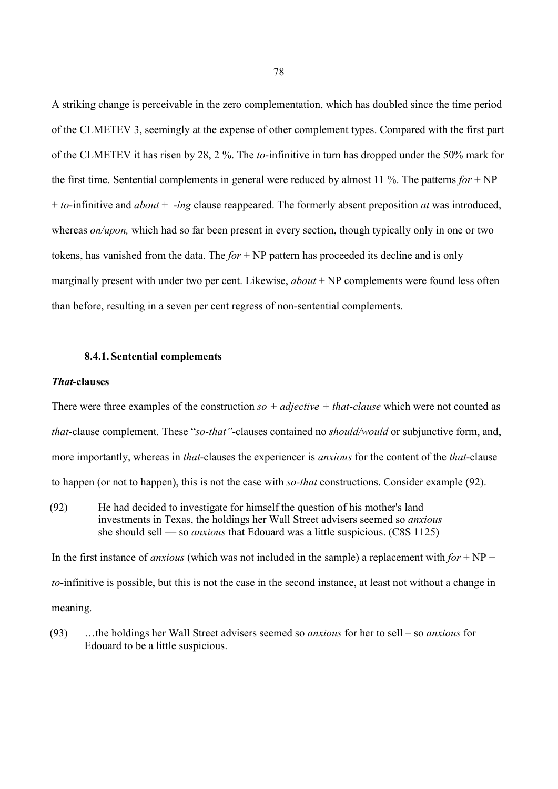A striking change is perceivable in the zero complementation, which has doubled since the time period of the CLMETEV 3, seemingly at the expense of other complement types. Compared with the first part of the CLMETEV it has risen by 28, 2 %. The *to*-infinitive in turn has dropped under the 50% mark for the first time. Sentential complements in general were reduced by almost 11 %. The patterns  $for + NP$ + *to*-infinitive and *about* + -*ing* clause reappeared. The formerly absent preposition *at* was introduced, whereas *on/upon*, which had so far been present in every section, though typically only in one or two tokens, has vanished from the data. The  $for + NP$  pattern has proceeded its decline and is only marginally present with under two per cent. Likewise, *about* + NP complements were found less often than before, resulting in a seven per cent regress of non-sentential complements.

#### **8.4.1. Sentential complements**

#### *That***-clauses**

There were three examples of the construction  $so + adjective + that-clause$  which were not counted as *that*-clause complement. These "*po-that*"-clauses contained no *should/would* or *subjunctive form, and,* more importantly, whereas in *that*-clauses the experiencer is *anxious* for the content of the *that*-clause to happen (or not to happen), this is not the case with *so-that* constructions. Consider example (92).

(92) He had decided to investigate for himself the question of his mother's land investments in Texas, the holdings her Wall Street advisers seemed so *anxious* she should sell — so *anxious* that Edouard was a little suspicious. (C8S 1125)

In the first instance of *anxious* (which was not included in the sample) a replacement with  $for + NP +$ *to*-infinitive is possible, but this is not the case in the second instance, at least not without a change in meaning.

(93) …the holdings her Wall Street advisers seemed so *anxious* for her to sell – so *anxious* for Edouard to be a little suspicious.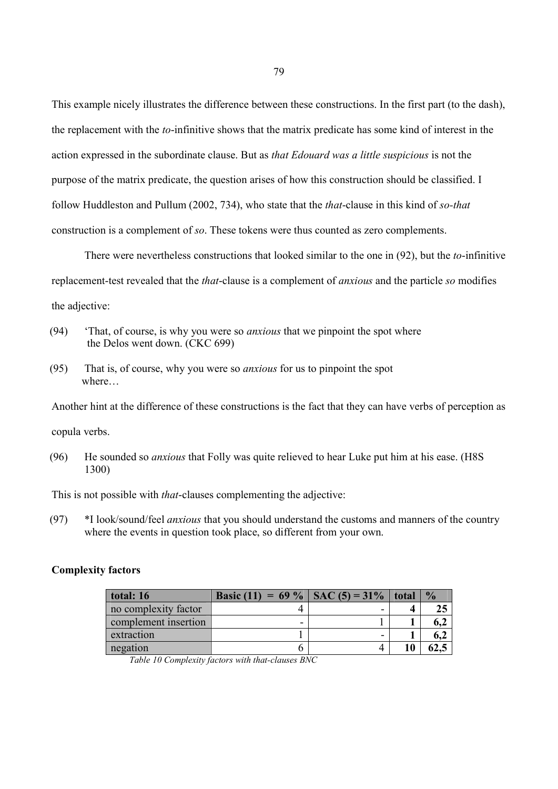This example nicely illustrates the difference between these constructions. In the first part (to the dash), the replacement with the *to*-infinitive shows that the matrix predicate has some kind of interest in the action expressed in the subordinate clause. But as *that Edouard was a little suspicious* is not the purpose of the matrix predicate, the question arises of how this construction should be classified. I follow Huddleston and Pullum (2002, 734), who state that the *that*-clause in this kind of *so-that* construction is a complement of *so*. These tokens were thus counted as zero complements.

There were nevertheless constructions that looked similar to the one in (92), but the *to*-infinitive replacement-test revealed that the *that*-clause is a complement of *anxious* and the particle *so* modifies the adjective:

- (94) 'That, of course, is why you were so *anxious* that we pinpoint the spot where the Delos went down. (CKC 699)
- (95) That is, of course, why you were so *anxious* for us to pinpoint the spot where…

Another hint at the difference of these constructions is the fact that they can have verbs of perception as

copula verbs.

(96) He sounded so *anxious* that Folly was quite relieved to hear Luke put him at his ease. (H8S) 1300)

This is not possible with *that*-clauses complementing the adjective:

(97) \*I look/sound/feel *anxious* that you should understand the customs and manners of the country where the events in question took place, so different from your own.

## **Complexity factors**

| total: 16            | Basic (11) = 69 %   SAC (5) = 31 % | total | $\frac{0}{0}$ |
|----------------------|------------------------------------|-------|---------------|
| no complexity factor |                                    |       | 25            |
| complement insertion | -                                  |       | о,∠           |
| extraction           |                                    |       | 0,Z           |
| negation             |                                    | 10    |               |

*Pable 10 Complexity factors with that-clauses BNC*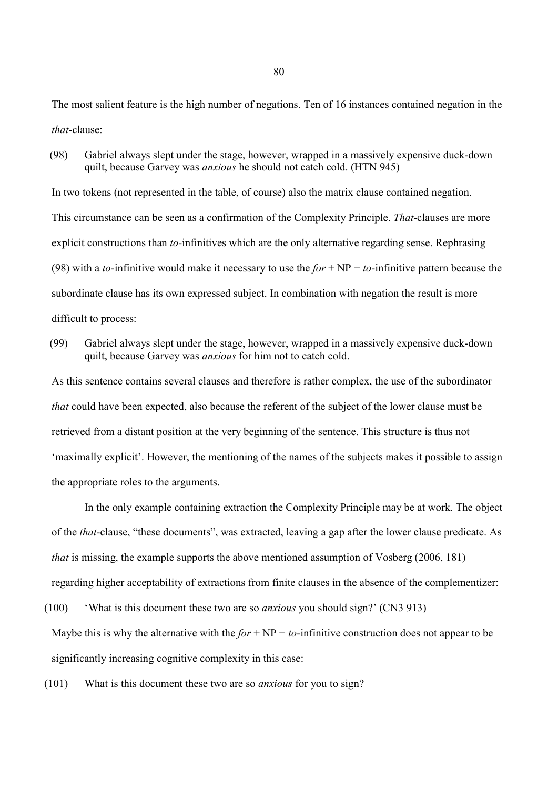The most salient feature is the high number of negations. Ten of 16 instances contained negation in the *that*-clause:

(98) Gabriel always slept under the stage, however, wrapped in a massively expensive duck-down quilt, because Garvey was *anxious* he should not catch cold. (HTN 945)

In two tokens (not represented in the table, of course) also the matrix clause contained negation. This circumstance can be seen as a confirmation of the Complexity Principle. *That*-clauses are more explicit constructions than *to*-infinitives which are the only alternative regarding sense. Rephrasing (98) with a *to*-infinitive would make it necessary to use the  $for + NP + to$ -infinitive pattern because the subordinate clause has its own expressed subject. In combination with negation the result is more difficult to process:

(99) Gabriel always slept under the stage, however, wrapped in a massively expensive duck-down quilt, because Garvey was *anxious* for him not to catch cold.

As this sentence contains several clauses and therefore is rather complex, the use of the subordinator *that* could have been expected, also because the referent of the subject of the lower clause must be retrieved from a distant position at the very beginning of the sentence. This structure is thus not 'maximally explicit'. However, the mentioning of the names of the subjects makes it possible to assign the appropriate roles to the arguments.

In the only example containing extraction the Complexity Principle may be at work. The object of the *that*-clause, "these documents", was extracted, leaving a gap after the lower clause predicate. As *that* is missing, the example supports the above mentioned assumption of Vosberg (2006, 181) regarding higher acceptability of extractions from finite clauses in the absence of the complementizer:

(100) 'What is this document these two are so *anxious* you should sign?' (CN3 913)

Maybe this is why the alternative with the  $for + NP + to$ -infinitive construction does not appear to be significantly increasing cognitive complexity in this case:

(101) What is this document these two are so *anxious* for you to sign?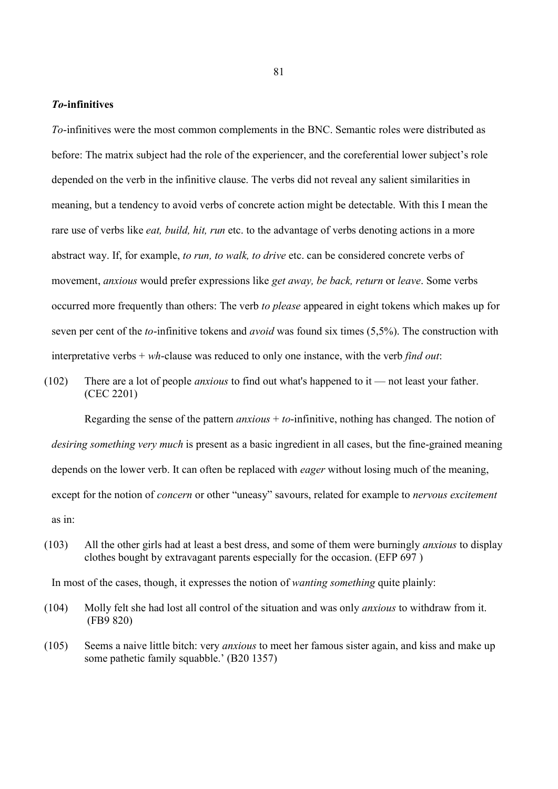## *To-***infinitives**

*Pl*-infinitives were the most common complements in the BNC. Semantic roles were distributed as before: The matrix subject had the role of the experiencer, and the coreferential lower subject's role depended on the verb in the infinitive clause. The verbs did not reveal any salient similarities in meaning, but a tendency to avoid verbs of concrete action might be detectable. With this I mean the rare use of verbs like *eat, build, hit, run* etc. to the advantage of verbs denoting actions in a more abstract way. If, for example, *to run, to walk, to drive* etc. can be considered concrete verbs of movement, *anxious* would prefer expressions like *get away, be back, return* or *leave*. Some verbs occurred more frequently than others: The verb *to please* appeared in eight tokens which makes up for seven per cent of the *to*-infinitive tokens and *avoid* was found six times (5,5%). The construction with interpretative verbs  $+ wh$ -clause was reduced to only one instance, with the verb *find out*:

(102) There are a lot of people *anxious* to find out what's happened to it — not least your father. (CEC 2201)

Regarding the sense of the pattern *anxious* + *to*-infinitive, nothing has changed. The notion of *desiring something very much* is present as a basic ingredient in all cases, but the fine-grained meaning depends on the lower verb. It can often be replaced with *eager* without losing much of the meaning, except for the notion of *concern* or other "uneasy" savours, related for example to *nervous excitement* as in:

(103) All the other girls had at least a best dress, and some of them were burningly *anxious* to display clothes bought by extravagant parents especially for the occasion. (EFP 697 )

In most of the cases, though, it expresses the notion of *wanting something* quite plainly:

- (104) Molly felt she had lost all control of the situation and was only *anxious* to withdraw from it. (FB9 820)
- (105) Seems a naive little bitch: very *anxious* to meet her famous sister again, and kiss and make up some pathetic family squabble.' (B20 1357)

81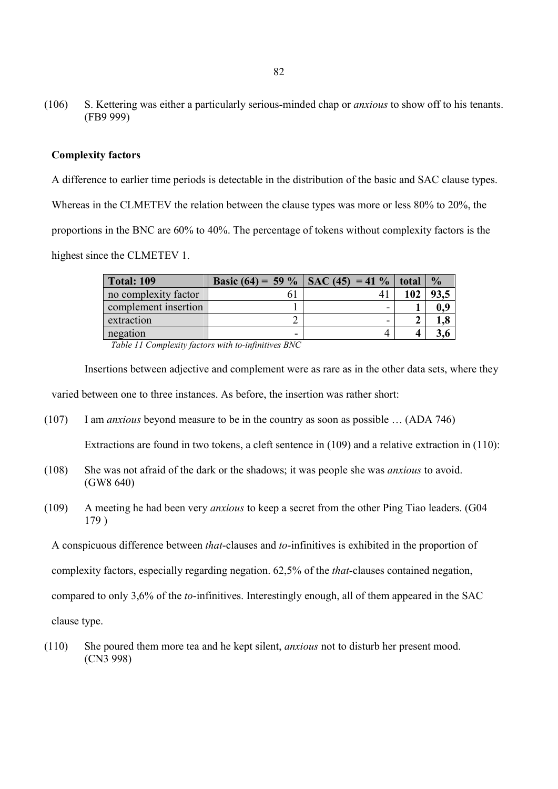(106) S. Kettering was either a particularly serious-minded chap or *anxious* to show off to his tenants. (FB9 999)

## **Complexity factors**

A difference to earlier time periods is detectable in the distribution of the basic and SAC clause types. Whereas in the CLMETEV the relation between the clause types was more or less 80% to 20%, the proportions in the BNC are 60% to 40%. The percentage of tokens without complexity factors is the highest since the CLMETEV 1.

| <b>Total: 109</b>    |   | Basic (64) = 59 %   SAC (45) = 41 % | total | $\frac{0}{0}$ |
|----------------------|---|-------------------------------------|-------|---------------|
| no complexity factor |   |                                     | 102   |               |
| complement insertion |   | $\overline{\phantom{0}}$            |       | 0,9           |
| extraction           |   | $\overline{\phantom{0}}$            |       | 1,8           |
| negation             | - |                                     |       | ა.ს           |

*Pable 11 Complexity factors with to-infinitives BNC* 

Insertions between adjective and complement were as rare as in the other data sets, where they

varied between one to three instances. As before, the insertion was rather short:

(107) I am *anxious* beyond measure to be in the country as soon as possible ... (ADA 746)

Extractions are found in two tokens, a cleft sentence in (109) and a relative extraction in (110):

- (108) She was not afraid of the dark or the shadows; it was people she was *anxious* to avoid. (GW8 640)
- (109) A meeting he had been very *anxious* to keep a secret from the other Ping Tiao leaders. (G04) 179 )

A conspicuous difference between *that*-clauses and *to*-infinitives is exhibited in the proportion of

complexity factors, especially regarding negation, 62.5% of the *that*-clauses contained negation,

compared to only 3,6% of the *to*-infinitives. Interestingly enough, all of them appeared in the SAC

clause type.

(110) She poured them more tea and he kept silent, *anxious* not to disturb her present mood. (CN3 998)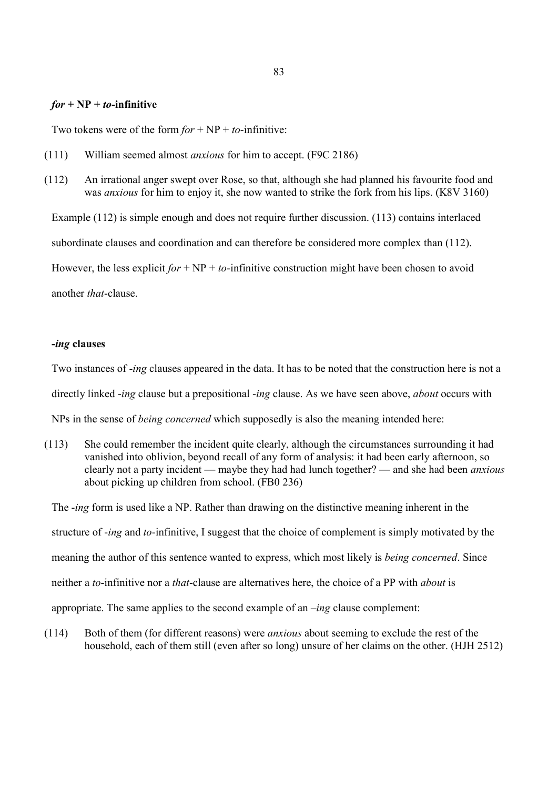#### $for + NP + to$ **-infinitive**

Two tokens were of the form  $for + NP + to$ -infinitive:

- (111) William seemed almost *anxious* for him to accept. (F9C 2186)
- (112) An irrational anger swept over Rose, so that, although she had planned his favourite food and was *anxious* for him to enjoy it, she now wanted to strike the fork from his lips. (K8V 3160)

Example (112) is simple enough and does not require further discussion. (113) contains interlaced

subordinate clauses and coordination and can therefore be considered more complex than (112).

However, the less explicit  $for + NP + to$ -infinitive construction might have been chosen to avoid

another *that*-clause

## **-***ing* **clauses**

Two instances of *-ing* clauses appeared in the data. It has to be noted that the construction here is not a

directly linked -*ing* clause but a prepositional -*ing* clause. As we have seen above, *about* occurs with

NPs in the sense of *being concerned* which supposedly is also the meaning intended here:

(113) She could remember the incident quite clearly, although the circumstances surrounding it had vanished into oblivion, beyond recall of any form of analysis: it had been early afternoon, so clearly not a party incident — maybe they had had lunch together? — and she had been *anxious* about picking up children from school. (FB0 236)

The *-ing* form is used like a NP. Rather than drawing on the distinctive meaning inherent in the structure of *-ing* and *to*-infinitive, I suggest that the choice of complement is simply motivated by the meaning the author of this sentence wanted to express, which most likely is *being concerned*. Since neither a *to*-infinitive nor a *that*-clause are alternatives here, the choice of a PP with *about* is appropriate. The same applies to the second example of an *–ing* clause complement:

(114) Both of them (for different reasons) were *anxious* about seeming to exclude the rest of the household, each of them still (even after so long) unsure of her claims on the other. (HJH 2512)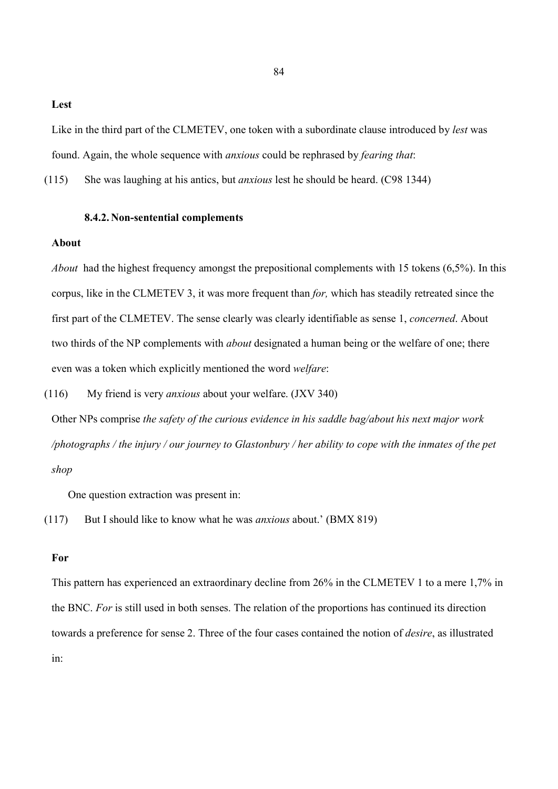**Lest** 

Like in the third part of the CLMETEV, one token with a subordinate clause introduced by *lest* was found. Again, the whole sequence with *anxious* could be rephrased by *fearing that*:

(115) She was laughing at his antics, but *anxious* lest he should be heard. (C98 1344)

## **8.4.2. Non-sentential complements**

## **About**

*About* had the highest frequency amongst the prepositional complements with 15 tokens (6,5%). In this corpus, like in the CLMETEV 3, it was more frequent than *for*, which has steadily retreated since the first part of the CLMETEV. The sense clearly was clearly identifiable as sense 1, *concerned*. About two thirds of the NP complements with *about* designated a human being or the welfare of one; there even was a token which explicitly mentioned the word *welfare*:

(116) My friend is very *anxious* about your welfare. (JXV 340)

Other NPs comprise *the safety of the curious evidence in his saddle bag/about his next major work* /photographs / the injury / our journey to Glastonbury / her ability to cope with the inmates of the pet shop

One question extraction was present in:

(117) But I should like to know what he was *anxious* about.' (BMX 819)

#### **For**

This pattern has experienced an extraordinary decline from 26% in the CLMETEV 1 to a mere 1,7% in the BNC. For is still used in both senses. The relation of the proportions has continued its direction towards a preference for sense 2. Three of the four cases contained the notion of *desire*, as illustrated in: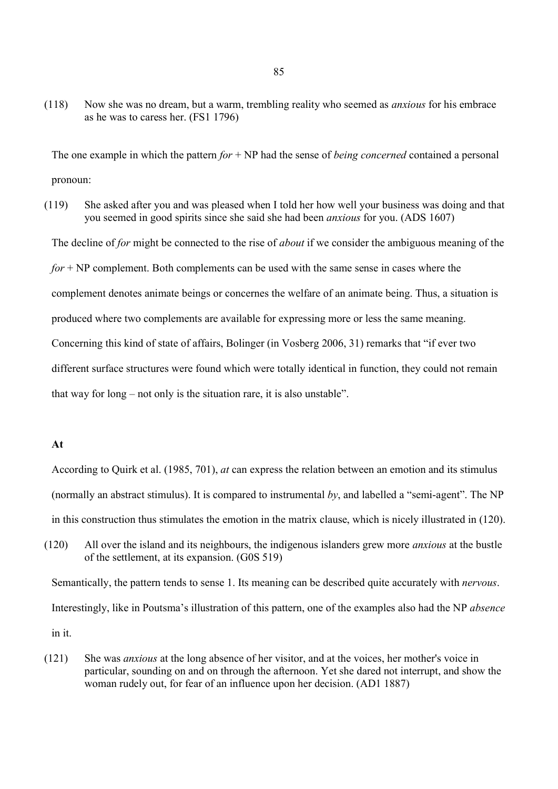(118) Now she was no dream, but a warm, trembling reality who seemed as *anxious* for his embrace as he was to caress her. (FS1 1796)

The one example in which the pattern  $for + NP$  had the sense of *being concerned* contained a personal pronoun:

(119) She asked after you and was pleased when I told her how well your business was doing and that you seemed in good spirits since she said she had been *anxious* for you. (ADS 1607)

The decline of *for* might be connected to the rise of *about* if we consider the ambiguous meaning of the  $for + NP$  complement. Both complements can be used with the same sense in cases where the complement denotes animate beings or concernes the welfare of an animate being. Thus, a situation is produced where two complements are available for expressing more or less the same meaning. Concerning this kind of state of affairs, Bolinger (in Vosberg 2006, 31) remarks that "if ever two different surface structures were found which were totally identical in function, they could not remain that way for long – not only is the situation rare, it is also unstable".

## **At**

According to Quirk et al. (1985, 701), *at* can express the relation between an emotion and its stimulus (normally an abstract stimulus). It is compared to instrumental  $by$ , and labelled a "semi-agent". The NP in this construction thus stimulates the emotion in the matrix clause, which is nicely illustrated in (120).

(120) All over the island and its neighbours, the indigenous islanders grew more *anxious* at the bustle of the settlement, at its expansion. (G0S 519)

Semantically, the pattern tends to sense 1. Its meaning can be described quite accurately with *nervous*. Interestingly, like in Poutsma's illustration of this pattern, one of the examples also had the NP *absence* 

in it.

(121) She was *anxious* at the long absence of her visitor, and at the voices, her mother's voice in particular, sounding on and on through the afternoon. Yet she dared not interrupt, and show the woman rudely out, for fear of an influence upon her decision. (AD1 1887)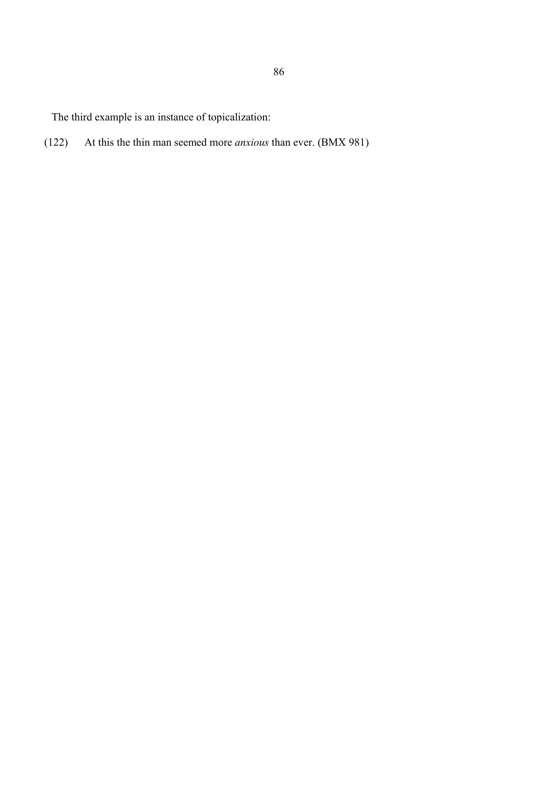The third example is an instance of topicalization:

(122) At this the thin man seemed more *anxious* than ever. (BMX 981)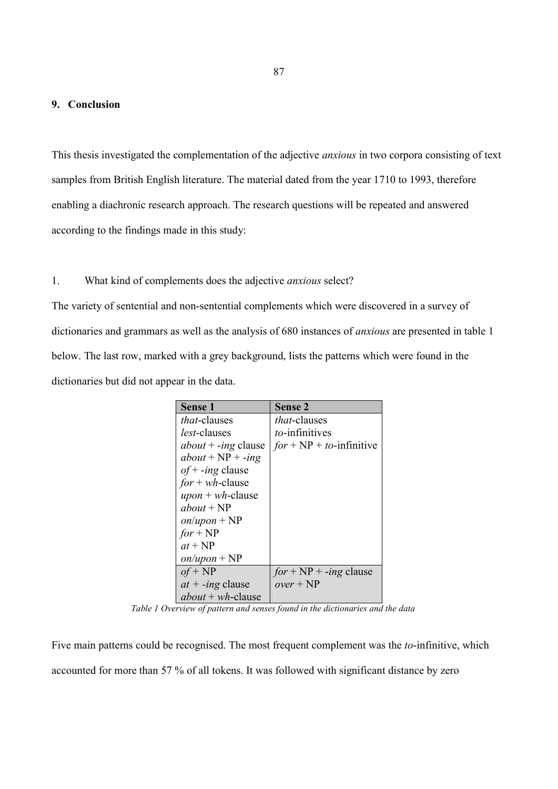## **9. Conclusion**

This thesis investigated the complementation of the adjective *anxious* in two corpora consisting of text samples from British English literature. The material dated from the year 1710 to 1993, therefore enabling a diachronic research approach. The research questions will be repeated and answered according to the findings made in this study:

# 1. What kind of complements does the adjective *anxious* select?

The variety of sentential and non-sentential complements which were discovered in a survey of dictionaries and grammars as well as the analysis of 680 instances of *anxious* are presented in table 1 below. The last row, marked with a grey background, lists the patterns which were found in the dictionaries but did not appear in the data.

| Sense 1               | <b>Sense 2</b>              |
|-----------------------|-----------------------------|
| <i>that</i> -clauses  | <i>that</i> -clauses        |
| <i>lest</i> -clauses  | to-infinitives              |
| $about + -ing$ clause | $for + NP + to$ -infinitive |
| $about + NP + -ing$   |                             |
| $of + -ing$ clause    |                             |
| $for + wh$ -clause    |                             |
| $upon + wh-clause$    |                             |
| about $+ NP$          |                             |
| $on/upon + NP$        |                             |
| $for + NP$            |                             |
| $at + NP$             |                             |
| $on/upon + NP$        |                             |
| $of + NP$             | $for + NP + -ing$ clause    |
| $at + -ing$ clause    | $over + NP$                 |
| $about + wh$ -clause  |                             |

Table 1 Overview of pattern and senses found in the dictionaries and the data

Five main patterns could be recognised. The most frequent complement was the *to*-infinitive, which accounted for more than 57 % of all tokens. It was followed with significant distance by zero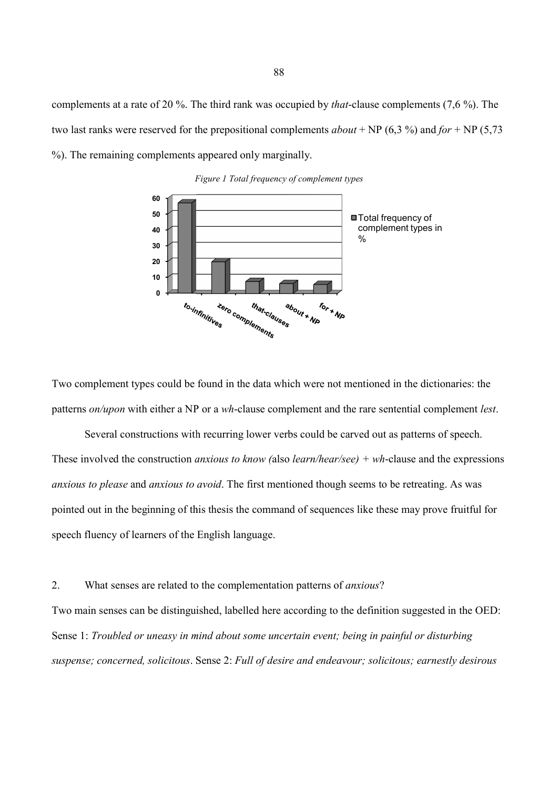complements at a rate of 20 %. The third rank was occupied by *that*-clause complements (7,6 %). The two last ranks were reserved for the prepositional complements  $about + NP (6,3 %)$  and  $for + NP (5,73 %)$ %). The remaining complements appeared only marginally.



*Figure 1 Total frequency of complement types* 

Two complement types could be found in the data which were not mentioned in the dictionaries: the patterns *on/upon* with either a NP or a *wh*-clause complement and the rare sentential complement *lest*.

Several constructions with recurring lower verbs could be carved out as patterns of speech. These involved the construction *anxious to know (also learn/hear/see)* + wh-clause and the expressions anxious to please and *anxious to avoid*. The first mentioned though seems to be retreating. As was pointed out in the beginning of this thesis the command of sequences like these may prove fruitful for speech fluency of learners of the English language. s to know (also *learn/hear/see)* + wh-clause and the expressions<br>The first mentioned though seems to be retreating. As was<br>sis the command of sequences like these may prove fruitful for<br>h language.<br>omplementation patterns

## 2. What senses are related to the complementation patterns of *anxious*?

Two main senses can be distinguished, labelled here according to the definition suggested in Sense 1: *Troubled or uneasy in mind about some uncertain event; being in painful or disturbing* suspense; concerned, solicitous. Sense 2: Full of desire and endeavour; solicitous; earnestly desirous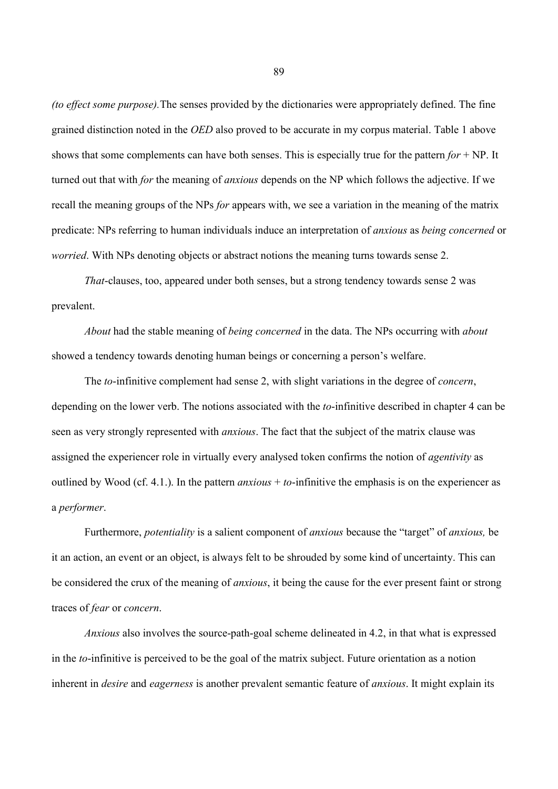*(to effect some purpose)*. The senses provided by the dictionaries were appropriately defined. The fine grained distinction noted in the *OED* also proved to be accurate in my corpus material. Table 1 above shows that some complements can have both senses. This is especially true for the pattern  $for + NP$ . It turned out that with *for* the meaning of *anxious* depends on the NP which follows the adjective. If we recall the meaning groups of the NPs *for* appears with, we see a variation in the meaning of the matrix predicate: NPs referring to human individuals induce an interpretation of *anxious* as *being concerned* or *the worried.* With NPs denoting objects or abstract notions the meaning turns towards sense 2.

*Phat*-clauses, too, appeared under both senses, but a strong tendency towards sense 2 was prevalent.

*About* had the stable meaning of *being concerned* in the data. The NPs occurring with *about* showed a tendency towards denoting human beings or concerning a person's welfare.

The *to*-infinitive complement had sense 2, with slight variations in the degree of *concern*, depending on the lower verb. The notions associated with the *to*-infinitive described in chapter 4 can be seen as very strongly represented with *anxious*. The fact that the subject of the matrix clause was assigned the experiencer role in virtually every analysed token confirms the notion of *agentivity* as outlined by Wood (cf. 4.1.). In the pattern *anxious* + *to*-infinitive the emphasis is on the experiencer as a *maoblojao*.

Furthermore, *potentiality* is a salient component of *anxious* because the "target" of *anxious*, be it an action, an event or an object, is always felt to be shrouded by some kind of uncertainty. This can be considered the crux of the meaning of *anxious*, it being the cause for the ever present faint or strong traces of *fear* or *concern*.

*Anxious* also involves the source-path-goal scheme delineated in 4.2, in that what is expressed in the *to*-infinitive is perceived to be the goal of the matrix subject. Future orientation as a notion inherent in *desire* and *eagerness* is another prevalent semantic feature of *anxious*. It might explain its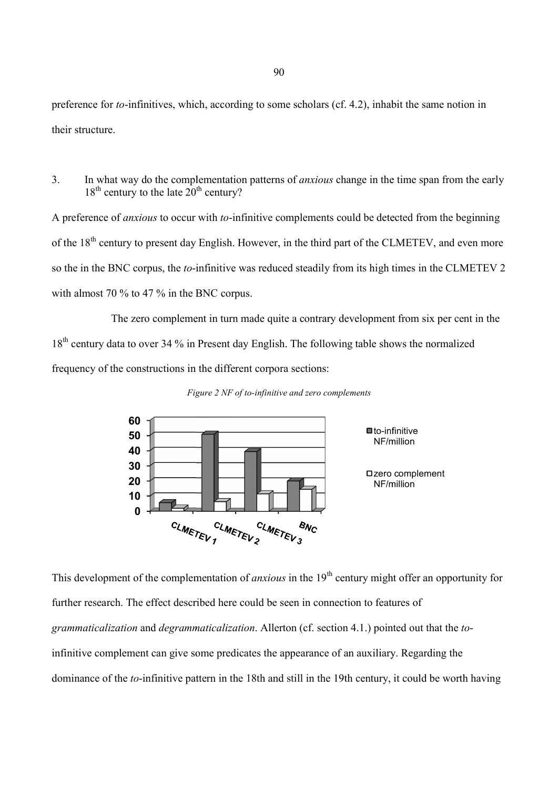preference for *to*-infinitives, which, according to some scholars (cf. 4.2), inhabit the same notion in their structure.

3. In what way do the complementation patterns of *anxious* change in the time span from the early  $18<sup>th</sup>$  century to the late  $20<sup>th</sup>$  century?

A preference of *anxious* to occur with *to*-infinitive complements could be detected from the beginning A preference of *anxious* to occur with *to*-infinitive complements could be detected from the beginning<br>of the 18<sup>th</sup> century to present day English. However, in the third part of the CLMETEV, and even more so the in the BNC corpus, the *to*-infinitive was reduced steadily from its high times in the CLMETEV 2 with almost 70 % to 47 % in the BNC corpus. entury to present day English. However, in the BNC corpus, the *to*-infinitive was reduced steamer 70 % to 47 % in the BNC corpus. the CLMETEV 2

The zero complement in turn made quite a contrary development from six per cent in the The zero complement in turn made quite a contrary development from six per cent i<br>18<sup>th</sup> century data to over 34 % in Present day English. The following table shows the normalized frequency of the constructions in the different corpora sections:





This development of the complementation of *anxious* in the 19<sup>th</sup> century might offer an opportunity for further research. The effect described here could be seen in connection to features of *further research. The effect described here could be seen in connection to features of*<br>*grammaticalization and <i>degrammaticalization*. Allerton (cf. section 4.1.) pointed out that the *to*infinitive complement can give some predicates the appearance of an auxiliary. Regarding the dominance of the *to*-infinitive pattern in the 18th and still in the 19th century, it could be worth having e Regarding the could worth having infinitive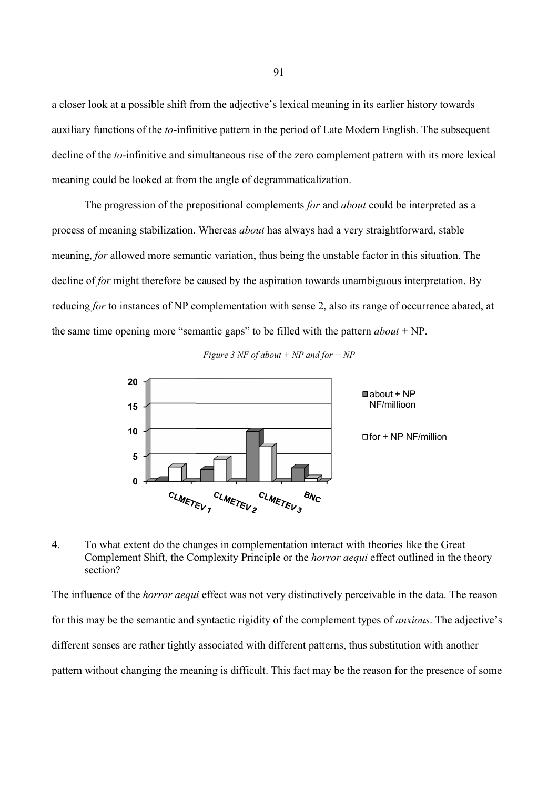a closer look at a possible shift from the adjective's lexical meaning in its earlier history towards a closer look at a possible shift from the adjective's lexical meaning in its earlier history towards<br>auxiliary functions of the *to*-infinitive pattern in the period of Late Modern English. The subsequent decline of the *to*-infinitive and simultaneous rise of the zero complement pattern with its more lexical meaning could be looked at from the angle of degrammaticalizatio functions of the *to*-infinitive pattern in the period of Late Modern English. The subsequent f the *to*-infinitive and simultaneous rise of the zero complement pattern with its more lexica could be looked at from the angl

The progression of the prepositional complements for and *about* could be interpreted as a The progression of the prepositional complements *for* and *about* could be interpreted as a process of meaning stabilization. Whereas *about* has always had a very straightforward, stable meaning, *for* allowed more semantic variation, thus being the unstable factor in this situation. The decline of *for* might therefore be caused by the aspiration towards unambiguous interpretation. By reducing *for* to instances of NP complementation with sense 2, also its range of occurrence abated, at the same time opening more "semantic gaps" to be filled with the pattern  $about + NP$ . by the aspiration towards unambiguous interpretation.<br>
<sup>2</sup> NP complementation with sense 2, also its range of occurrence abame "semantic gaps" to be filled with the pattern *about* + NP.



*Bigure 3 NF of about + NP and for + NP* 

4. To what extent do the changes in complementation interact with theories like the Great the Great Complement Shift, the Complexity Principle or the *horror aequi* effect outlined in the theory section?

The influence of the *horror aequi* effect was not very distinctively perceivable in the data. The reason For what extent do the changes in complementation interact with theories like the Great Complement Shift, the Complexity Principle or the *horror aequi* effect outlined in the theory section?<br>The influence of the *horror a* different senses are rather tightly associated with different patterns, thus substitution with another pattern without changing the meaning is difficult. This fact may be the reason for the presence of some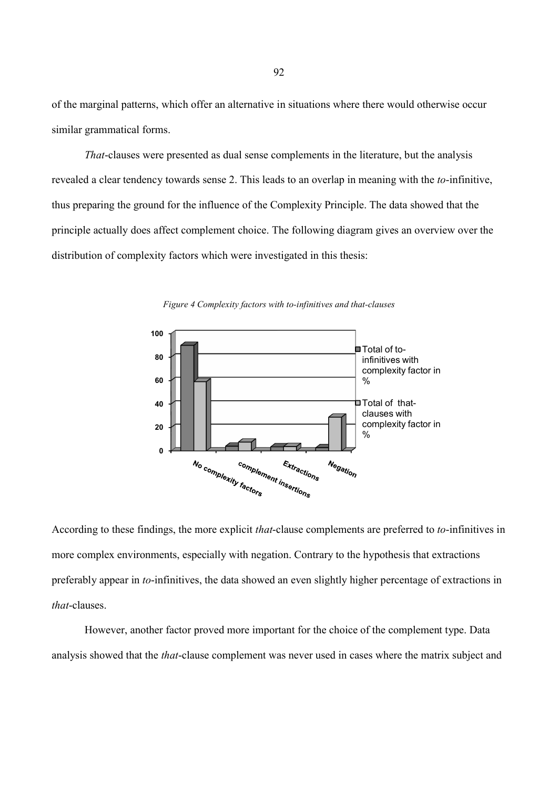of the marginal patterns, which offer an alternative in situations where there would otherwise occur similar grammatical forms.

*Phat*-clauses were presented as dual sense complements in the literature, but the analysis revealed a clear tendency towards sense 2. This leads to an overlap in meaning with the *to*-infinitive, thus preparing the ground for the influence of the Complexity Principle. The data showed that the thus preparing the ground for the influence of the Complexity Principle. The data showed that the principle actually does affect complement choice. The following diagram gives an overview over the *That*-clauses were presented as dual sense complements in the literature, revealed a clear tendency towards sense 2. This leads to an overlap in meaning v<br>thus preparing the ground for the influence of the Complexity Prin



*Figure 4 Complexity factors with to-infinitives and that-clauses* 

According to these findings, the more explicit *that*-clause complements are preferred to *to*-infinitives in more complex environments, especially with negation. Contrary to the hypothesis that extractions more complex environments, especially with negation. Contrary to the hypothesis that extractions in preferably appear in *to*-infinitives, the data showed an even slightly higher percentage of extractions in *that*-clauses

However, another factor proved more important for the choice of the complement type. Data analysis showed that the *that*-clause complement was never used in cases where the matrix subject and infinitives, the data showed an even slightly higher percentage of extractions in<br>er factor proved more important for the choice of the complement type. Data<br>e *that*-clause complement was never used in cases where the mat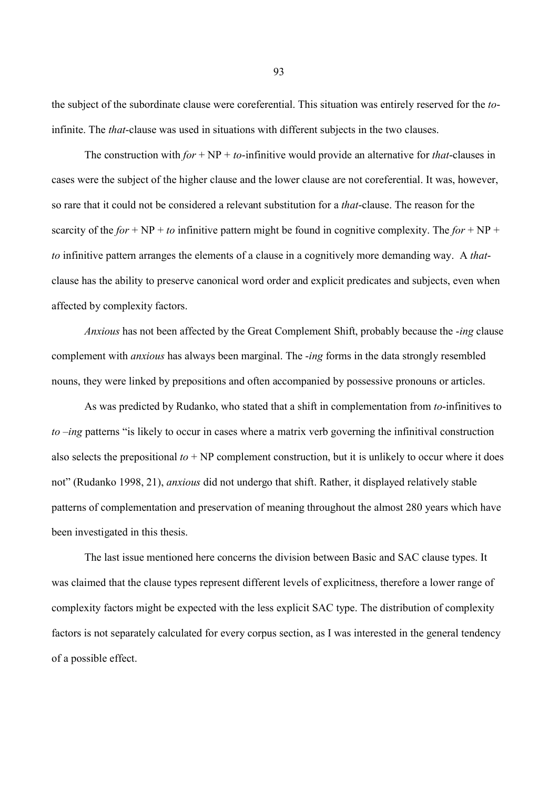the subject of the subordinate clause were coreferential. This situation was entirely reserved for the *to*infinite. The *that*-clause was used in situations with different subjects in the two clauses.

The construction with  $for + NP + to$ -infinitive would provide an alternative for *that*-clauses in cases were the subject of the higher clause and the lower clause are not coreferential. It was, however, so rare that it could not be considered a relevant substitution for a *that*-clause. The reason for the scarcity of the  $for + NP + to$  infinitive pattern might be found in cognitive complexity. The  $for + NP +$ *to* infinitive pattern arranges the elements of a clause in a cognitively more demanding way. A *that*clause has the ability to preserve canonical word order and explicit predicates and subjects, even when affected by complexity factors.

*Anxious* has not been affected by the Great Complement Shift, probably because the *-ing* clause complement with *anxious* has always been marginal. The *-ing* forms in the data strongly resembled nouns, they were linked by prepositions and often accompanied by possessive pronouns or articles.

As was predicted by Rudanko, who stated that a shift in complementation from *to*-infinitives to  $\alpha$ –*ing* patterns "is likely to occur in cases where a matrix verb governing the infinitival construction also selects the prepositional  $to + NP$  complement construction, but it is unlikely to occur where it does not" (Rudanko 1998, 21), *anxious* did not undergo that shift. Rather, it displayed relatively stable patterns of complementation and preservation of meaning throughout the almost 280 years which have been investigated in this thesis.

The last issue mentioned here concerns the division between Basic and SAC clause types. It was claimed that the clause types represent different levels of explicitness, therefore a lower range of complexity factors might be expected with the less explicit SAC type. The distribution of complexity factors is not separately calculated for every corpus section, as I was interested in the general tendency of a possible effect.

93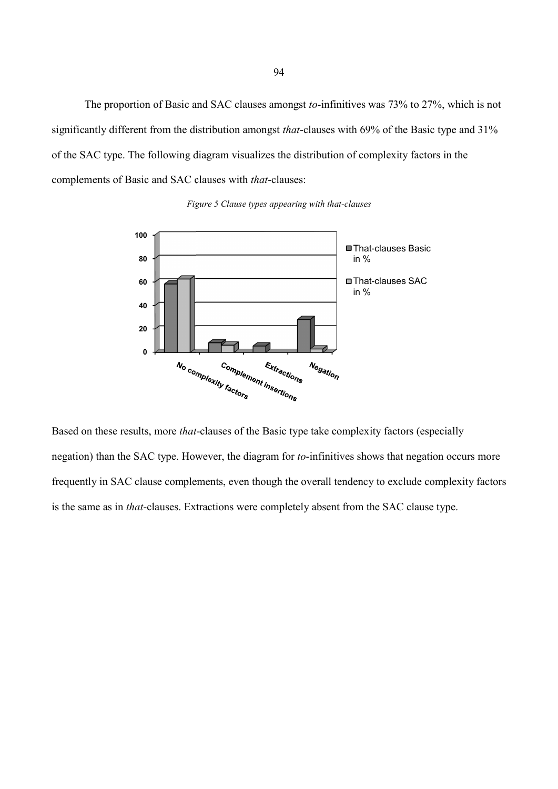The proportion of Basic and SAC clauses amongst *to*-infinitives was 73% to 27%, which is not significantly different from the distribution amongst *that*-clauses with 69% of the Basic type and 31% of the SAC type. The following diagram visualizes the distribution of complexity factors in the complements of Basic and SAC clauses with *that*-clauses:





Based on these results, more *that*-clauses of the Basic type take complexity factors (especially negation) than the SAC type. However, the diagram for *to*-infinitives shows that negation occurs m frequently in SAC clause complements, even though the overall tendency to exclude complexity factors is the same as in *that*-clauses. Extractions were completely absent from the SAC clause type. frequently in SAC clause complements, even though the overall tendency to excl<br>is the same as in *that*-clauses. Extractions were completely absent from the SAC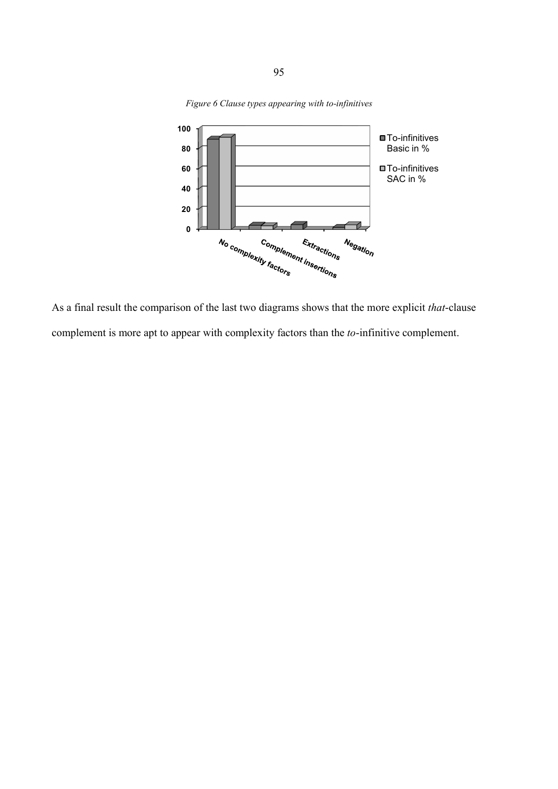

Figure 6 Clause types appearing with to-infinitives

As a final result the comparison of the last two diagrams shows that the more explicit *that*-clause As a final result the comparison of the last two diagrams shows that the more explicit *that*-cla<br>complement is more apt to appear with complexity factors than the *to*-infinitive complement.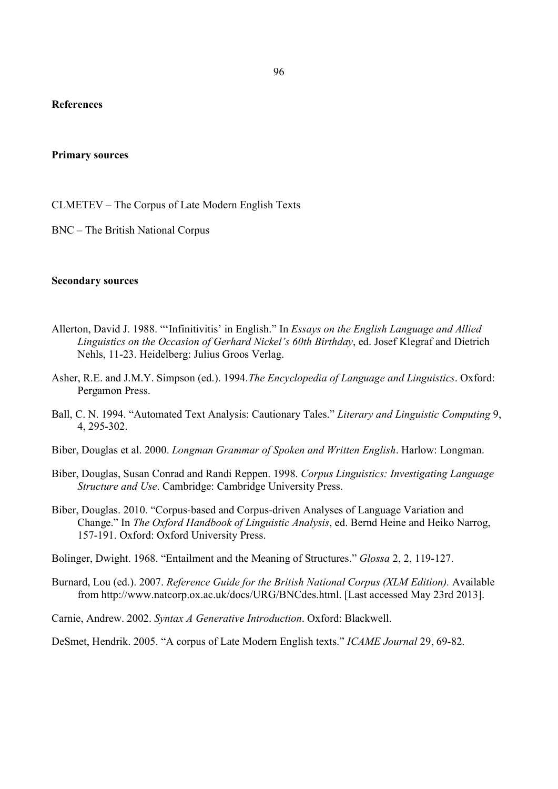**References** 

#### **Primary sources**

CLMETEV – The Corpus of Late Modern English Texts

BNC – The British National Corpus

## **Secondary sources**

- Allerton, David J. 1988. "'Infinitivitis' in English." In *Essays on the English Language and Allied Linguistics on the Occasion of Gerhard Nickel's 60th Birthday*, ed. Josef Klegraf and Dietrich Nehls, 11-23. Heidelberg: Julius Groos Verlag.
- Asher, R.E. and J.M.Y. Simpson (ed.). 1994.*The Encyclopedia of Language and Linguistics*. Oxford: Pergamon Press.
- Ball, C. N. 1994. "Automated Text Analysis: Cautionary Tales." *Literary and Linguistic Computing* 9, 4, 295-302.
- Biber, Douglas et al. 2000. *Longman Grammar of Spoken and Written English*. Harlow: Longman.
- Biber, Douglas, Susan Conrad and Randi Reppen. 1998. *Corpus Linguistics: Investigating Language Structure and Use.* Cambridge: Cambridge University Press.
- Biber, Douglas. 2010. "Corpus-based and Corpus-driven Analyses of Language Variation and Change." In *The Oxford Handbook of Linguistic Analysis*, ed. Bernd Heine and Heiko Narrog, 157-191. Oxford: Oxford University Press.

Bolinger, Dwight. 1968. "Entailment and the Meaning of Structures." *Glossa* 2, 2, 119-127.

Burnard, Lou (ed.). 2007. *Reference Guide for the British National Corpus (XLM Edition)*. Available from http://www.natcorp.ox.ac.uk/docs/URG/BNCdes.html. [Last accessed May 23rd 2013].

Carnie, Andrew. 2002. *Syntax A Generative Introduction*. Oxford: Blackwell.

DeSmet, Hendrik. 2005. "A corpus of Late Modern English texts." *ICAME Journal* 29, 69-82.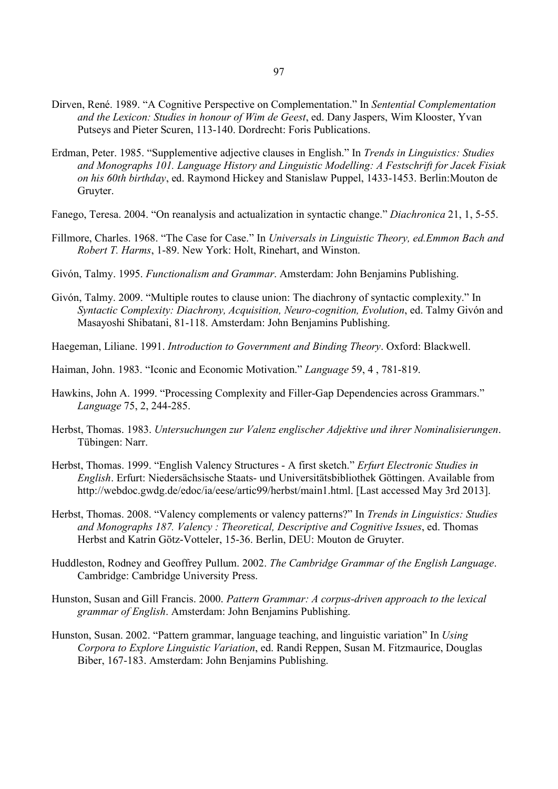- Dirven, René. 1989. "A Cognitive Perspective on Complementation." In *Sentential Complementation* and the Lexicon: Studies in honour of Wim de Geest, ed. Dany Jaspers, Wim Klooster, Yvan Putseys and Pieter Scuren, 113-140. Dordrecht: Foris Publications.
- Erdman, Peter. 1985. "Supplementive adjective clauses in English." In *Trends in Linguistics: Studies* and Monographs 101. Language History and Linguistic Modelling: A Festschrift for Jacek Fisiak *on his 60th birthday*, ed. Raymond Hickey and Stanislaw Puppel, 1433-1453. Berlin:Mouton de Gruyter.
- Fanego, Teresa. 2004. "On reanalysis and actualization in syntactic change." *Diachronica* 21, 1, 5-55.
- Fillmore, Charles. 1968. "The Case for Case." In *Universals in Linguistic Theory, ed. Emmon Bach and Robert T. Harms, 1-89. New York: Holt, Rinehart, and Winston.*
- Givón, Talmy. 1995. *Functionalism and Grammar*. Amsterdam: John Benjamins Publishing.
- Givón, Talmy. 2009. "Multiple routes to clause union: The diachrony of syntactic complexity." In *Syntactic Complexity: Diachrony, Acquisition, Neuro-cognition, Evolution, ed. Talmy Givón and* Masayoshi Shibatani, 81-118. Amsterdam: John Benjamins Publishing.
- Haegeman, Liliane. 1991. *Introduction to Government and Binding Theory*. Oxford: Blackwell.
- Haiman, John. 1983. "Iconic and Economic Motivation." *Language* 59, 4, 781-819.
- Hawkins, John A. 1999. "Processing Complexity and Filler-Gap Dependencies across Grammars." *Language* 75, 2, 244-285.
- Herbst, Thomas. 1983. *Untersuchungen zur Valenz englischer Adjektive und ihrer Nominalisierungen.* Tübingen: Narr.
- Herbst, Thomas. 1999. "English Valency Structures A first sketch." *Erfurt Electronic Studies in Akchepd*. Erfurt: Niedersächsische Staats- und Universitätsbibliothek Göttingen. Available from http://webdoc.gwdg.de/edoc/ia/eese/artic99/herbst/main1.html. [Last accessed May 3rd 2013].
- Herbst, Thomas. 2008. "Valency complements or valency patterns?" In *Trends in Linguistics: Studies* and Monographs 187. Valency: Theoretical, Descriptive and Cognitive Issues, ed. Thomas Herbst and Katrin Götz-Votteler, 15-36. Berlin, DEU: Mouton de Gruyter.
- Huddleston, Rodney and Geoffrey Pullum. 2002. *The Cambridge Grammar of the English Language*. Cambridge: Cambridge University Press.
- Hunston, Susan and Gill Francis. 2000. Pattern Grammar: A corpus-driven approach to the lexical *grammar of English.* Amsterdam: John Benjamins Publishing.
- Hunston, Susan. 2002. "Pattern grammar, language teaching, and linguistic variation" In *Using Corpora to Explore Linguistic Variation*, ed. Randi Reppen, Susan M. Fitzmaurice, Douglas Biber, 167-183. Amsterdam: John Benjamins Publishing.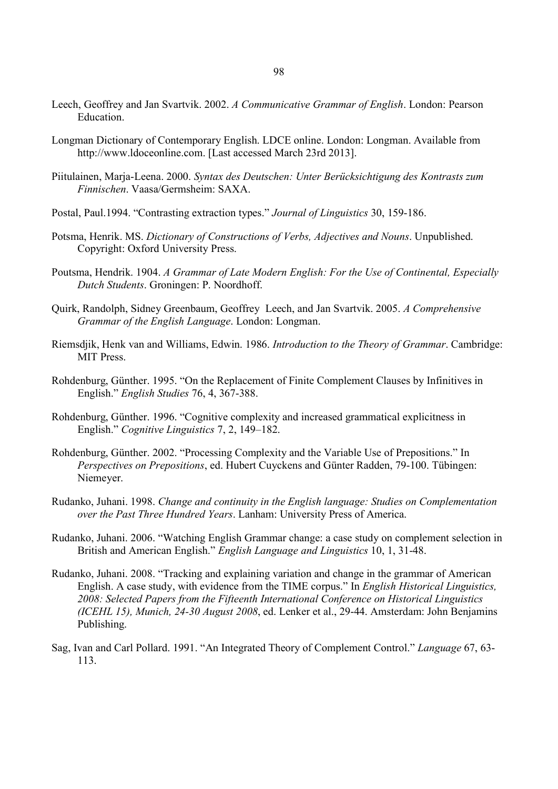- Leech, Geoffrey and Jan Svartvik. 2002. *A Communicative Grammar of English*. London: Pearson Education.
- Longman Dictionary of Contemporary English. LDCE online. London: Longman. Available from http://www.ldoceonline.com. [Last accessed March 23rd 2013].
- Piitulainen, Marja-Leena. 2000. *Syntax des Deutschen: Unter Berücksichtigung des Kontrasts zum Finnischen* Vaasa/Germsheim: SAXA.
- Postal, Paul.1994. "Contrasting extraction types." *Journal of Linguistics* 30, 159-186.
- Potsma, Henrik. MS. *Dictionary of Constructions of Verbs, Adjectives and Nouns*. Unpublished. Copyright: Oxford University Press.
- Poutsma, Hendrik. 1904. *A Grammar of Late Modern English: For the Use of Continental, Especially Dutch Students.* Groningen: P. Noordhoff.
- Quirk, Randolph, Sidney Greenbaum, Geoffrey Leech, and Jan Svartvik. 2005. *A Comprehensive Grammar of the English Language. London: Longman.*
- Riemsdjik, Henk van and Williams, Edwin. 1986. *Introduction to the Theory of Grammar*. Cambridge: MIT Press.
- Rohdenburg, Günther. 1995. "On the Replacement of Finite Complement Clauses by Infinitives in English." *English Studies* 76, 4, 367-388.
- Rohdenburg, Günther. 1996. "Cognitive complexity and increased grammatical explicitness in English." *Cognitive Linguistics* 7, 2, 149–182.
- Rohdenburg, Günther. 2002. "Processing Complexity and the Variable Use of Prepositions." In *Perspectives on Prepositions*, ed. Hubert Cuyckens and Günter Radden, 79-100. Tübingen: Niemeyer.
- Rudanko, Juhani. 1998. *Change and continuity in the English language: Studies on Complementation lover the Past Three Hundred Years. Lanham: University Press of America.*
- Rudanko, Juhani. 2006. "Watching English Grammar change: a case study on complement selection in British and American English." *English Language and Linguistics* 10, 1, 31-48.
- Rudanko, Juhani. 2008. "Tracking and explaining variation and change in the grammar of American English. A case study, with evidence from the TIME corpus." In *English Historical Linguistics*, 2008: Selected Papers from the Fifteenth International Conference on Historical Linguistics *(ICEHL 15), Munich, 24-30 August 2008, ed. Lenker et al., 29-44. Amsterdam: John Benjamins* Publishing.
- Sag, Ivan and Carl Pollard. 1991. "An Integrated Theory of Complement Control." *Language* 67, 63-113.